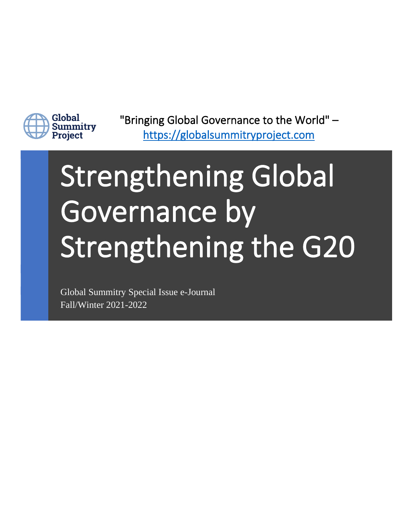

"Bringing Global Governance to the World" – [https://globalsummitryproject.com](https://globalsummitryproject.com/)

# Strengthening Global Governance by Strengthening the G20

Global Summitry Special Issue e-Journal Fall/Winter 2021-2022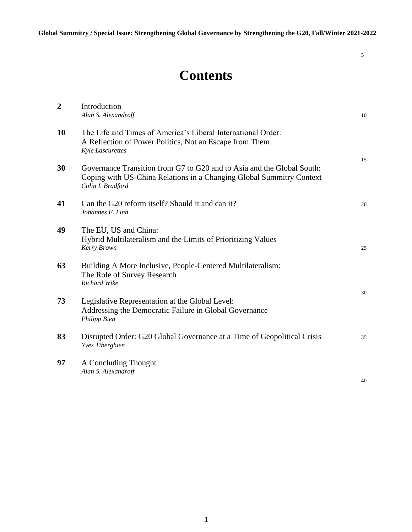5

# **Contents**

| $\overline{2}$ | Introduction<br>Alan S. Alexandroff                                                                                                                                 | 10 |
|----------------|---------------------------------------------------------------------------------------------------------------------------------------------------------------------|----|
| 10             | The Life and Times of America's Liberal International Order:<br>A Reflection of Power Politics, Not an Escape from Them<br><b>Kyle Lascurettes</b>                  | 15 |
| 30             | Governance Transition from G7 to G20 and to Asia and the Global South:<br>Coping with US-China Relations in a Changing Global Summitry Context<br>Colin I. Bradford |    |
| 41             | Can the G20 reform itself? Should it and can it?<br>Johannes F. Linn                                                                                                | 20 |
| 49             | The EU, US and China:<br>Hybrid Multilateralism and the Limits of Prioritizing Values<br>Kerry Brown                                                                | 25 |
| 63             | Building A More Inclusive, People-Centered Multilateralism:<br>The Role of Survey Research<br>Richard Wike                                                          |    |
| 73             | Legislative Representation at the Global Level:<br>Addressing the Democratic Failure in Global Governance<br>Philipp Bien                                           | 30 |
| 83             | Disrupted Order: G20 Global Governance at a Time of Geopolitical Crisis<br><b>Yves Tiberghien</b>                                                                   | 35 |
| 97             | A Concluding Thought<br>Alan S. Alexandroff                                                                                                                         | 40 |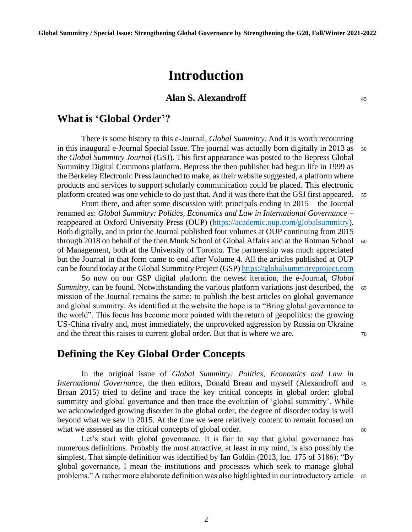# **Introduction**

#### **Alan S. Alexandroff** <sup>45</sup>

#### **What is 'Global Order'?**

There is some history to this e-Journal, *Global Summitry*. And it is worth recounting in this inaugural e-Journal Special Issue. The journal was actually born digitally in 2013 as 50 the *Global Summitry Journal* (GSJ). This first appearance was posted to the Bepress Global Summitry Digital Commons platform. Bepress the then publisher had begun life in 1999 as the Berkeley Electronic Press launched to make, as their website suggested, a platform where products and services to support scholarly communication could be placed. This electronic platform created was one vehicle to do just that. And it was there that the GSJ first appeared. <sup>55</sup>

From there, and after some discussion with principals ending in 2015 – the Journal renamed as: *Global Summitry: Politics, Economics and Law in International Governance* – reappeared at Oxford University Press (OUP) [\(https://academic.oup.com/globalsummitry\)](https://academic.oup.com/globalsummitry). Both digitally, and in print the Journal published four volumes at OUP continuing from 2015 through 2018 on behalf of the then Munk School of Global Affairs and at the Rotman School 60 of Management, both at the University of Toronto. The partnership was much appreciated but the Journal in that form came to end after Volume 4. All the articles published at OUP can be found today at the Global Summitry Project (GSP[\) https://globalsummitryproject.com](https://globalsummitryproject.com/)

So now on our GSP digital platform the newest iteration, the e-Journal, *Global Summitry*, can be found. Notwithstanding the various platform variations just described, the 65 mission of the Journal remains the same: to publish the best articles on global governance and global summitry. As identified at the website the hope is to "Bring global governance to the world". This focus has become more pointed with the return of geopolitics: the growing US-China rivalry and, most immediately, the unprovoked aggression by Russia on Ukraine and the threat this raises to current global order. But that is where we are.  $\frac{70}{20}$ 

## **Defining the Key Global Order Concepts**

In the original issue of *Global Summitry: Politics, Economics and Law in International Governance*, the then editors, Donald Brean and myself (Alexandroff and 75 Brean 2015) tried to define and trace the key critical concepts in global order: global summitry and global governance and then trace the evolution of 'global summitry'. While we acknowledged growing disorder in the global order, the degree of disorder today is well beyond what we saw in 2015. At the time we were relatively content to remain focused on what we assessed as the critical concepts of global order.  $\frac{80}{200}$ 

Let's start with global governance. It is fair to say that global governance has numerous definitions. Probably the most attractive, at least in my mind, is also possibly the simplest. That simple definition was identified by Ian Goldin (2013, loc. 175 of 3186): "By global governance, I mean the institutions and processes which seek to manage global problems." A rather more elaborate definition was also highlighted in our introductory article 85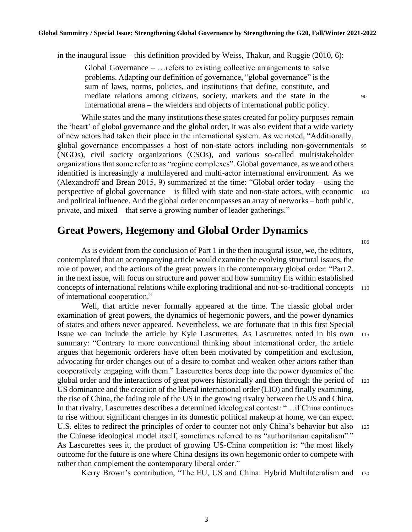in the inaugural issue – this definition provided by Weiss, Thakur, and Ruggie (2010, 6):

Global Governance – …refers to existing collective arrangements to solve problems. Adapting our definition of governance, "global governance" is the sum of laws, norms, policies, and institutions that define, constitute, and mediate relations among citizens, society, markets and the state in the 90 international arena – the wielders and objects of international public policy.

While states and the many institutions these states created for policy purposes remain the 'heart' of global governance and the global order, it was also evident that a wide variety of new actors had taken their place in the international system. As we noted, "Additionally, global governance encompasses a host of non-state actors including non-governmentals <sup>95</sup> (NGOs), civil society organizations (CSOs), and various so-called multistakeholder organizations that some refer to as "regime complexes". Global governance, as we and others identified is increasingly a multilayered and multi-actor international environment. As we (Alexandroff and Brean 2015, 9) summarized at the time: "Global order today – using the perspective of global governance – is filled with state and non-state actors, with economic <sup>100</sup> and political influence. And the global order encompasses an array of networks – both public, private, and mixed – that serve a growing number of leader gatherings."

# **Great Powers, Hegemony and Global Order Dynamics**

As is evident from the conclusion of Part 1 in the then inaugural issue, we, the editors, contemplated that an accompanying article would examine the evolving structural issues, the role of power, and the actions of the great powers in the contemporary global order: "Part 2, in the next issue, will focus on structure and power and how summitry fits within established concepts of international relations while exploring traditional and not-so-traditional concepts <sup>110</sup> of international cooperation."

Well, that article never formally appeared at the time. The classic global order examination of great powers, the dynamics of hegemonic powers, and the power dynamics of states and others never appeared. Nevertheless, we are fortunate that in this first Special Issue we can include the article by Kyle Lascurettes. As Lascurettes noted in his own <sup>115</sup> summary: "Contrary to more conventional thinking about international order, the article argues that hegemonic orderers have often been motivated by competition and exclusion, advocating for order changes out of a desire to combat and weaken other actors rather than cooperatively engaging with them." Lascurettes bores deep into the power dynamics of the global order and the interactions of great powers historically and then through the period of <sup>120</sup> US dominance and the creation of the liberal international order (LIO) and finally examining, the rise of China, the fading role of the US in the growing rivalry between the US and China. In that rivalry, Lascurettes describes a determined ideological contest: "…if China continues to rise without significant changes in its domestic political makeup at home, we can expect U.S. elites to redirect the principles of order to counter not only China's behavior but also 125 the Chinese ideological model itself, sometimes referred to as "authoritarian capitalism"." As Lascurettes sees it, the product of growing US-China competition is: "the most likely outcome for the future is one where China designs its own hegemonic order to compete with rather than complement the contemporary liberal order."

Kerry Brown's contribution, "The EU, US and China: Hybrid Multilateralism and 130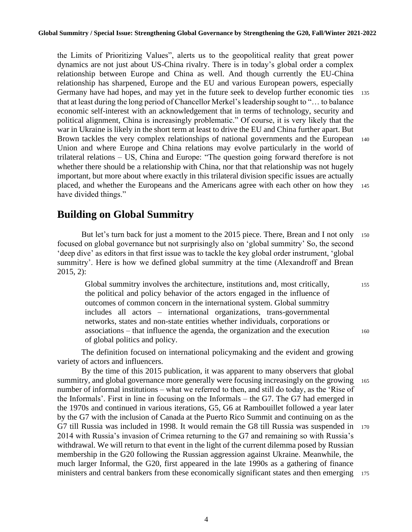the Limits of Prioritizing Values", alerts us to the geopolitical reality that great power dynamics are not just about US-China rivalry. There is in today's global order a complex relationship between Europe and China as well. And though currently the EU-China relationship has sharpened, Europe and the EU and various European powers, especially Germany have had hopes, and may yet in the future seek to develop further economic ties 135 that at least during the long period of Chancellor Merkel's leadership sought to "… to balance economic self-interest with an acknowledgement that in terms of technology, security and political alignment, China is increasingly problematic." Of course, it is very likely that the war in Ukraine is likely in the short term at least to drive the EU and China further apart. But Brown tackles the very complex relationships of national governments and the European 140 Union and where Europe and China relations may evolve particularly in the world of trilateral relations – US, China and Europe: "The question going forward therefore is not whether there should be a relationship with China, nor that that relationship was not hugely important, but more about where exactly in this trilateral division specific issues are actually placed, and whether the Europeans and the Americans agree with each other on how they <sup>145</sup> have divided things."

# **Building on Global Summitry**

But let's turn back for just a moment to the 2015 piece. There, Brean and I not only 150 focused on global governance but not surprisingly also on 'global summitry' So, the second 'deep dive' as editors in that first issue was to tackle the key global order instrument, 'global summitry'. Here is how we defined global summitry at the time (Alexandroff and Brean 2015, 2):

Global summitry involves the architecture, institutions and, most critically, 155 the political and policy behavior of the actors engaged in the influence of outcomes of common concern in the international system. Global summitry includes all actors – international organizations, trans-governmental networks, states and non-state entities whether individuals, corporations or associations – that influence the agenda, the organization and the execution <sup>160</sup> of global politics and policy.

The definition focused on international policymaking and the evident and growing variety of actors and influencers.

By the time of this 2015 publication, it was apparent to many observers that global summitry, and global governance more generally were focusing increasingly on the growing 165 number of informal institutions – what we referred to then, and still do today, as the 'Rise of the Informals'. First in line in focusing on the Informals – the G7. The G7 had emerged in the 1970s and continued in various iterations, G5, G6 at Rambouillet followed a year later by the G7 with the inclusion of Canada at the Puerto Rico Summit and continuing on as the G7 till Russia was included in 1998. It would remain the G8 till Russia was suspended in <sup>170</sup> 2014 with Russia's invasion of Crimea returning to the G7 and remaining so with Russia's withdrawal. We will return to that event in the light of the current dilemma posed by Russian membership in the G20 following the Russian aggression against Ukraine. Meanwhile, the much larger Informal, the G20, first appeared in the late 1990s as a gathering of finance ministers and central bankers from these economically significant states and then emerging 175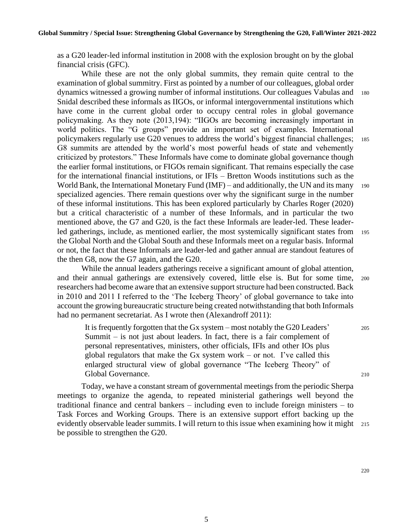as a G20 leader-led informal institution in 2008 with the explosion brought on by the global financial crisis (GFC).

While these are not the only global summits, they remain quite central to the examination of global summitry. First as pointed by a number of our colleagues, global order dynamics witnessed a growing number of informal institutions. Our colleagues Vabulas and <sup>180</sup> Snidal described these informals as IIGOs, or informal intergovernmental institutions which have come in the current global order to occupy central roles in global governance policymaking. As they note (2013,194): "IIGOs are becoming increasingly important in world politics. The "G groups" provide an important set of examples. International policymakers regularly use G20 venues to address the world's biggest financial challenges; <sup>185</sup> G8 summits are attended by the world's most powerful heads of state and vehemently criticized by protestors." These Informals have come to dominate global governance though the earlier formal institutions, or FIGOs remain significant. That remains especially the case for the international financial institutions, or IFIs – Bretton Woods institutions such as the World Bank, the International Monetary Fund (IMF) – and additionally, the UN and its many 190 specialized agencies. There remain questions over why the significant surge in the number of these informal institutions. This has been explored particularly by Charles Roger (2020) but a critical characteristic of a number of these Informals, and in particular the two mentioned above, the G7 and G20, is the fact these Informals are leader-led. These leaderled gatherings, include, as mentioned earlier, the most systemically significant states from <sup>195</sup> the Global North and the Global South and these Informals meet on a regular basis. Informal or not, the fact that these Informals are leader-led and gather annual are standout features of the then G8, now the G7 again, and the G20.

While the annual leaders gatherings receive a significant amount of global attention, and their annual gatherings are extensively covered, little else is. But for some time, <sup>200</sup> researchers had become aware that an extensive support structure had been constructed. Back in 2010 and 2011 I referred to the 'The Iceberg Theory' of global governance to take into account the growing bureaucratic structure being created notwithstanding that both Informals had no permanent secretariat. As I wrote then (Alexandroff 2011):

It is frequently forgotten that the Gx system – most notably the G20 Leaders' <sup>205</sup> Summit – is not just about leaders. In fact, there is a fair complement of personal representatives, ministers, other officials, IFIs and other IOs plus global regulators that make the Gx system work – or not. I've called this enlarged structural view of global governance "The Iceberg Theory" of Global Governance. 210

Today, we have a constant stream of governmental meetings from the periodic Sherpa meetings to organize the agenda, to repeated ministerial gatherings well beyond the traditional finance and central bankers – including even to include foreign ministers – to Task Forces and Working Groups. There is an extensive support effort backing up the evidently observable leader summits. I will return to this issue when examining how it might 215 be possible to strengthen the G20.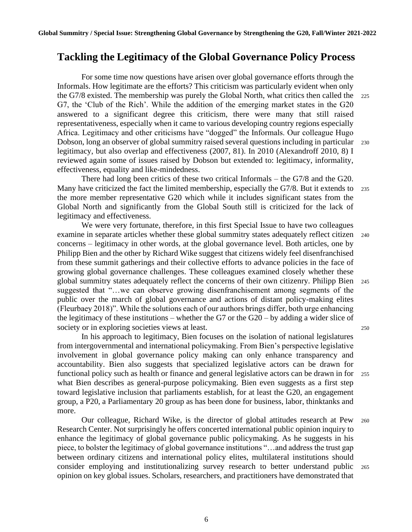# **Tackling the Legitimacy of the Global Governance Policy Process**

For some time now questions have arisen over global governance efforts through the Informals. How legitimate are the efforts? This criticism was particularly evident when only the G7/8 existed. The membership was purely the Global North, what critics then called the <sup>225</sup> G7, the 'Club of the Rich'. While the addition of the emerging market states in the G20 answered to a significant degree this criticism, there were many that still raised representativeness, especially when it came to various developing country regions especially Africa. Legitimacy and other criticisms have "dogged" the Informals. Our colleague Hugo Dobson, long an observer of global summitry raised several questions including in particular <sup>230</sup> legitimacy, but also overlap and effectiveness (2007, 81). In 2010 (Alexandroff 2010, 8) I reviewed again some of issues raised by Dobson but extended to: legitimacy, informality, effectiveness, equality and like-mindedness.

There had long been critics of these two critical Informals – the G7/8 and the G20. Many have criticized the fact the limited membership, especially the G7/8. But it extends to 235 the more member representative G20 which while it includes significant states from the Global North and significantly from the Global South still is criticized for the lack of legitimacy and effectiveness.

We were very fortunate, therefore, in this first Special Issue to have two colleagues examine in separate articles whether these global summitry states adequately reflect citizen <sup>240</sup> concerns – legitimacy in other words, at the global governance level. Both articles, one by Philipp Bien and the other by Richard Wike suggest that citizens widely feel disenfranchised from these summit gatherings and their collective efforts to advance policies in the face of growing global governance challenges. These colleagues examined closely whether these global summitry states adequately reflect the concerns of their own citizenry. Philipp Bien <sup>245</sup> suggested that "…we can observe growing disenfranchisement among segments of the public over the march of global governance and actions of distant policy-making elites (Fleurbaey 2018)". While the solutions each of our authors brings differ, both urge enhancing the legitimacy of these institutions – whether the G7 or the  $G20 - by$  adding a wider slice of society or in exploring societies views at least. 250

In his approach to legitimacy, Bien focuses on the isolation of national legislatures from intergovernmental and international policymaking. From Bien's perspective legislative involvement in global governance policy making can only enhance transparency and accountability. Bien also suggests that specialized legislative actors can be drawn for functional policy such as health or finance and general legislative actors can be drawn in for <sup>255</sup> what Bien describes as general-purpose policymaking. Bien even suggests as a first step toward legislative inclusion that parliaments establish, for at least the G20, an engagement group, a P20, a Parliamentary 20 group as has been done for business, labor, thinktanks and more.

Our colleague, Richard Wike, is the director of global attitudes research at Pew <sup>260</sup> Research Center. Not surprisingly he offers concerted international public opinion inquiry to enhance the legitimacy of global governance public policymaking. As he suggests in his piece, to bolster the legitimacy of global governance institutions "…and address the trust gap between ordinary citizens and international policy elites, multilateral institutions should consider employing and institutionalizing survey research to better understand public <sup>265</sup> opinion on key global issues. Scholars, researchers, and practitioners have demonstrated that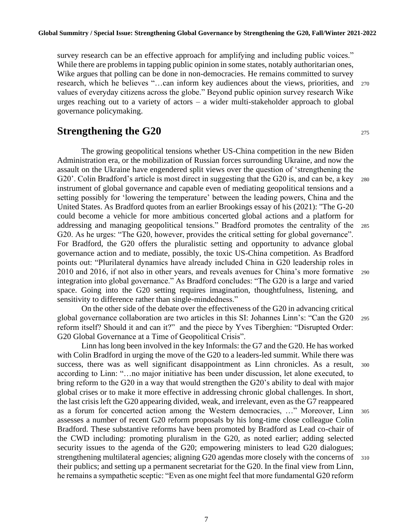survey research can be an effective approach for amplifying and including public voices." While there are problems in tapping public opinion in some states, notably authoritarian ones, Wike argues that polling can be done in non-democracies. He remains committed to survey research, which he believes "…can inform key audiences about the views, priorities, and <sup>270</sup> values of everyday citizens across the globe." Beyond public opinion survey research Wike urges reaching out to a variety of actors – a wider multi-stakeholder approach to global governance policymaking.

# **Strengthening the G20** 275

The growing geopolitical tensions whether US-China competition in the new Biden Administration era, or the mobilization of Russian forces surrounding Ukraine, and now the assault on the Ukraine have engendered split views over the question of 'strengthening the G20'. Colin Bradford's article is most direct in suggesting that the G20 is, and can be, a key 280 instrument of global governance and capable even of mediating geopolitical tensions and a setting possibly for 'lowering the temperature' between the leading powers, China and the United States. As Bradford quotes from an earlier Brookings essay of his (2021): "The G-20 could become a vehicle for more ambitious concerted global actions and a platform for addressing and managing geopolitical tensions." Bradford promotes the centrality of the <sup>285</sup> G20. As he urges: "The G20, however, provides the critical setting for global governance". For Bradford, the G20 offers the pluralistic setting and opportunity to advance global governance action and to mediate, possibly, the toxic US-China competition. As Bradford points out: "Plurilateral dynamics have already included China in G20 leadership roles in 2010 and 2016, if not also in other years, and reveals avenues for China's more formative <sup>290</sup> integration into global governance." As Bradford concludes: "The G20 is a large and varied space. Going into the G20 setting requires imagination, thoughtfulness, listening, and sensitivity to difference rather than single-mindedness."

On the other side of the debate over the effectiveness of the G20 in advancing critical global governance collaboration are two articles in this SI: Johannes Linn's: "Can the G20 <sup>295</sup> reform itself? Should it and can it?" and the piece by Yves Tiberghien: "Disrupted Order: G20 Global Governance at a Time of Geopolitical Crisis".

Linn has long been involved in the key Informals: the G7 and the G20. He has worked with Colin Bradford in urging the move of the G20 to a leaders-led summit. While there was success, there was as well significant disappointment as Linn chronicles. As a result, 300 according to Linn: "…no major initiative has been under discussion, let alone executed, to bring reform to the G20 in a way that would strengthen the G20's ability to deal with major global crises or to make it more effective in addressing chronic global challenges. In short, the last crisis left the G20 appearing divided, weak, and irrelevant, even as the G7 reappeared as a forum for concerted action among the Western democracies, …" Moreover, Linn <sup>305</sup> assesses a number of recent G20 reform proposals by his long-time close colleague Colin Bradford. These substantive reforms have been promoted by Bradford as Lead co-chair of the CWD including: promoting pluralism in the G20, as noted earlier; adding selected security issues to the agenda of the G20; empowering ministers to lead G20 dialogues; strengthening multilateral agencies; aligning G20 agendas more closely with the concerns of 310 their publics; and setting up a permanent secretariat for the G20. In the final view from Linn, he remains a sympathetic sceptic: "Even as one might feel that more fundamental G20 reform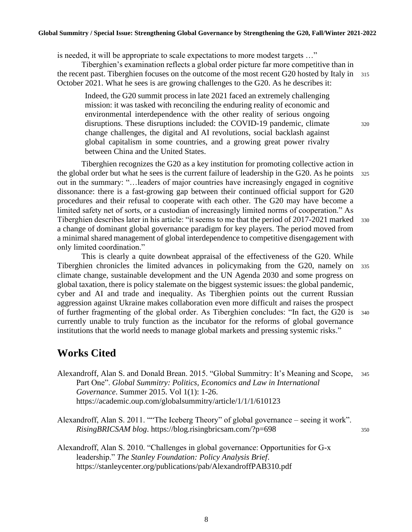#### **Global Summitry / Special Issue: Strengthening Global Governance by Strengthening the G20, Fall/Winter 2021-2022**

is needed, it will be appropriate to scale expectations to more modest targets …"

Tiberghien's examination reflects a global order picture far more competitive than in the recent past. Tiberghien focuses on the outcome of the most recent G20 hosted by Italy in 315 October 2021. What he sees is are growing challenges to the G20. As he describes it:

Indeed, the G20 summit process in late 2021 faced an extremely challenging mission: it was tasked with reconciling the enduring reality of economic and environmental interdependence with the other reality of serious ongoing disruptions. These disruptions included: the COVID-19 pandemic, climate  $320$ change challenges, the digital and AI revolutions, social backlash against global capitalism in some countries, and a growing great power rivalry between China and the United States.

Tiberghien recognizes the G20 as a key institution for promoting collective action in the global order but what he sees is the current failure of leadership in the G20. As he points 325 out in the summary: "…leaders of major countries have increasingly engaged in cognitive dissonance: there is a fast-growing gap between their continued official support for G20 procedures and their refusal to cooperate with each other. The G20 may have become a limited safety net of sorts, or a custodian of increasingly limited norms of cooperation." As Tiberghien describes later in his article: "it seems to me that the period of 2017-2021 marked 330 a change of dominant global governance paradigm for key players. The period moved from a minimal shared management of global interdependence to competitive disengagement with only limited coordination."

This is clearly a quite downbeat appraisal of the effectiveness of the G20. While Tiberghien chronicles the limited advances in policymaking from the G20, namely on <sup>335</sup> climate change, sustainable development and the UN Agenda 2030 and some progress on global taxation, there is policy stalemate on the biggest systemic issues: the global pandemic, cyber and AI and trade and inequality. As Tiberghien points out the current Russian aggression against Ukraine makes collaboration even more difficult and raises the prospect of further fragmenting of the global order. As Tiberghien concludes: "In fact, the G20 is <sup>340</sup> currently unable to truly function as the incubator for the reforms of global governance institutions that the world needs to manage global markets and pressing systemic risks."

# **Works Cited**

- Alexandroff, Alan S. and Donald Brean. 2015. "Global Summitry: It's Meaning and Scope, <sup>345</sup> Part One". *Global Summitry: Politics, Economics and Law in International Governance*. Summer 2015. Vol 1(1): 1-26. https://academic.oup.com/globalsummitry/article/1/1/1/610123
- Alexandroff, Alan S. 2011. ""The Iceberg Theory" of global governance seeing it work". *RisingBRICSAM blog.* https://blog.risingbricsam.com/?p=698 350

Alexandroff, Alan S. 2010. "Challenges in global governance: Opportunities for G-x leadership." *The Stanley Foundation: Policy Analysis Brief*. https://stanleycenter.org/publications/pab/AlexandroffPAB310.pdf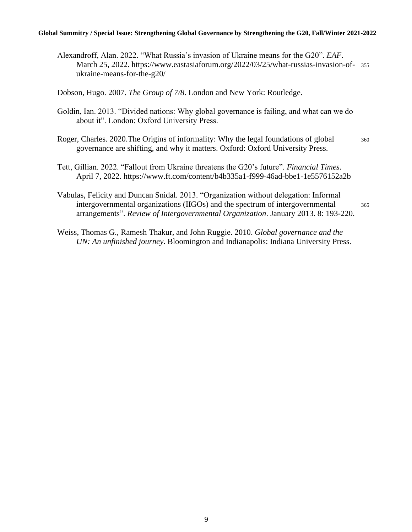#### **Global Summitry / Special Issue: Strengthening Global Governance by Strengthening the G20, Fall/Winter 2021-2022**

Alexandroff, Alan. 2022. "What Russia's invasion of Ukraine means for the G20". *EAF*. March 25, 2022. https://www.eastasiaforum.org/2022/03/25/what-russias-invasion-of- <sup>355</sup> ukraine-means-for-the-g20/

Dobson, Hugo. 2007. *The Group of 7/8*. London and New York: Routledge.

- Goldin, Ian. 2013. "Divided nations: Why global governance is failing, and what can we do about it". London: Oxford University Press.
- Roger, Charles. 2020. The Origins of informality: Why the legal foundations of global 360 governance are shifting, and why it matters. Oxford: Oxford University Press.
- Tett, Gillian. 2022. "Fallout from Ukraine threatens the G20's future". *Financial Times*. April 7, 2022. https://www.ft.com/content/b4b335a1-f999-46ad-bbe1-1e5576152a2b
- Vabulas, Felicity and Duncan Snidal. 2013. "Organization without delegation: Informal intergovernmental organizations (IIGOs) and the spectrum of intergovernmental <sup>365</sup> arrangements". *Review of Intergovernmental Organization*. January 2013. 8: 193-220.
- Weiss, Thomas G., Ramesh Thakur, and John Ruggie. 2010. *Global governance and the UN: An unfinished journey*. Bloomington and Indianapolis: Indiana University Press.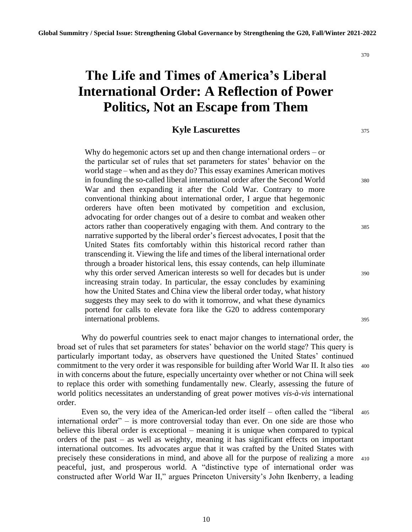370

# **The Life and Times of America's Liberal International Order: A Reflection of Power Politics, Not an Escape from Them**

#### **Kyle Lascurettes** 375

Why do hegemonic actors set up and then change international orders – or the particular set of rules that set parameters for states' behavior on the world stage – when and as they do? This essay examines American motives in founding the so-called liberal international order after the Second World 380 War and then expanding it after the Cold War. Contrary to more conventional thinking about international order, I argue that hegemonic orderers have often been motivated by competition and exclusion, advocating for order changes out of a desire to combat and weaken other actors rather than cooperatively engaging with them. And contrary to the 385 narrative supported by the liberal order's fiercest advocates, I posit that the United States fits comfortably within this historical record rather than transcending it. Viewing the life and times of the liberal international order through a broader historical lens, this essay contends, can help illuminate why this order served American interests so well for decades but is under 390 increasing strain today. In particular, the essay concludes by examining how the United States and China view the liberal order today, what history suggests they may seek to do with it tomorrow, and what these dynamics portend for calls to elevate fora like the G20 to address contemporary international problems. 395

Why do powerful countries seek to enact major changes to international order, the broad set of rules that set parameters for states' behavior on the world stage? This query is particularly important today, as observers have questioned the United States' continued commitment to the very order it was responsible for building after World War II. It also ties 400 in with concerns about the future, especially uncertainty over whether or not China will seek to replace this order with something fundamentally new. Clearly, assessing the future of world politics necessitates an understanding of great power motives *vis-à-vis* international order.

Even so, the very idea of the American-led order itself – often called the "liberal <sup>405</sup> international order" – is more controversial today than ever. On one side are those who believe this liberal order is exceptional – meaning it is unique when compared to typical orders of the past – as well as weighty, meaning it has significant effects on important international outcomes. Its advocates argue that it was crafted by the United States with precisely these considerations in mind, and above all for the purpose of realizing a more <sup>410</sup> peaceful, just, and prosperous world. A "distinctive type of international order was constructed after World War II," argues Princeton University's John Ikenberry, a leading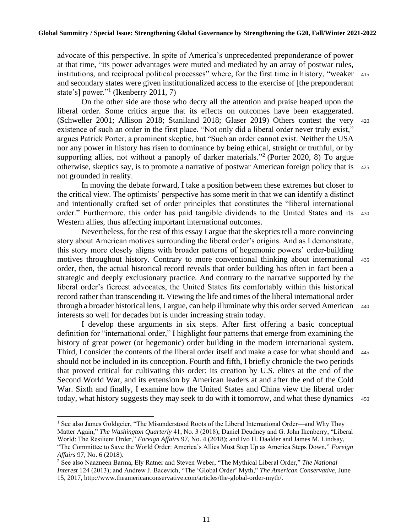advocate of this perspective. In spite of America's unprecedented preponderance of power at that time, "its power advantages were muted and mediated by an array of postwar rules, institutions, and reciprocal political processes" where, for the first time in history, "weaker 415 and secondary states were given institutionalized access to the exercise of [the preponderant state's] power."<sup>1</sup> (Ikenberry 2011, 7)

On the other side are those who decry all the attention and praise heaped upon the liberal order. Some critics argue that its effects on outcomes have been exaggerated. (Schweller 2001; Allison 2018; Staniland 2018; Glaser 2019) Others contest the very <sup>420</sup> existence of such an order in the first place. "Not only did a liberal order never truly exist," argues Patrick Porter, a prominent skeptic, but "Such an order cannot exist. Neither the USA nor any power in history has risen to dominance by being ethical, straight or truthful, or by supporting allies, not without a panoply of darker materials."<sup>2</sup> (Porter 2020, 8) To argue otherwise, skeptics say, is to promote a narrative of postwar American foreign policy that is <sup>425</sup> not grounded in reality.

In moving the debate forward, I take a position between these extremes but closer to the critical view. The optimists' perspective has some merit in that we can identify a distinct and intentionally crafted set of order principles that constitutes the "liberal international order." Furthermore, this order has paid tangible dividends to the United States and its <sup>430</sup> Western allies, thus affecting important international outcomes.

Nevertheless, for the rest of this essay I argue that the skeptics tell a more convincing story about American motives surrounding the liberal order's origins. And as I demonstrate, this story more closely aligns with broader patterns of hegemonic powers' order-building motives throughout history. Contrary to more conventional thinking about international <sup>435</sup> order, then, the actual historical record reveals that order building has often in fact been a strategic and deeply exclusionary practice. And contrary to the narrative supported by the liberal order's fiercest advocates, the United States fits comfortably within this historical record rather than transcending it. Viewing the life and times of the liberal international order through a broader historical lens, I argue, can help illuminate why this order served American <sup>440</sup> interests so well for decades but is under increasing strain today.

I develop these arguments in six steps. After first offering a basic conceptual definition for "international order," I highlight four patterns that emerge from examining the history of great power (or hegemonic) order building in the modern international system. Third, I consider the contents of the liberal order itself and make a case for what should and 445 should not be included in its conception. Fourth and fifth, I briefly chronicle the two periods that proved critical for cultivating this order: its creation by U.S. elites at the end of the Second World War, and its extension by American leaders at and after the end of the Cold War. Sixth and finally, I examine how the United States and China view the liberal order today, what history suggests they may seek to do with it tomorrow, and what these dynamics 450

<sup>&</sup>lt;sup>1</sup> See also James Goldgeier, "The Misunderstood Roots of the Liberal International Order—and Why They Matter Again," *The Washington Quarterly* 41, No. 3 (2018); Daniel Deudney and G. John Ikenberry, "Liberal World: The Resilient Order," *Foreign Affairs* 97, No. 4 (2018); and Ivo H. Daalder and James M. Lindsay, "The Committee to Save the World Order: America's Allies Must Step Up as America Steps Down," *Foreign Affairs* 97, No. 6 (2018).

<sup>2</sup> See also Naazneen Barma, Ely Ratner and Steven Weber, "The Mythical Liberal Order," *The National Interest* 124 (2013); and Andrew J. Bacevich, "The 'Global Order' Myth," *The American Conservative*, June 15, 2017, http://www.theamericanconservative.com/articles/the-global-order-myth/.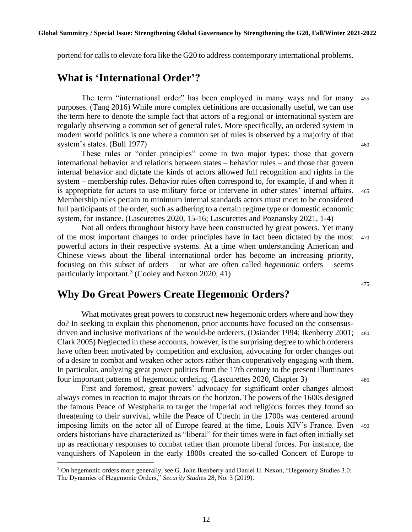portend for calls to elevate fora like the G20 to address contemporary international problems.

#### **What is 'International Order'?**

The term "international order" has been employed in many ways and for many <sup>455</sup> purposes. (Tang 2016) While more complex definitions are occasionally useful, we can use the term here to denote the simple fact that actors of a regional or international system are regularly observing a common set of general rules. More specifically, an ordered system in modern world politics is one where a common set of rules is observed by a majority of that system's states. (Bull 1977) 460

These rules or "order principles" come in two major types: those that govern international behavior and relations between states – behavior rules – and those that govern internal behavior and dictate the kinds of actors allowed full recognition and rights in the system – membership rules. Behavior rules often correspond to, for example, if and when it is appropriate for actors to use military force or intervene in other states' internal affairs. <sup>465</sup> Membership rules pertain to minimum internal standards actors must meet to be considered full participants of the order, such as adhering to a certain regime type or domestic economic system, for instance. (Lascurettes 2020, 15-16; Lascurettes and Poznansky 2021, 1-4)

Not all orders throughout history have been constructed by great powers. Yet many of the most important changes to order principles have in fact been dictated by the most <sup>470</sup> powerful actors in their respective systems. At a time when understanding American and Chinese views about the liberal international order has become an increasing priority, focusing on this subset of orders – or what are often called *hegemonic* orders – seems particularly important.<sup>3</sup> (Cooley and Nexon 2020, 41)

475

# **Why Do Great Powers Create Hegemonic Orders?**

What motivates great powers to construct new hegemonic orders where and how they do? In seeking to explain this phenomenon, prior accounts have focused on the consensusdriven and inclusive motivations of the would-be orderers. (Osiander 1994; Ikenberry 2001; <sup>480</sup> Clark 2005) Neglected in these accounts, however, is the surprising degree to which orderers have often been motivated by competition and exclusion, advocating for order changes out of a desire to combat and weaken other actors rather than cooperatively engaging with them. In particular, analyzing great power politics from the 17th century to the present illuminates four important patterns of hegemonic ordering. (Lascurettes 2020, Chapter 3) <sup>485</sup>

First and foremost, great powers' advocacy for significant order changes almost always comes in reaction to major threats on the horizon. The powers of the 1600s designed the famous Peace of Westphalia to target the imperial and religious forces they found so threatening to their survival, while the Peace of Utrecht in the 1700s was centered around imposing limits on the actor all of Europe feared at the time, Louis XIV's France. Even <sup>490</sup> orders historians have characterized as "liberal" for their times were in fact often initially set up as reactionary responses to combat rather than promote liberal forces. For instance, the vanquishers of Napoleon in the early 1800s created the so-called Concert of Europe to

<sup>3</sup> On hegemonic orders more generally, see G. John Ikenberry and Daniel H. Nexon, "Hegemony Studies 3.0: The Dynamics of Hegemonic Orders," *Security Studies* 28, No. 3 (2019).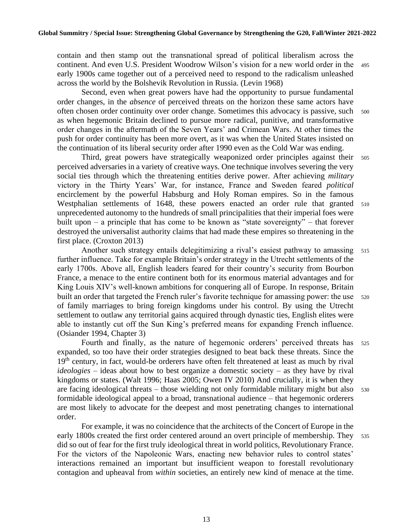contain and then stamp out the transnational spread of political liberalism across the continent. And even U.S. President Woodrow Wilson's vision for a new world order in the <sup>495</sup> early 1900s came together out of a perceived need to respond to the radicalism unleashed across the world by the Bolshevik Revolution in Russia. (Levin 1968)

Second, even when great powers have had the opportunity to pursue fundamental order changes, in the *absence* of perceived threats on the horizon these same actors have often chosen order continuity over order change. Sometimes this advocacy is passive, such <sup>500</sup> as when hegemonic Britain declined to pursue more radical, punitive, and transformative order changes in the aftermath of the Seven Years' and Crimean Wars. At other times the push for order continuity has been more overt, as it was when the United States insisted on the continuation of its liberal security order after 1990 even as the Cold War was ending.

Third, great powers have strategically weaponized order principles against their <sup>505</sup> perceived adversaries in a variety of creative ways. One technique involves severing the very social ties through which the threatening entities derive power. After achieving *military* victory in the Thirty Years' War, for instance, France and Sweden feared *political* encirclement by the powerful Habsburg and Holy Roman empires. So in the famous Westphalian settlements of 1648, these powers enacted an order rule that granted <sup>510</sup> unprecedented autonomy to the hundreds of small principalities that their imperial foes were built upon – a principle that has come to be known as "state sovereignty" – that forever destroyed the universalist authority claims that had made these empires so threatening in the first place. (Croxton 2013)

Another such strategy entails delegitimizing a rival's easiest pathway to amassing 515 further influence. Take for example Britain's order strategy in the Utrecht settlements of the early 1700s. Above all, English leaders feared for their country's security from Bourbon France, a menace to the entire continent both for its enormous material advantages and for King Louis XIV's well-known ambitions for conquering all of Europe. In response, Britain built an order that targeted the French ruler's favorite technique for amassing power: the use 520 of family marriages to bring foreign kingdoms under his control. By using the Utrecht settlement to outlaw any territorial gains acquired through dynastic ties, English elites were able to instantly cut off the Sun King's preferred means for expanding French influence. (Osiander 1994, Chapter 3)

Fourth and finally, as the nature of hegemonic orderers' perceived threats has <sup>525</sup> expanded, so too have their order strategies designed to beat back these threats. Since the 19<sup>th</sup> century, in fact, would-be orderers have often felt threatened at least as much by rival *ideologies* – ideas about how to best organize a domestic society – as they have by rival kingdoms or states. (Walt 1996; Haas 2005; Owen IV 2010) And crucially, it is when they are facing ideological threats – those wielding not only formidable military might but also <sup>530</sup> formidable ideological appeal to a broad, transnational audience – that hegemonic orderers are most likely to advocate for the deepest and most penetrating changes to international order.

For example, it was no coincidence that the architects of the Concert of Europe in the early 1800s created the first order centered around an overt principle of membership. They 535 did so out of fear for the first truly ideological threat in world politics, Revolutionary France. For the victors of the Napoleonic Wars, enacting new behavior rules to control states' interactions remained an important but insufficient weapon to forestall revolutionary contagion and upheaval from *within* societies, an entirely new kind of menace at the time.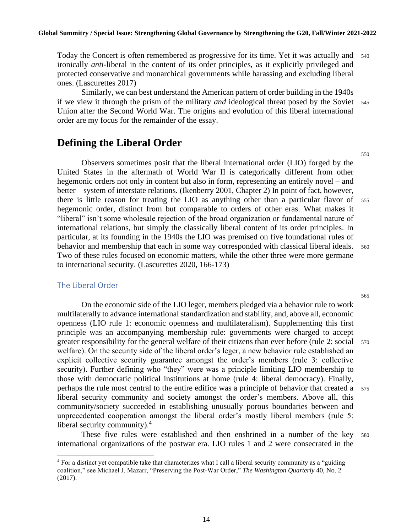Today the Concert is often remembered as progressive for its time. Yet it was actually and <sup>540</sup> ironically *anti*-liberal in the content of its order principles, as it explicitly privileged and protected conservative and monarchical governments while harassing and excluding liberal ones. (Lascurettes 2017)

Similarly, we can best understand the American pattern of order building in the 1940s if we view it through the prism of the military *and* ideological threat posed by the Soviet <sup>545</sup> Union after the Second World War. The origins and evolution of this liberal international order are my focus for the remainder of the essay.

# **Defining the Liberal Order**

Observers sometimes posit that the liberal international order (LIO) forged by the United States in the aftermath of World War II is categorically different from other hegemonic orders not only in content but also in form, representing an entirely novel – and better – system of interstate relations. (Ikenberry 2001, Chapter 2) In point of fact, however, there is little reason for treating the LIO as anything other than a particular flavor of <sup>555</sup> hegemonic order, distinct from but comparable to orders of other eras. What makes it "liberal" isn't some wholesale rejection of the broad organization or fundamental nature of international relations, but simply the classically liberal content of its order principles. In particular, at its founding in the 1940s the LIO was premised on five foundational rules of behavior and membership that each in some way corresponded with classical liberal ideals. 560 Two of these rules focused on economic matters, while the other three were more germane to international security. (Lascurettes 2020, 166-173)

#### The Liberal Order

On the economic side of the LIO leger, members pledged via a behavior rule to work multilaterally to advance international standardization and stability, and, above all, economic openness (LIO rule 1: economic openness and multilateralism). Supplementing this first principle was an accompanying membership rule: governments were charged to accept greater responsibility for the general welfare of their citizens than ever before (rule 2: social <sup>570</sup> welfare). On the security side of the liberal order's leger, a new behavior rule established an explicit collective security guarantee amongst the order's members (rule 3: collective security). Further defining who "they" were was a principle limiting LIO membership to those with democratic political institutions at home (rule 4: liberal democracy). Finally, perhaps the rule most central to the entire edifice was a principle of behavior that created a <sup>575</sup> liberal security community and society amongst the order's members. Above all, this community/society succeeded in establishing unusually porous boundaries between and unprecedented cooperation amongst the liberal order's mostly liberal members (rule 5: liberal security community).<sup>4</sup>

These five rules were established and then enshrined in a number of the key <sup>580</sup> international organizations of the postwar era. LIO rules 1 and 2 were consecrated in the

14

<sup>&</sup>lt;sup>4</sup> For a distinct yet compatible take that characterizes what I call a liberal security community as a "guiding" coalition," see Michael J. Mazarr, "Preserving the Post-War Order," *The Washington Quarterly* 40, No. 2 (2017).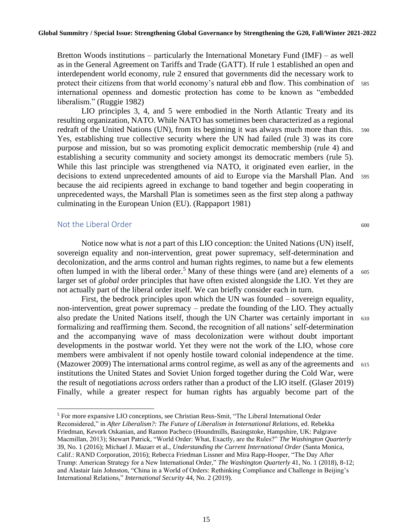Bretton Woods institutions – particularly the International Monetary Fund (IMF) – as well as in the General Agreement on Tariffs and Trade (GATT). If rule 1 established an open and interdependent world economy, rule 2 ensured that governments did the necessary work to protect their citizens from that world economy's natural ebb and flow. This combination of <sup>585</sup> international openness and domestic protection has come to be known as "embedded liberalism." (Ruggie 1982)

LIO principles 3, 4, and 5 were embodied in the North Atlantic Treaty and its resulting organization, NATO. While NATO has sometimes been characterized as a regional redraft of the United Nations (UN), from its beginning it was always much more than this. 590 Yes, establishing true collective security where the UN had failed (rule 3) was its core purpose and mission, but so was promoting explicit democratic membership (rule 4) and establishing a security community and society amongst its democratic members (rule 5). While this last principle was strengthened via NATO, it originated even earlier, in the decisions to extend unprecedented amounts of aid to Europe via the Marshall Plan. And <sup>595</sup> because the aid recipients agreed in exchange to band together and begin cooperating in unprecedented ways, the Marshall Plan is sometimes seen as the first step along a pathway culminating in the European Union (EU). (Rappaport 1981)

#### Not the Liberal Order 600

Notice now what is *not* a part of this LIO conception: the United Nations (UN) itself, sovereign equality and non-intervention, great power supremacy, self-determination and decolonization, and the arms control and human rights regimes, to name but a few elements often lumped in with the liberal order.<sup>5</sup> Many of these things were (and are) elements of a  $\epsilon_{.05}$ larger set of *global* order principles that have often existed alongside the LIO. Yet they are not actually part of the liberal order itself. We can briefly consider each in turn.

First, the bedrock principles upon which the UN was founded – sovereign equality, non-intervention, great power supremacy – predate the founding of the LIO. They actually also predate the United Nations itself, though the UN Charter was certainly important in <sup>610</sup> formalizing and reaffirming them. Second, the recognition of all nations' self-determination and the accompanying wave of mass decolonization were without doubt important developments in the postwar world. Yet they were not the work of the LIO, whose core members were ambivalent if not openly hostile toward colonial independence at the time. (Mazower 2009) The international arms control regime, as well as any of the agreements and  $615$ institutions the United States and Soviet Union forged together during the Cold War, were the result of negotiations *across* orders rather than a product of the LIO itself. (Glaser 2019) Finally, while a greater respect for human rights has arguably become part of the

<sup>5</sup> For more expansive LIO conceptions, see Christian Reus-Smit, "The Liberal International Order Reconsidered," in *After Liberalism?: The Future of Liberalism in International Relations*, ed. Rebekka Friedman, Kevork Oskanian, and Ramon Pacheco (Houndmills, Basingstoke, Hampshire, UK: Palgrave Macmillan, 2013); Stewart Patrick, "World Order: What, Exactly, are the Rules?" *The Washington Quarterly* 39, No. 1 (2016); Michael J. Mazarr et al., *Understanding the Current International Order* (Santa Monica, Calif.: RAND Corporation, 2016); Rebecca Friedman Lissner and Mira Rapp-Hooper, "The Day After Trump: American Strategy for a New International Order," *The Washington Quarterly* 41, No. 1 (2018), 8-12; and Alastair Iain Johnston, "China in a World of Orders: Rethinking Compliance and Challenge in Beijing's International Relations," *International Security* 44, No. 2 (2019).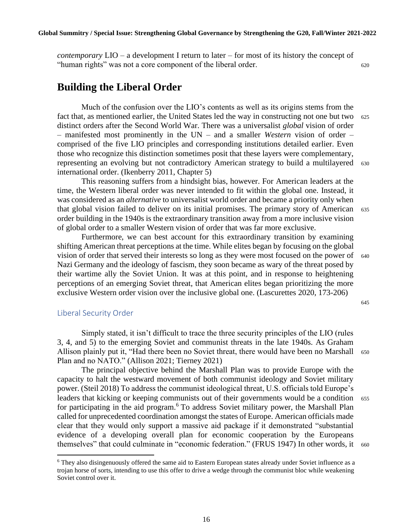*contemporary* LIO – a development I return to later – for most of its history the concept of "human rights" was not a core component of the liberal order. <sup>620</sup>

# **Building the Liberal Order**

Much of the confusion over the LIO's contents as well as its origins stems from the fact that, as mentioned earlier, the United States led the way in constructing not one but two  $625$ distinct orders after the Second World War. There was a universalist *global* vision of order – manifested most prominently in the UN – and a smaller *Western* vision of order – comprised of the five LIO principles and corresponding institutions detailed earlier. Even those who recognize this distinction sometimes posit that these layers were complementary, representing an evolving but not contradictory American strategy to build a multilayered <sup>630</sup> international order. (Ikenberry 2011, Chapter 5)

This reasoning suffers from a hindsight bias, however. For American leaders at the time, the Western liberal order was never intended to fit within the global one. Instead, it was considered as an *alternative* to universalist world order and became a priority only when that global vision failed to deliver on its initial promises. The primary story of American <sup>635</sup> order building in the 1940s is the extraordinary transition away from a more inclusive vision of global order to a smaller Western vision of order that was far more exclusive.

Furthermore, we can best account for this extraordinary transition by examining shifting American threat perceptions at the time. While elites began by focusing on the global vision of order that served their interests so long as they were most focused on the power of  $640$ Nazi Germany and the ideology of fascism, they soon became as wary of the threat posed by their wartime ally the Soviet Union. It was at this point, and in response to heightening perceptions of an emerging Soviet threat, that American elites began prioritizing the more exclusive Western order vision over the inclusive global one. (Lascurettes 2020, 173-206)

#### 645

#### Liberal Security Order

Simply stated, it isn't difficult to trace the three security principles of the LIO (rules 3, 4, and 5) to the emerging Soviet and communist threats in the late 1940s. As Graham Allison plainly put it, "Had there been no Soviet threat, there would have been no Marshall 650 Plan and no NATO." (Allison 2021; Tierney 2021)

The principal objective behind the Marshall Plan was to provide Europe with the capacity to halt the westward movement of both communist ideology and Soviet military power. (Steil 2018) To address the communist ideological threat, U.S. officials told Europe's leaders that kicking or keeping communists out of their governments would be a condition 655 for participating in the aid program.<sup>6</sup> To address Soviet military power, the Marshall Plan called for unprecedented coordination amongst the states of Europe. American officials made clear that they would only support a massive aid package if it demonstrated "substantial evidence of a developing overall plan for economic cooperation by the Europeans themselves" that could culminate in "economic federation." (FRUS 1947) In other words, it 660

<sup>6</sup> They also disingenuously offered the same aid to Eastern European states already under Soviet influence as a trojan horse of sorts, intending to use this offer to drive a wedge through the communist bloc while weakening Soviet control over it.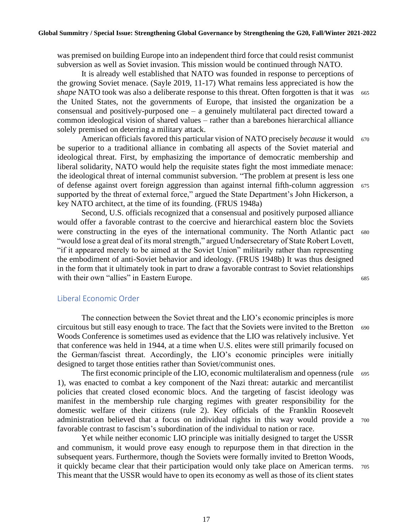was premised on building Europe into an independent third force that could resist communist subversion as well as Soviet invasion. This mission would be continued through NATO.

It is already well established that NATO was founded in response to perceptions of the growing Soviet menace. (Sayle 2019, 11-17) What remains less appreciated is how the *shape* NATO took was also a deliberate response to this threat. Often forgotten is that it was 665 the United States, not the governments of Europe, that insisted the organization be a consensual and positively-purposed one – a genuinely multilateral pact directed toward a common ideological vision of shared values – rather than a barebones hierarchical alliance solely premised on deterring a military attack.

American officials favored this particular vision of NATO precisely *because* it would 670 be superior to a traditional alliance in combating all aspects of the Soviet material and ideological threat. First, by emphasizing the importance of democratic membership and liberal solidarity, NATO would help the requisite states fight the most immediate menace: the ideological threat of internal communist subversion. "The problem at present is less one of defense against overt foreign aggression than against internal fifth-column aggression <sup>675</sup> supported by the threat of external force," argued the State Department's John Hickerson, a key NATO architect, at the time of its founding. (FRUS 1948a)

Second, U.S. officials recognized that a consensual and positively purposed alliance would offer a favorable contrast to the coercive and hierarchical eastern bloc the Soviets were constructing in the eyes of the international community. The North Atlantic pact <sup>680</sup> "would lose a great deal of its moral strength," argued Undersecretary of State Robert Lovett, "if it appeared merely to be aimed at the Soviet Union" militarily rather than representing the embodiment of anti-Soviet behavior and ideology. (FRUS 1948b) It was thus designed in the form that it ultimately took in part to draw a favorable contrast to Soviet relationships with their own "allies" in Eastern Europe. 685

#### Liberal Economic Order

The connection between the Soviet threat and the LIO's economic principles is more circuitous but still easy enough to trace. The fact that the Soviets were invited to the Bretton <sup>690</sup> Woods Conference is sometimes used as evidence that the LIO was relatively inclusive. Yet that conference was held in 1944, at a time when U.S. elites were still primarily focused on the German/fascist threat. Accordingly, the LIO's economic principles were initially designed to target those entities rather than Soviet/communist ones.

The first economic principle of the LIO, economic multilateralism and openness (rule 695 1), was enacted to combat a key component of the Nazi threat: autarkic and mercantilist policies that created closed economic blocs. And the targeting of fascist ideology was manifest in the membership rule charging regimes with greater responsibility for the domestic welfare of their citizens (rule 2). Key officials of the Franklin Roosevelt administration believed that a focus on individual rights in this way would provide a <sup>700</sup> favorable contrast to fascism's subordination of the individual to nation or race.

Yet while neither economic LIO principle was initially designed to target the USSR and communism, it would prove easy enough to repurpose them in that direction in the subsequent years. Furthermore, though the Soviets were formally invited to Bretton Woods, it quickly became clear that their participation would only take place on American terms. <sup>705</sup> This meant that the USSR would have to open its economy as well as those of its client states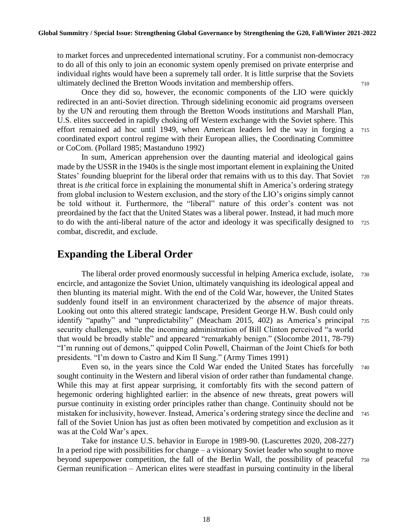to market forces and unprecedented international scrutiny. For a communist non-democracy to do all of this only to join an economic system openly premised on private enterprise and individual rights would have been a supremely tall order. It is little surprise that the Soviets ultimately declined the Bretton Woods invitation and membership offers.  $\frac{710}{20}$ 

Once they did so, however, the economic components of the LIO were quickly redirected in an anti-Soviet direction. Through sidelining economic aid programs overseen by the UN and rerouting them through the Bretton Woods institutions and Marshall Plan, U.S. elites succeeded in rapidly choking off Western exchange with the Soviet sphere. This effort remained ad hoc until 1949, when American leaders led the way in forging a <sup>715</sup> coordinated export control regime with their European allies, the Coordinating Committee or CoCom. (Pollard 1985; Mastanduno 1992)

In sum, American apprehension over the daunting material and ideological gains made by the USSR in the 1940s is the single most important element in explaining the United States' founding blueprint for the liberal order that remains with us to this day. That Soviet 720 threat is *the* critical force in explaining the monumental shift in America's ordering strategy from global inclusion to Western exclusion, and the story of the LIO's origins simply cannot be told without it. Furthermore, the "liberal" nature of this order's content was not preordained by the fact that the United States was a liberal power. Instead, it had much more to do with the anti-liberal nature of the actor and ideology it was specifically designed to <sup>725</sup> combat, discredit, and exclude.

## **Expanding the Liberal Order**

The liberal order proved enormously successful in helping America exclude, isolate, <sup>730</sup> encircle, and antagonize the Soviet Union, ultimately vanquishing its ideological appeal and then blunting its material might. With the end of the Cold War, however, the United States suddenly found itself in an environment characterized by the *absence* of major threats. Looking out onto this altered strategic landscape, President George H.W. Bush could only identify "apathy" and "unpredictability" (Meacham 2015, 402) as America's principal <sup>735</sup> security challenges, while the incoming administration of Bill Clinton perceived "a world that would be broadly stable" and appeared "remarkably benign." (Slocombe 2011, 78-79) "I'm running out of demons," quipped Colin Powell, Chairman of the Joint Chiefs for both presidents. "I'm down to Castro and Kim Il Sung." (Army Times 1991)

Even so, in the years since the Cold War ended the United States has forcefully <sup>740</sup> sought continuity in the Western and liberal vision of order rather than fundamental change. While this may at first appear surprising, it comfortably fits with the second pattern of hegemonic ordering highlighted earlier: in the absence of new threats, great powers will pursue continuity in existing order principles rather than change. Continuity should not be mistaken for inclusivity, however. Instead, America's ordering strategy since the decline and <sup>745</sup> fall of the Soviet Union has just as often been motivated by competition and exclusion as it was at the Cold War's apex.

Take for instance U.S. behavior in Europe in 1989-90. (Lascurettes 2020, 208-227) In a period ripe with possibilities for change – a visionary Soviet leader who sought to move beyond superpower competition, the fall of the Berlin Wall, the possibility of peaceful <sup>750</sup> German reunification – American elites were steadfast in pursuing continuity in the liberal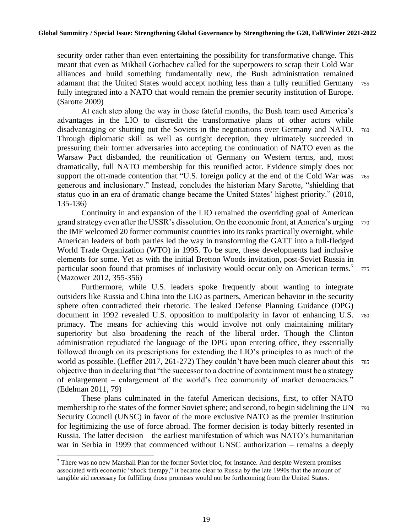security order rather than even entertaining the possibility for transformative change. This meant that even as Mikhail Gorbachev called for the superpowers to scrap their Cold War alliances and build something fundamentally new, the Bush administration remained adamant that the United States would accept nothing less than a fully reunified Germany <sup>755</sup> fully integrated into a NATO that would remain the premier security institution of Europe. (Sarotte 2009)

At each step along the way in those fateful months, the Bush team used America's advantages in the LIO to discredit the transformative plans of other actors while disadvantaging or shutting out the Soviets in the negotiations over Germany and NATO. 760 Through diplomatic skill as well as outright deception, they ultimately succeeded in pressuring their former adversaries into accepting the continuation of NATO even as the Warsaw Pact disbanded, the reunification of Germany on Western terms, and, most dramatically, full NATO membership for this reunified actor. Evidence simply does not support the oft-made contention that "U.S. foreign policy at the end of the Cold War was 765 generous and inclusionary." Instead, concludes the historian Mary Sarotte, "shielding that status quo in an era of dramatic change became the United States' highest priority." (2010, 135-136)

Continuity in and expansion of the LIO remained the overriding goal of American grand strategy even after the USSR's dissolution. On the economic front, at America's urging <sup>770</sup> the IMF welcomed 20 former communist countries into its ranks practically overnight, while American leaders of both parties led the way in transforming the GATT into a full-fledged World Trade Organization (WTO) in 1995. To be sure, these developments had inclusive elements for some. Yet as with the initial Bretton Woods invitation, post-Soviet Russia in particular soon found that promises of inclusivity would occur only on American terms.<sup>7</sup> 775 (Mazower 2012, 355-356)

Furthermore, while U.S. leaders spoke frequently about wanting to integrate outsiders like Russia and China into the LIO as partners, American behavior in the security sphere often contradicted their rhetoric. The leaked Defense Planning Guidance (DPG) document in 1992 revealed U.S. opposition to multipolarity in favor of enhancing U.S. <sup>780</sup> primacy. The means for achieving this would involve not only maintaining military superiority but also broadening the reach of the liberal order. Though the Clinton administration repudiated the language of the DPG upon entering office, they essentially followed through on its prescriptions for extending the LIO's principles to as much of the world as possible. (Leffler 2017, 261-272) They couldn't have been much clearer about this 785 objective than in declaring that "the successor to a doctrine of containment must be a strategy of enlargement – enlargement of the world's free community of market democracies." (Edelman 2011, 79)

These plans culminated in the fateful American decisions, first, to offer NATO membership to the states of the former Soviet sphere; and second, to begin sidelining the UN  $\frac{790}{ }$ Security Council (UNSC) in favor of the more exclusive NATO as the premier institution for legitimizing the use of force abroad. The former decision is today bitterly resented in Russia. The latter decision – the earliest manifestation of which was NATO's humanitarian war in Serbia in 1999 that commenced without UNSC authorization – remains a deeply

 $<sup>7</sup>$  There was no new Marshall Plan for the former Soviet bloc, for instance. And despite Western promises</sup> associated with economic "shock therapy," it became clear to Russia by the late 1990s that the amount of tangible aid necessary for fulfilling those promises would not be forthcoming from the United States.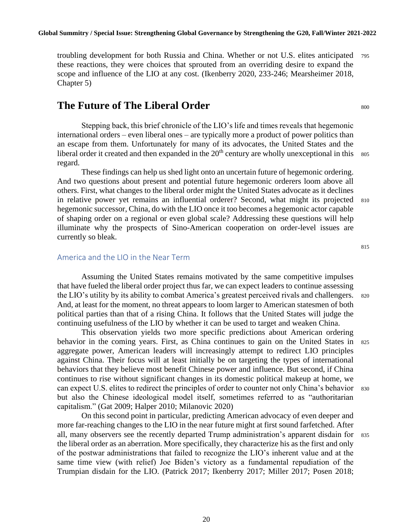troubling development for both Russia and China. Whether or not U.S. elites anticipated <sup>795</sup> these reactions, they were choices that sprouted from an overriding desire to expand the scope and influence of the LIO at any cost. (Ikenberry 2020, 233-246; Mearsheimer 2018, Chapter 5)

#### **The Future of The Liberal Order** 800

Stepping back, this brief chronicle of the LIO's life and times reveals that hegemonic international orders – even liberal ones – are typically more a product of power politics than an escape from them. Unfortunately for many of its advocates, the United States and the liberal order it created and then expanded in the  $20<sup>th</sup>$  century are wholly unexceptional in this  $805$ regard.

These findings can help us shed light onto an uncertain future of hegemonic ordering. And two questions about present and potential future hegemonic orderers loom above all others. First, what changes to the liberal order might the United States advocate as it declines in relative power yet remains an influential orderer? Second, what might its projected <sup>810</sup> hegemonic successor, China, do with the LIO once it too becomes a hegemonic actor capable of shaping order on a regional or even global scale? Addressing these questions will help illuminate why the prospects of Sino-American cooperation on order-level issues are currently so bleak.

#### America and the LIO in the Near Term

Assuming the United States remains motivated by the same competitive impulses that have fueled the liberal order project thus far, we can expect leaders to continue assessing the LIO's utility by its ability to combat America's greatest perceived rivals and challengers. <sup>820</sup> And, at least for the moment, no threat appears to loom larger to American statesmen of both political parties than that of a rising China. It follows that the United States will judge the continuing usefulness of the LIO by whether it can be used to target and weaken China.

This observation yields two more specific predictions about American ordering behavior in the coming years. First, as China continues to gain on the United States in <sup>825</sup> aggregate power, American leaders will increasingly attempt to redirect LIO principles against China. Their focus will at least initially be on targeting the types of international behaviors that they believe most benefit Chinese power and influence. But second, if China continues to rise without significant changes in its domestic political makeup at home, we can expect U.S. elites to redirect the principles of order to counter not only China's behavior 830 but also the Chinese ideological model itself, sometimes referred to as "authoritarian capitalism." (Gat 2009; Halper 2010; Milanovic 2020)

On this second point in particular, predicting American advocacy of even deeper and more far-reaching changes to the LIO in the near future might at first sound farfetched. After all, many observers see the recently departed Trump administration's apparent disdain for <sup>835</sup> the liberal order as an aberration. More specifically, they characterize his as the first and only of the postwar administrations that failed to recognize the LIO's inherent value and at the same time view (with relief) Joe Biden's victory as a fundamental repudiation of the Trumpian disdain for the LIO. (Patrick 2017; Ikenberry 2017; Miller 2017; Posen 2018;

20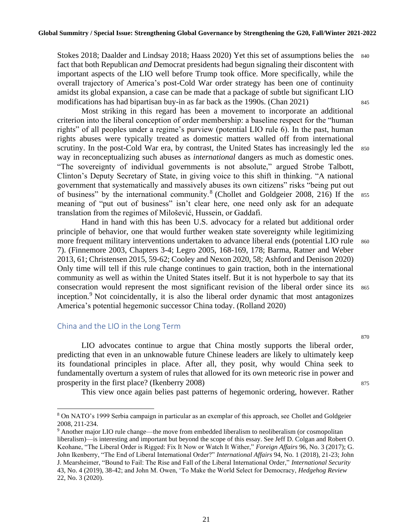Stokes 2018; Daalder and Lindsay 2018; Haass 2020) Yet this set of assumptions belies the 840 fact that both Republican *and* Democrat presidents had begun signaling their discontent with important aspects of the LIO well before Trump took office. More specifically, while the overall trajectory of America's post-Cold War order strategy has been one of continuity amidst its global expansion, a case can be made that a package of subtle but significant LIO modifications has had bipartisan buy-in as far back as the 1990s. (Chan 2021) <sup>845</sup>

Most striking in this regard has been a movement to incorporate an additional criterion into the liberal conception of order membership: a baseline respect for the "human rights" of all peoples under a regime's purview (potential LIO rule 6). In the past, human rights abuses were typically treated as domestic matters walled off from international scrutiny. In the post-Cold War era, by contrast, the United States has increasingly led the 850 way in reconceptualizing such abuses as *international* dangers as much as domestic ones. "The sovereignty of individual governments is not absolute," argued Strobe Talbott, Clinton's Deputy Secretary of State, in giving voice to this shift in thinking. "A national government that systematically and massively abuses its own citizens" risks "being put out of business" by the international community.<sup>8</sup> (Chollet and Goldgeier 2008, 216) If the 855 meaning of "put out of business" isn't clear here, one need only ask for an adequate translation from the regimes of Milošević, Hussein, or Gaddafi.

Hand in hand with this has been U.S. advocacy for a related but additional order principle of behavior, one that would further weaken state sovereignty while legitimizing more frequent military interventions undertaken to advance liberal ends (potential LIO rule 860) 7). (Finnemore 2003, Chapters 3-4; Legro 2005, 168-169, 178; Barma, Ratner and Weber 2013, 61; Christensen 2015, 59-62; Cooley and Nexon 2020, 58; Ashford and Denison 2020) Only time will tell if this rule change continues to gain traction, both in the international community as well as within the United States itself. But it is not hyperbole to say that its consecration would represent the most significant revision of the liberal order since its 865 inception.<sup>9</sup> Not coincidentally, it is also the liberal order dynamic that most antagonizes America's potential hegemonic successor China today. (Rolland 2020)

#### China and the LIO in the Long Term

LIO advocates continue to argue that China mostly supports the liberal order, predicting that even in an unknowable future Chinese leaders are likely to ultimately keep its foundational principles in place. After all, they posit, why would China seek to fundamentally overturn a system of rules that allowed for its own meteoric rise in power and prosperity in the first place? (Ikenberry 2008) 875

This view once again belies past patterns of hegemonic ordering, however. Rather

21

<sup>8</sup> On NATO's 1999 Serbia campaign in particular as an exemplar of this approach, see Chollet and Goldgeier 2008, 211-234.

<sup>9</sup> Another major LIO rule change—the move from embedded liberalism to neoliberalism (or cosmopolitan liberalism)—is interesting and important but beyond the scope of this essay. See Jeff D. Colgan and Robert O. Keohane, "The Liberal Order is Rigged: Fix It Now or Watch It Wither," *Foreign Affairs* 96, No. 3 (2017); G. John Ikenberry, "The End of Liberal International Order?" *International Affairs* 94, No. 1 (2018), 21-23; John J. Mearsheimer, "Bound to Fail: The Rise and Fall of the Liberal International Order," *International Security* 43, No. 4 (2019), 38-42; and John M. Owen, 'To Make the World Select for Democracy, *Hedgehog Review*  22, No. 3 (2020).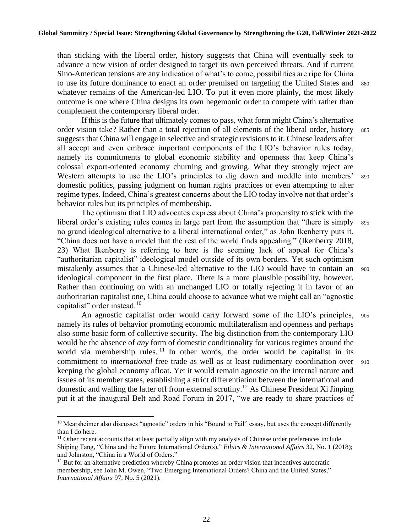than sticking with the liberal order, history suggests that China will eventually seek to advance a new vision of order designed to target its own perceived threats. And if current Sino-American tensions are any indication of what's to come, possibilities are ripe for China to use its future dominance to enact an order premised on targeting the United States and <sup>880</sup> whatever remains of the American-led LIO. To put it even more plainly, the most likely outcome is one where China designs its own hegemonic order to compete with rather than complement the contemporary liberal order.

If this is the future that ultimately comes to pass, what form might China's alternative order vision take? Rather than a total rejection of all elements of the liberal order, history 885 suggests that China will engage in selective and strategic revisions to it. Chinese leaders after all accept and even embrace important components of the LIO's behavior rules today, namely its commitments to global economic stability and openness that keep China's colossal export-oriented economy churning and growing. What they strongly reject are Western attempts to use the LIO's principles to dig down and meddle into members' 890 domestic politics, passing judgment on human rights practices or even attempting to alter regime types. Indeed, China's greatest concerns about the LIO today involve not that order's behavior rules but its principles of membership.

The optimism that LIO advocates express about China's propensity to stick with the liberal order's existing rules comes in large part from the assumption that "there is simply 895" no grand ideological alternative to a liberal international order," as John Ikenberry puts it. "China does not have a model that the rest of the world finds appealing." (Ikenberry 2018, 23) What Ikenberry is referring to here is the seeming lack of appeal for China's "authoritarian capitalist" ideological model outside of its own borders. Yet such optimism mistakenly assumes that a Chinese-led alternative to the LIO would have to contain an <sup>900</sup> ideological component in the first place. There is a more plausible possibility, however. Rather than continuing on with an unchanged LIO or totally rejecting it in favor of an authoritarian capitalist one, China could choose to advance what we might call an "agnostic capitalist" order instead.<sup>10</sup>

An agnostic capitalist order would carry forward *some* of the LIO's principles, <sup>905</sup> namely its rules of behavior promoting economic multilateralism and openness and perhaps also some basic form of collective security. The big distinction from the contemporary LIO would be the absence of *any* form of domestic conditionality for various regimes around the world via membership rules.  $11$  In other words, the order would be capitalist in its commitment to *international* free trade as well as at least rudimentary coordination over 910 keeping the global economy afloat. Yet it would remain agnostic on the internal nature and issues of its member states, establishing a strict differentiation between the international and domestic and walling the latter off from external scrutiny.<sup>12</sup> As Chinese President Xi Jinping put it at the inaugural Belt and Road Forum in 2017, "we are ready to share practices of

<sup>&</sup>lt;sup>10</sup> Mearsheimer also discusses "agnostic" orders in his "Bound to Fail" essay, but uses the concept differently than I do here.

<sup>&</sup>lt;sup>11</sup> Other recent accounts that at least partially align with my analysis of Chinese order preferences include Shiping Tang, "China and the Future International Order(s)," *Ethics & International Affairs* 32, No. 1 (2018); and Johnston, "China in a World of Orders."

 $12$  But for an alternative prediction whereby China promotes an order vision that incentives autocratic membership, see John M. Owen, "Two Emerging International Orders? China and the United States," *International Affairs* 97, No. 5 (2021).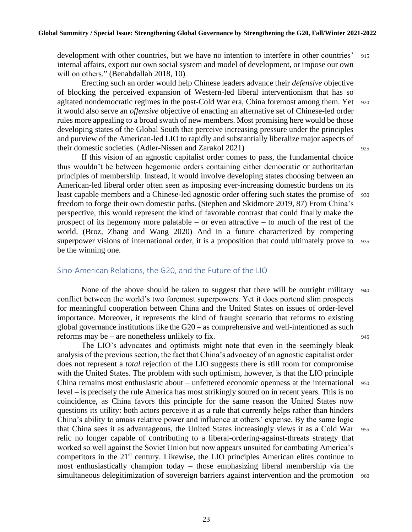development with other countries, but we have no intention to interfere in other countries' 915 internal affairs, export our own social system and model of development, or impose our own will on others." (Benabdallah 2018, 10)

Erecting such an order would help Chinese leaders advance their *defensive* objective of blocking the perceived expansion of Western-led liberal interventionism that has so agitated nondemocratic regimes in the post-Cold War era, China foremost among them. Yet <sup>920</sup> it would also serve an *offensive* objective of enacting an alternative set of Chinese-led order rules more appealing to a broad swath of new members. Most promising here would be those developing states of the Global South that perceive increasing pressure under the principles and purview of the American-led LIO to rapidly and substantially liberalize major aspects of their domestic societies. (Adler-Nissen and Zarakol 2021) <sup>925</sup>

If this vision of an agnostic capitalist order comes to pass, the fundamental choice thus wouldn't be between hegemonic orders containing either democratic or authoritarian principles of membership. Instead, it would involve developing states choosing between an American-led liberal order often seen as imposing ever-increasing domestic burdens on its least capable members and a Chinese-led agnostic order offering such states the promise of <sup>930</sup> freedom to forge their own domestic paths. (Stephen and Skidmore 2019, 87) From China's perspective, this would represent the kind of favorable contrast that could finally make the prospect of its hegemony more palatable – or even attractive – to much of the rest of the world. (Broz, Zhang and Wang 2020) And in a future characterized by competing superpower visions of international order, it is a proposition that could ultimately prove to 935 be the winning one.

#### Sino-American Relations, the G20, and the Future of the LIO

None of the above should be taken to suggest that there will be outright military 940 conflict between the world's two foremost superpowers. Yet it does portend slim prospects for meaningful cooperation between China and the United States on issues of order-level importance. Moreover, it represents the kind of fraught scenario that reforms to existing global governance institutions like the G20 – as comprehensive and well-intentioned as such reforms may be – are nonetheless unlikely to fix.  $945$ 

The LIO's advocates and optimists might note that even in the seemingly bleak analysis of the previous section, the fact that China's advocacy of an agnostic capitalist order does not represent a *total* rejection of the LIO suggests there is still room for compromise with the United States. The problem with such optimism, however, is that the LIO principle China remains most enthusiastic about – unfettered economic openness at the international 950 level – is precisely the rule America has most strikingly soured on in recent years. This is no coincidence, as China favors this principle for the same reason the United States now questions its utility: both actors perceive it as a rule that currently helps rather than hinders China's ability to amass relative power and influence at others' expense. By the same logic that China sees it as advantageous, the United States increasingly views it as a Cold War <sup>955</sup> relic no longer capable of contributing to a liberal-ordering-against-threats strategy that worked so well against the Soviet Union but now appears unsuited for combating America's competitors in the  $21<sup>st</sup>$  century. Likewise, the LIO principles American elites continue to most enthusiastically champion today – those emphasizing liberal membership via the simultaneous delegitimization of sovereign barriers against intervention and the promotion 960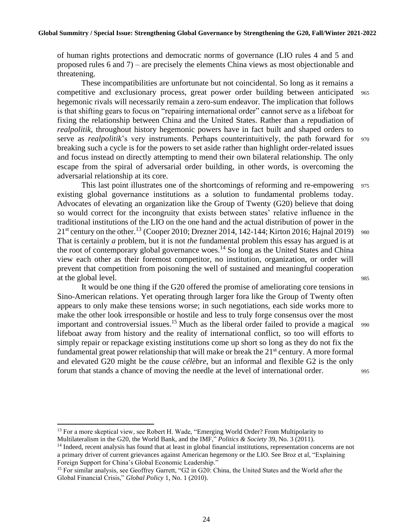of human rights protections and democratic norms of governance (LIO rules 4 and 5 and proposed rules 6 and 7) – are precisely the elements China views as most objectionable and threatening.

These incompatibilities are unfortunate but not coincidental. So long as it remains a competitive and exclusionary process, great power order building between anticipated <sup>965</sup> hegemonic rivals will necessarily remain a zero-sum endeavor. The implication that follows is that shifting gears to focus on "repairing international order" cannot serve as a lifeboat for fixing the relationship between China and the United States. Rather than a repudiation of *realpolitik*, throughout history hegemonic powers have in fact built and shaped orders to serve as *realpolitik*'s very instruments. Perhaps counterintuitively, the path forward for <sup>970</sup> breaking such a cycle is for the powers to set aside rather than highlight order-related issues and focus instead on directly attempting to mend their own bilateral relationship. The only escape from the spiral of adversarial order building, in other words, is overcoming the adversarial relationship at its core.

This last point illustrates one of the shortcomings of reforming and re-empowering 975 existing global governance institutions as a solution to fundamental problems today. Advocates of elevating an organization like the Group of Twenty (G20) believe that doing so would correct for the incongruity that exists between states' relative influence in the traditional institutions of the LIO on the one hand and the actual distribution of power in the  $21^{st}$  century on the other.<sup>13</sup> (Cooper 2010; Drezner 2014, 142-144; Kirton 2016; Hajnal 2019) 980 That is certainly *a* problem, but it is not *the* fundamental problem this essay has argued is at the root of contemporary global governance woes.<sup>14</sup> So long as the United States and China view each other as their foremost competitor, no institution, organization, or order will prevent that competition from poisoning the well of sustained and meaningful cooperation at the global level. 985

It would be one thing if the G20 offered the promise of ameliorating core tensions in Sino-American relations. Yet operating through larger fora like the Group of Twenty often appears to only make these tensions worse; in such negotiations, each side works more to make the other look irresponsible or hostile and less to truly forge consensus over the most important and controversial issues.<sup>15</sup> Much as the liberal order failed to provide a magical  $990$ lifeboat away from history and the reality of international conflict, so too will efforts to simply repair or repackage existing institutions come up short so long as they do not fix the fundamental great power relationship that will make or break the  $21<sup>st</sup>$  century. A more formal and elevated G20 might be the *cause célèbre*, but an informal and flexible G2 is the only forum that stands a chance of moving the needle at the level of international order. 995

<sup>&</sup>lt;sup>13</sup> For a more skeptical view, see Robert H. Wade, "Emerging World Order? From Multipolarity to Multilateralism in the G20, the World Bank, and the IMF," *Politics & Society* 39, No. 3 (2011).

<sup>&</sup>lt;sup>14</sup> Indeed, recent analysis has found that at least in global financial institutions, representation concerns are not a primary driver of current grievances against American hegemony or the LIO. See Broz et al, "Explaining Foreign Support for China's Global Economic Leadership."

<sup>15</sup> For similar analysis, see Geoffrey Garrett, "G2 in G20: China, the United States and the World after the Global Financial Crisis," *Global Policy* 1, No. 1 (2010).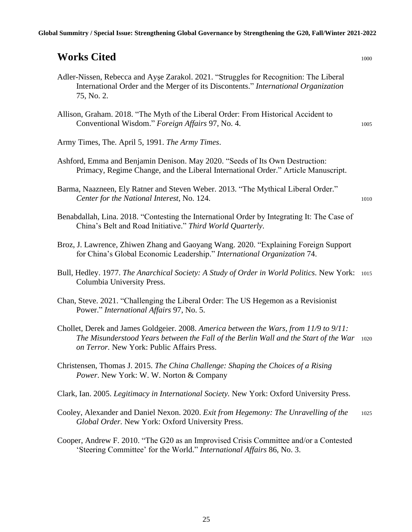# *Works Cited* 1000

- Adler-Nissen, Rebecca and Ayşe Zarakol. 2021. "Struggles for Recognition: The Liberal International Order and the Merger of its Discontents." *International Organization* 75, No. 2.
- Allison, Graham. 2018. "The Myth of the Liberal Order: From Historical Accident to Conventional Wisdom." *Foreign Affairs* 97, No. 4. 1005
- Army Times, The. April 5, 1991. *The Army Times*.
- Ashford, Emma and Benjamin Denison. May 2020. "Seeds of Its Own Destruction: Primacy, Regime Change, and the Liberal International Order." Article Manuscript.
- Barma, Naazneen, Ely Ratner and Steven Weber. 2013. "The Mythical Liberal Order." *Center for the National Interest*, No. 124. 1010
- Benabdallah, Lina. 2018. "Contesting the International Order by Integrating It: The Case of China's Belt and Road Initiative." *Third World Quarterly*.
- Broz, J. Lawrence, Zhiwen Zhang and Gaoyang Wang. 2020. "Explaining Foreign Support for China's Global Economic Leadership." *International Organization* 74.
- Bull, Hedley. 1977. *The Anarchical Society: A Study of Order in World Politics*. New York: 1015 Columbia University Press.
- Chan, Steve. 2021. "Challenging the Liberal Order: The US Hegemon as a Revisionist Power." *International Affairs* 97, No. 5.
- Chollet, Derek and James Goldgeier. 2008. *America between the Wars, from 11/9 to 9/11: The Misunderstood Years between the Fall of the Berlin Wall and the Start of the War* <sup>1020</sup> *on Terror.* New York: Public Affairs Press.
- Christensen, Thomas J. 2015. *The China Challenge: Shaping the Choices of a Rising Power*. New York: W. W. Norton & Company
- Clark, Ian. 2005. *Legitimacy in International Society.* New York: Oxford University Press.
- Cooley, Alexander and Daniel Nexon. 2020. *Exit from Hegemony: The Unravelling of the* <sup>1025</sup> *Global Order.* New York: Oxford University Press.
- Cooper, Andrew F. 2010. "The G20 as an Improvised Crisis Committee and/or a Contested 'Steering Committee' for the World." *International Affairs* 86, No. 3.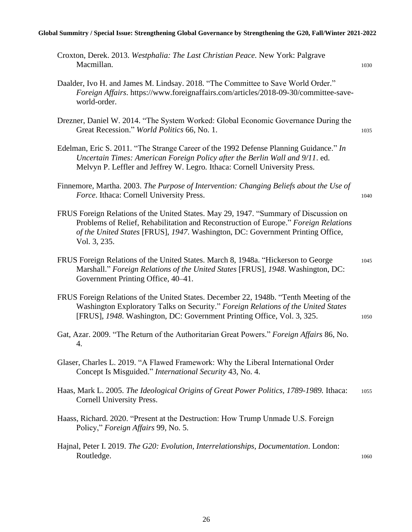#### **Global Summitry / Special Issue: Strengthening Global Governance by Strengthening the G20, Fall/Winter 2021-2022**

| Croxton, Derek. 2013. Westphalia: The Last Christian Peace. New York: Palgrave<br>Macmillan.                                                                                                                                                                                  | 1030 |
|-------------------------------------------------------------------------------------------------------------------------------------------------------------------------------------------------------------------------------------------------------------------------------|------|
| Daalder, Ivo H. and James M. Lindsay. 2018. "The Committee to Save World Order."<br>Foreign Affairs. https://www.foreignaffairs.com/articles/2018-09-30/committee-save-<br>world-order.                                                                                       |      |
| Drezner, Daniel W. 2014. "The System Worked: Global Economic Governance During the<br>Great Recession." World Politics 66, No. 1.                                                                                                                                             | 1035 |
| Edelman, Eric S. 2011. "The Strange Career of the 1992 Defense Planning Guidance." In<br>Uncertain Times: American Foreign Policy after the Berlin Wall and 9/11. ed.<br>Melvyn P. Leffler and Jeffrey W. Legro. Ithaca: Cornell University Press.                            |      |
| Finnemore, Martha. 2003. The Purpose of Intervention: Changing Beliefs about the Use of<br>Force. Ithaca: Cornell University Press.                                                                                                                                           | 1040 |
| FRUS Foreign Relations of the United States. May 29, 1947. "Summary of Discussion on<br>Problems of Relief, Rehabilitation and Reconstruction of Europe." Foreign Relations<br>of the United States [FRUS], 1947. Washington, DC: Government Printing Office,<br>Vol. 3, 235. |      |
| FRUS Foreign Relations of the United States. March 8, 1948a. "Hickerson to George<br>Marshall." Foreign Relations of the United States [FRUS], 1948. Washington, DC:<br>Government Printing Office, 40–41.                                                                    | 1045 |
| FRUS Foreign Relations of the United States. December 22, 1948b. "Tenth Meeting of the<br>Washington Exploratory Talks on Security." Foreign Relations of the United States<br>[FRUS], 1948. Washington, DC: Government Printing Office, Vol. 3, 325.                         | 1050 |
| Gat, Azar. 2009. "The Return of the Authoritarian Great Powers." Foreign Affairs 86, No.<br>4.                                                                                                                                                                                |      |
| Glaser, Charles L. 2019. "A Flawed Framework: Why the Liberal International Order<br>Concept Is Misguided." International Security 43, No. 4.                                                                                                                                 |      |
| Haas, Mark L. 2005. The Ideological Origins of Great Power Politics, 1789-1989. Ithaca:<br><b>Cornell University Press.</b>                                                                                                                                                   | 1055 |
| Haass, Richard. 2020. "Present at the Destruction: How Trump Unmade U.S. Foreign<br>Policy," Foreign Affairs 99, No. 5.                                                                                                                                                       |      |
| Hajnal, Peter I. 2019. The G20: Evolution, Interrelationships, Documentation. London:<br>Routledge.                                                                                                                                                                           | 1060 |
|                                                                                                                                                                                                                                                                               |      |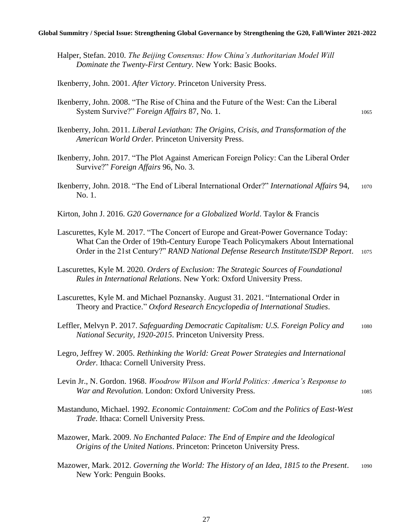Halper, Stefan. 2010. *The Beijing Consensus: How China's Authoritarian Model Will Dominate the Twenty-First Century.* New York: Basic Books.

Ikenberry, John. 2001. *After Victory*. Princeton University Press.

- Ikenberry, John. 2008. "The Rise of China and the Future of the West: Can the Liberal System Survive?" *Foreign Affairs* 87, No. 1.
- Ikenberry, John. 2011. *Liberal Leviathan: The Origins, Crisis, and Transformation of the American World Order.* Princeton University Press.
- Ikenberry, John. 2017. "The Plot Against American Foreign Policy: Can the Liberal Order Survive?" *Foreign Affairs* 96, No. 3.
- Ikenberry, John. 2018. "The End of Liberal International Order?" *International Affairs* 94, <sup>1070</sup> No. 1.
- Kirton, John J. 2016. *G20 Governance for a Globalized World*. Taylor & Francis
- Lascurettes, Kyle M. 2017. "The Concert of Europe and Great-Power Governance Today: What Can the Order of 19th-Century Europe Teach Policymakers About International Order in the 21st Century?" *RAND National Defense Research Institute/ISDP Report*. <sup>1075</sup>
- Lascurettes, Kyle M. 2020. *Orders of Exclusion: The Strategic Sources of Foundational Rules in International Relations.* New York: Oxford University Press.
- Lascurettes, Kyle M. and Michael Poznansky. August 31. 2021. "International Order in Theory and Practice." *Oxford Research Encyclopedia of International Studies*.
- Leffler, Melvyn P. 2017. *Safeguarding Democratic Capitalism: U.S. Foreign Policy and* <sup>1080</sup> *National Security, 1920-2015*. Princeton University Press.
- Legro, Jeffrey W. 2005. *Rethinking the World: Great Power Strategies and International Order.* Ithaca: Cornell University Press.
- Levin Jr., N. Gordon. 1968. *Woodrow Wilson and World Politics: America's Response to War and Revolution.* London: Oxford University Press. 1085
- Mastanduno, Michael. 1992. *Economic Containment: CoCom and the Politics of East-West Trade*. Ithaca: Cornell University Press.
- Mazower, Mark. 2009. *No Enchanted Palace: The End of Empire and the Ideological Origins of the United Nations*. Princeton: Princeton University Press.
- Mazower, Mark. 2012. *Governing the World: The History of an Idea, 1815 to the Present*. <sup>1090</sup> New York: Penguin Books.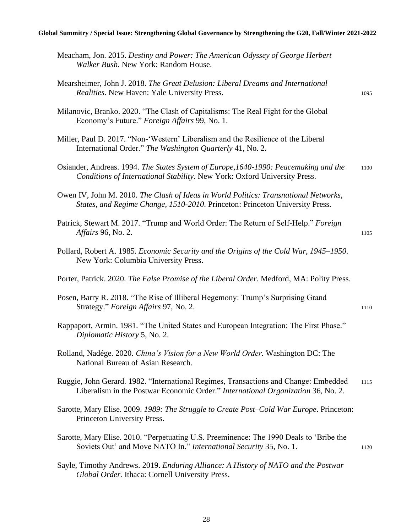#### **Global Summitry / Special Issue: Strengthening Global Governance by Strengthening the G20, Fall/Winter 2021-2022**

| Meacham, Jon. 2015. Destiny and Power: The American Odyssey of George Herbert<br>Walker Bush. New York: Random House.                                                    |      |
|--------------------------------------------------------------------------------------------------------------------------------------------------------------------------|------|
| Mearsheimer, John J. 2018. The Great Delusion: Liberal Dreams and International<br>Realities. New Haven: Yale University Press.                                          | 1095 |
| Milanovic, Branko. 2020. "The Clash of Capitalisms: The Real Fight for the Global<br>Economy's Future." Foreign Affairs 99, No. 1.                                       |      |
| Miller, Paul D. 2017. "Non-'Western' Liberalism and the Resilience of the Liberal<br>International Order." The Washington Quarterly 41, No. 2.                           |      |
| Osiander, Andreas. 1994. The States System of Europe, 1640-1990: Peacemaking and the<br>Conditions of International Stability. New York: Oxford University Press.        | 1100 |
| Owen IV, John M. 2010. The Clash of Ideas in World Politics: Transnational Networks,<br>States, and Regime Change, 1510-2010. Princeton: Princeton University Press.     |      |
| Patrick, Stewart M. 2017. "Trump and World Order: The Return of Self-Help." Foreign<br><i>Affairs</i> 96, No. 2.                                                         | 1105 |
| Pollard, Robert A. 1985. Economic Security and the Origins of the Cold War, 1945–1950.<br>New York: Columbia University Press.                                           |      |
| Porter, Patrick. 2020. The False Promise of the Liberal Order. Medford, MA: Polity Press.                                                                                |      |
| Posen, Barry R. 2018. "The Rise of Illiberal Hegemony: Trump's Surprising Grand<br>Strategy." Foreign Affairs 97, No. 2.                                                 | 1110 |
| Rappaport, Armin. 1981. "The United States and European Integration: The First Phase."<br>Diplomatic History 5, No. 2.                                                   |      |
| Rolland, Nadége. 2020. China's Vision for a New World Order. Washington DC: The<br>National Bureau of Asian Research.                                                    |      |
| Ruggie, John Gerard. 1982. "International Regimes, Transactions and Change: Embedded<br>Liberalism in the Postwar Economic Order." International Organization 36, No. 2. | 1115 |
| Sarotte, Mary Elise. 2009. 1989: The Struggle to Create Post-Cold War Europe. Princeton:<br>Princeton University Press.                                                  |      |
| Sarotte, Mary Elise. 2010. "Perpetuating U.S. Preeminence: The 1990 Deals to 'Bribe the<br>Soviets Out' and Move NATO In." International Security 35, No. 1.             | 1120 |
| Sayle, Timothy Andrews. 2019. Enduring Alliance: A History of NATO and the Postwar<br>Global Order. Ithaca: Cornell University Press.                                    |      |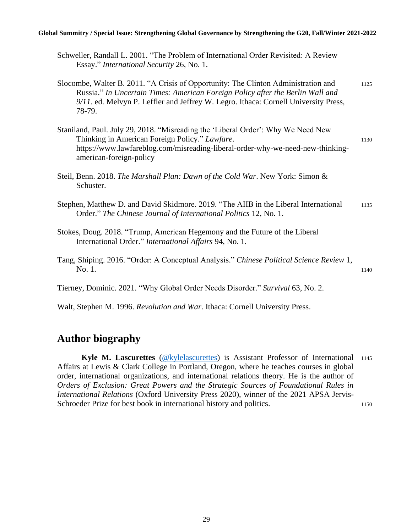#### **Global Summitry / Special Issue: Strengthening Global Governance by Strengthening the G20, Fall/Winter 2021-2022**

- Schweller, Randall L. 2001. "The Problem of International Order Revisited: A Review Essay." *International Security* 26, No. 1.
- Slocombe, Walter B. 2011. "A Crisis of Opportunity: The Clinton Administration and 1125 Russia." *In Uncertain Times: American Foreign Policy after the Berlin Wall and 9/11*. ed. Melvyn P. Leffler and Jeffrey W. Legro. Ithaca: Cornell University Press, 78-79.
- Staniland, Paul. July 29, 2018. "Misreading the 'Liberal Order': Why We Need New Thinking in American Foreign Policy." *Lawfare*. 1130 https://www.lawfareblog.com/misreading-liberal-order-why-we-need-new-thinkingamerican-foreign-policy
- Steil, Benn. 2018. *The Marshall Plan: Dawn of the Cold War*. New York: Simon & Schuster.
- Stephen, Matthew D. and David Skidmore. 2019. "The AIIB in the Liberal International 1135 Order." *The Chinese Journal of International Politics* 12, No. 1.
- Stokes, Doug. 2018. "Trump, American Hegemony and the Future of the Liberal International Order." *International Affairs* 94, No. 1.
- Tang, Shiping. 2016. "Order: A Conceptual Analysis." *Chinese Political Science Review* 1, No. 1. 1140

Tierney, Dominic. 2021. "Why Global Order Needs Disorder." *Survival* 63, No. 2.

Walt, Stephen M. 1996. *Revolution and War*. Ithaca: Cornell University Press.

# **Author biography**

Kyle M. Lascurettes [\(@kylelascurettes\)](https://twitter.com/kylelascurettes?ref_src=twsrc%5Egoogle%7Ctwcamp%5Eserp%7Ctwgr%5Eauthor) is Assistant Professor of International 1145 Affairs at Lewis & Clark College in Portland, Oregon, where he teaches courses in global order, international organizations, and international relations theory. He is the author of *Orders of Exclusion: Great Powers and the Strategic Sources of Foundational Rules in International Relations* (Oxford University Press 2020), winner of the 2021 APSA Jervis-Schroeder Prize for best book in international history and politics. 1150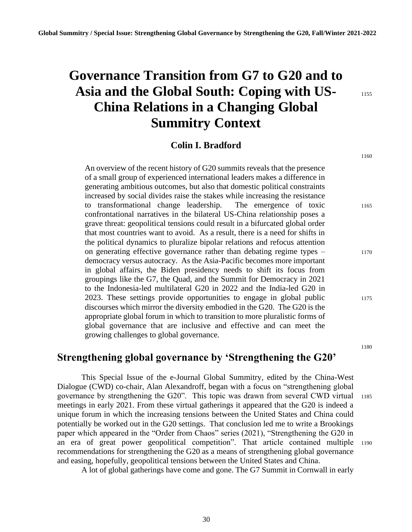# **Governance Transition from G7 to G20 and to**  Asia and the Global South: Coping with US-**China Relations in a Changing Global Summitry Context**

1160

## **Colin I. Bradford**

An overview of the recent history of G20 summits reveals that the presence of a small group of experienced international leaders makes a difference in generating ambitious outcomes, but also that domestic political constraints increased by social divides raise the stakes while increasing the resistance to transformational change leadership. The emergence of toxic 1165 confrontational narratives in the bilateral US-China relationship poses a grave threat: geopolitical tensions could result in a bifurcated global order that most countries want to avoid. As a result, there is a need for shifts in the political dynamics to pluralize bipolar relations and refocus attention on generating effective governance rather than debating regime types – 1170 democracy versus autocracy. As the Asia-Pacific becomes more important in global affairs, the Biden presidency needs to shift its focus from groupings like the G7, the Quad, and the Summit for Democracy in 2021 to the Indonesia-led multilateral G20 in 2022 and the India-led G20 in 2023. These settings provide opportunities to engage in global public 1175 discourses which mirror the diversity embodied in the G20. The G20 is the appropriate global forum in which to transition to more pluralistic forms of global governance that are inclusive and effective and can meet the growing challenges to global governance.

1180

#### **Strengthening global governance by 'Strengthening the G20'**

This Special Issue of the e-Journal Global Summitry, edited by the China-West Dialogue (CWD) co-chair, Alan Alexandroff, began with a focus on "strengthening global governance by strengthening the G20". This topic was drawn from several CWD virtual <sup>1185</sup> meetings in early 2021. From these virtual gatherings it appeared that the G20 is indeed a unique forum in which the increasing tensions between the United States and China could potentially be worked out in the G20 settings. That conclusion led me to write a Brookings paper which appeared in the "Order from Chaos" series (2021), "Strengthening the G20 in an era of great power geopolitical competition". That article contained multiple <sup>1190</sup> recommendations for strengthening the G20 as a means of strengthening global governance and easing, hopefully, geopolitical tensions between the United States and China.

A lot of global gatherings have come and gone. The G7 Summit in Cornwall in early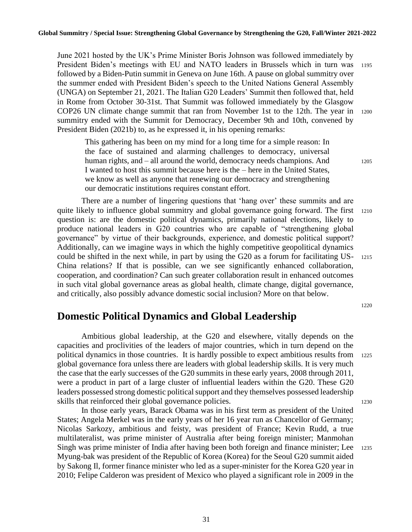June 2021 hosted by the UK's Prime Minister Boris Johnson was followed immediately by President Biden's meetings with EU and NATO leaders in Brussels which in turn was <sup>1195</sup> followed by a Biden-Putin summit in Geneva on June 16th. A pause on global summitry over the summer ended with President Biden's speech to the United Nations General Assembly (UNGA) on September 21, 2021. The Italian G20 Leaders' Summit then followed that, held in Rome from October 30-31st. That Summit was followed immediately by the Glasgow COP26 UN climate change summit that ran from November 1st to the 12th. The year in <sup>1200</sup> summitry ended with the Summit for Democracy, December 9th and 10th, convened by President Biden (2021b) to, as he expressed it, in his opening remarks:

This gathering has been on my mind for a long time for a simple reason: In the face of sustained and alarming challenges to democracy, universal human rights, and – all around the world, democracy needs champions. And 1205 I wanted to host this summit because here is the – here in the United States, we know as well as anyone that renewing our democracy and strengthening our democratic institutions requires constant effort.

There are a number of lingering questions that 'hang over' these summits and are quite likely to influence global summitry and global governance going forward. The first 1210 question is: are the domestic political dynamics, primarily national elections, likely to produce national leaders in G20 countries who are capable of "strengthening global governance" by virtue of their backgrounds, experience, and domestic political support? Additionally, can we imagine ways in which the highly competitive geopolitical dynamics could be shifted in the next while, in part by using the G20 as a forum for facilitating US- <sup>1215</sup> China relations? If that is possible, can we see significantly enhanced collaboration, cooperation, and coordination? Can such greater collaboration result in enhanced outcomes in such vital global governance areas as global health, climate change, digital governance, and critically, also possibly advance domestic social inclusion? More on that below.

1220

## **Domestic Political Dynamics and Global Leadership**

Ambitious global leadership, at the G20 and elsewhere, vitally depends on the capacities and proclivities of the leaders of major countries, which in turn depend on the political dynamics in those countries. It is hardly possible to expect ambitious results from <sup>1225</sup> global governance fora unless there are leaders with global leadership skills. It is very much the case that the early successes of the G20 summits in these early years, 2008 through 2011, were a product in part of a large cluster of influential leaders within the G20. These G20 leaders possessed strong domestic political support and they themselves possessed leadership skills that reinforced their global governance policies. 1230

In those early years, Barack Obama was in his first term as president of the United States; Angela Merkel was in the early years of her 16 year run as Chancellor of Germany; Nicolas Sarkozy, ambitious and feisty, was president of France; Kevin Rudd, a true multilateralist, was prime minister of Australia after being foreign minister; Manmohan Singh was prime minister of India after having been both foreign and finance minister; Lee 1235 Myung-bak was president of the Republic of Korea (Korea) for the Seoul G20 summit aided by Sakong Il, former finance minister who led as a super-minister for the Korea G20 year in 2010; Felipe Calderon was president of Mexico who played a significant role in 2009 in the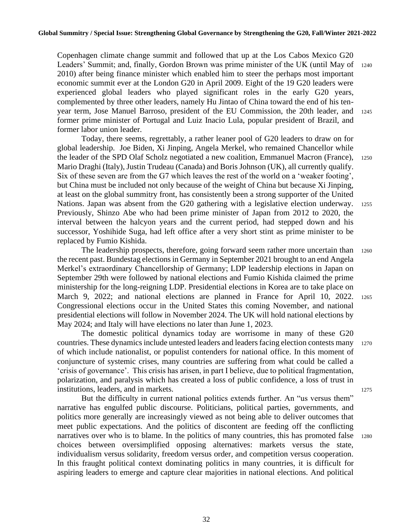Copenhagen climate change summit and followed that up at the Los Cabos Mexico G20 Leaders' Summit; and, finally, Gordon Brown was prime minister of the UK (until May of <sup>1240</sup> 2010) after being finance minister which enabled him to steer the perhaps most important economic summit ever at the London G20 in April 2009. Eight of the 19 G20 leaders were experienced global leaders who played significant roles in the early G20 years, complemented by three other leaders, namely Hu Jintao of China toward the end of his tenyear term, Jose Manuel Barroso, president of the EU Commission, the 20th leader, and <sup>1245</sup> former prime minister of Portugal and Luiz Inacio Lula, popular president of Brazil, and former labor union leader.

Today, there seems, regrettably, a rather leaner pool of G20 leaders to draw on for global leadership. Joe Biden, Xi Jinping, Angela Merkel, who remained Chancellor while the leader of the SPD Olaf Scholz negotiated a new coalition, Emmanuel Macron (France), <sup>1250</sup> Mario Draghi (Italy), Justin Trudeau (Canada) and Boris Johnson (UK), all currently qualify. Six of these seven are from the G7 which leaves the rest of the world on a 'weaker footing', but China must be included not only because of the weight of China but because Xi Jinping, at least on the global summitry front, has consistently been a strong supporter of the United Nations. Japan was absent from the G20 gathering with a legislative election underway. <sup>1255</sup> Previously, Shinzo Abe who had been prime minister of Japan from 2012 to 2020, the interval between the halcyon years and the current period, had stepped down and his successor, Yoshihide Suga, had left office after a very short stint as prime minister to be replaced by Fumio Kishida.

The leadership prospects, therefore, going forward seem rather more uncertain than <sup>1260</sup> the recent past. Bundestag elections in Germany in September 2021 brought to an end Angela Merkel's extraordinary Chancellorship of Germany; LDP leadership elections in Japan on September 29th were followed by national elections and Fumio Kishida claimed the prime ministership for the long-reigning LDP. Presidential elections in Korea are to take place on March 9, 2022; and national elections are planned in France for April 10, 2022. 1265 Congressional elections occur in the United States this coming November, and national presidential elections will follow in November 2024. The UK will hold national elections by May 2024; and Italy will have elections no later than June 1, 2023.

The domestic political dynamics today are worrisome in many of these G20 countries. These dynamics include untested leaders and leaders facing election contests many <sup>1270</sup> of which include nationalist, or populist contenders for national office. In this moment of conjuncture of systemic crises, many countries are suffering from what could be called a 'crisis of governance'. This crisis has arisen, in part I believe, due to political fragmentation, polarization, and paralysis which has created a loss of public confidence, a loss of trust in institutions, leaders, and in markets. 1275

But the difficulty in current national politics extends further. An "us versus them" narrative has engulfed public discourse. Politicians, political parties, governments, and politics more generally are increasingly viewed as not being able to deliver outcomes that meet public expectations. And the politics of discontent are feeding off the conflicting narratives over who is to blame. In the politics of many countries, this has promoted false 1280 choices between oversimplified opposing alternatives: markets versus the state, individualism versus solidarity, freedom versus order, and competition versus cooperation. In this fraught political context dominating politics in many countries, it is difficult for aspiring leaders to emerge and capture clear majorities in national elections. And political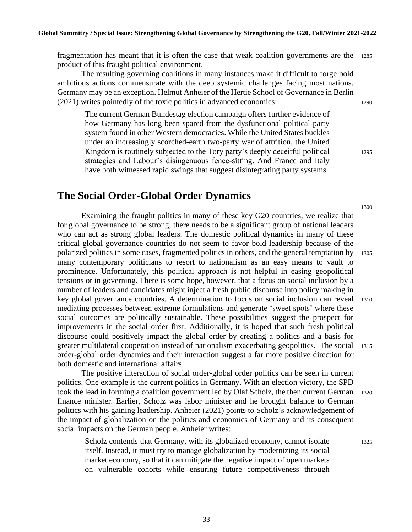fragmentation has meant that it is often the case that weak coalition governments are the <sup>1285</sup> product of this fraught political environment.

The resulting governing coalitions in many instances make it difficult to forge bold ambitious actions commensurate with the deep systemic challenges facing most nations. Germany may be an exception. Helmut Anheier of the Hertie School of Governance in Berlin (2021) writes pointedly of the toxic politics in advanced economies: <sup>1290</sup>

The current German Bundestag election campaign offers further evidence of how Germany has long been spared from the dysfunctional political party system found in other Western democracies. While the United States buckles under an increasingly scorched-earth two-party war of attrition, the United Kingdom is routinely subjected to the Tory party's deeply deceitful political 1295 strategies and Labour's disingenuous fence-sitting. And France and Italy have both witnessed rapid swings that suggest disintegrating party systems.

#### **The Social Order-Global Order Dynamics**

Examining the fraught politics in many of these key G20 countries, we realize that for global governance to be strong, there needs to be a significant group of national leaders who can act as strong global leaders. The domestic political dynamics in many of these critical global governance countries do not seem to favor bold leadership because of the polarized politics in some cases, fragmented politics in others, and the general temptation by <sup>1305</sup> many contemporary politicians to resort to nationalism as an easy means to vault to prominence. Unfortunately, this political approach is not helpful in easing geopolitical tensions or in governing. There is some hope, however, that a focus on social inclusion by a number of leaders and candidates might inject a fresh public discourse into policy making in key global governance countries. A determination to focus on social inclusion can reveal <sup>1310</sup> mediating processes between extreme formulations and generate 'sweet spots' where these social outcomes are politically sustainable. These possibilities suggest the prospect for improvements in the social order first. Additionally, it is hoped that such fresh political discourse could positively impact the global order by creating a politics and a basis for greater multilateral cooperation instead of nationalism exacerbating geopolitics. The social <sup>1315</sup> order-global order dynamics and their interaction suggest a far more positive direction for both domestic and international affairs.

The positive interaction of social order-global order politics can be seen in current politics. One example is the current politics in Germany. With an election victory, the SPD took the lead in forming a coalition government led by Olaf Scholz, the then current German 1320 finance minister. Earlier, Scholz was labor minister and he brought balance to German politics with his gaining leadership. Anheier (2021) points to Scholz's acknowledgement of the impact of globalization on the politics and economics of Germany and its consequent social impacts on the German people. Anheier writes:

Scholz contends that Germany, with its globalized economy, cannot isolate 1325 itself. Instead, it must try to manage globalization by modernizing its social market economy, so that it can mitigate the negative impact of open markets on vulnerable cohorts while ensuring future competitiveness through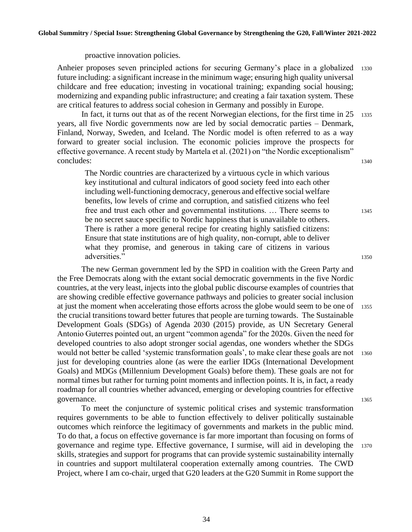proactive innovation policies.

Anheier proposes seven principled actions for securing Germany's place in a globalized <sup>1330</sup> future including: a significant increase in the minimum wage; ensuring high quality universal childcare and free education; investing in vocational training; expanding social housing; modernizing and expanding public infrastructure; and creating a fair taxation system. These are critical features to address social cohesion in Germany and possibly in Europe.

In fact, it turns out that as of the recent Norwegian elections, for the first time in  $25$  1335 years, all five Nordic governments now are led by social democratic parties – Denmark, Finland, Norway, Sweden, and Iceland. The Nordic model is often referred to as a way forward to greater social inclusion. The economic policies improve the prospects for effective governance. A recent study by Martela et al. (2021) on "the Nordic exceptionalism" concludes: 1340

The Nordic countries are characterized by a virtuous cycle in which various key institutional and cultural indicators of good society feed into each other including well-functioning democracy, generous and effective social welfare benefits, low levels of crime and corruption, and satisfied citizens who feel free and trust each other and governmental institutions. ... There seems to 1345 be no secret sauce specific to Nordic happiness that is unavailable to others. There is rather a more general recipe for creating highly satisfied citizens: Ensure that state institutions are of high quality, non-corrupt, able to deliver what they promise, and generous in taking care of citizens in various adversities." 1350

The new German government led by the SPD in coalition with the Green Party and the Free Democrats along with the extant social democratic governments in the five Nordic countries, at the very least, injects into the global public discourse examples of countries that are showing credible effective governance pathways and policies to greater social inclusion at just the moment when accelerating those efforts across the globe would seem to be one of <sup>1355</sup> the crucial transitions toward better futures that people are turning towards. The Sustainable Development Goals (SDGs) of Agenda 2030 (2015) provide, as UN Secretary General Antonio Guterres pointed out, an urgent "common agenda" for the 2020s. Given the need for developed countries to also adopt stronger social agendas, one wonders whether the SDGs would not better be called 'systemic transformation goals', to make clear these goals are not 1360 just for developing countries alone (as were the earlier IDGs (International Development Goals) and MDGs (Millennium Development Goals) before them). These goals are not for normal times but rather for turning point moments and inflection points. It is, in fact, a ready roadmap for all countries whether advanced, emerging or developing countries for effective governance.

To meet the conjuncture of systemic political crises and systemic transformation requires governments to be able to function effectively to deliver politically sustainable outcomes which reinforce the legitimacy of governments and markets in the public mind. To do that, a focus on effective governance is far more important than focusing on forms of governance and regime type. Effective governance, I surmise, will aid in developing the <sup>1370</sup> skills, strategies and support for programs that can provide systemic sustainability internally in countries and support multilateral cooperation externally among countries. The CWD Project, where I am co-chair, urged that G20 leaders at the G20 Summit in Rome support the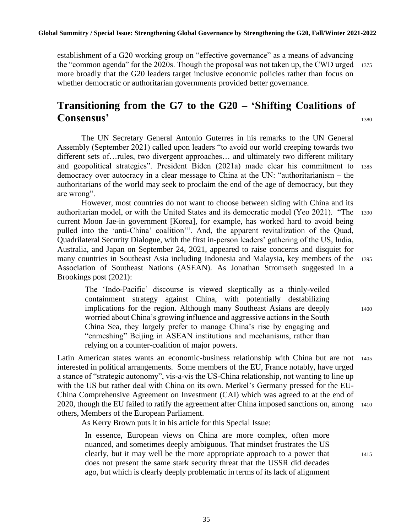establishment of a G20 working group on "effective governance" as a means of advancing the "common agenda" for the 2020s. Though the proposal was not taken up, the CWD urged 1375 more broadly that the G20 leaders target inclusive economic policies rather than focus on whether democratic or authoritarian governments provided better governance.

# **Transitioning from the G7 to the G20 – 'Shifting Coalitions of Consensus'** <sup>1380</sup>

The UN Secretary General Antonio Guterres in his remarks to the UN General Assembly (September 2021) called upon leaders "to avoid our world creeping towards two different sets of…rules, two divergent approaches… and ultimately two different military and geopolitical strategies". President Biden (2021a) made clear his commitment to <sup>1385</sup> democracy over autocracy in a clear message to China at the UN: "authoritarianism – the authoritarians of the world may seek to proclaim the end of the age of democracy, but they are wrong".

However, most countries do not want to choose between siding with China and its authoritarian model, or with the United States and its democratic model (Yeo 2021). "The <sup>1390</sup> current Moon Jae-in government [Korea], for example, has worked hard to avoid being pulled into the 'anti-China' coalition'". And, the apparent revitalization of the Quad, Quadrilateral Security Dialogue, with the first in-person leaders' gathering of the US, India, Australia, and Japan on September 24, 2021, appeared to raise concerns and disquiet for many countries in Southeast Asia including Indonesia and Malaysia, key members of the <sup>1395</sup> Association of Southeast Nations (ASEAN). As Jonathan Stromseth suggested in a Brookings post (2021):

The 'Indo-Pacific' discourse is viewed skeptically as a thinly-veiled containment strategy against China, with potentially destabilizing implications for the region. Although many Southeast Asians are deeply 1400 worried about China's growing influence and aggressive actions in the South China Sea, they largely prefer to manage China's rise by engaging and "enmeshing" Beijing in ASEAN institutions and mechanisms, rather than relying on a counter-coalition of major powers.

Latin American states wants an economic-business relationship with China but are not <sup>1405</sup> interested in political arrangements. Some members of the EU, France notably, have urged a stance of "strategic autonomy", vis-a-vis the US-China relationship, not wanting to line up with the US but rather deal with China on its own. Merkel's Germany pressed for the EU-China Comprehensive Agreement on Investment (CAI) which was agreed to at the end of 2020, though the EU failed to ratify the agreement after China imposed sanctions on, among <sup>1410</sup> others, Members of the European Parliament.

As Kerry Brown puts it in his article for this Special Issue:

In essence, European views on China are more complex, often more nuanced, and sometimes deeply ambiguous. That mindset frustrates the US clearly, but it may well be the more appropriate approach to a power that <sup>1415</sup> does not present the same stark security threat that the USSR did decades ago, but which is clearly deeply problematic in terms of its lack of alignment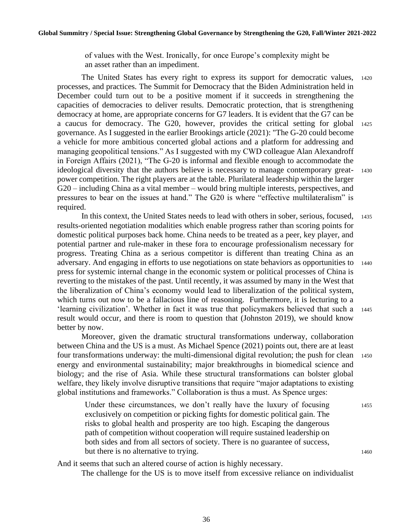of values with the West. Ironically, for once Europe's complexity might be an asset rather than an impediment.

The United States has every right to express its support for democratic values, <sup>1420</sup> processes, and practices. The Summit for Democracy that the Biden Administration held in December could turn out to be a positive moment if it succeeds in strengthening the capacities of democracies to deliver results. Democratic protection, that is strengthening democracy at home, are appropriate concerns for G7 leaders. It is evident that the G7 can be a caucus for democracy. The G20, however, provides the critical setting for global <sup>1425</sup> governance. As I suggested in the earlier Brookings article (2021): "The G-20 could become a vehicle for more ambitious concerted global actions and a platform for addressing and managing geopolitical tensions." As I suggested with my CWD colleague Alan Alexandroff in Foreign Affairs (2021), "The G-20 is informal and flexible enough to accommodate the ideological diversity that the authors believe is necessary to manage contemporary great- <sup>1430</sup> power competition. The right players are at the table. Plurilateral leadership within the larger G20 – including China as a vital member – would bring multiple interests, perspectives, and pressures to bear on the issues at hand." The G20 is where "effective multilateralism" is required.

In this context, the United States needs to lead with others in sober, serious, focused, <sup>1435</sup> results-oriented negotiation modalities which enable progress rather than scoring points for domestic political purposes back home. China needs to be treated as a peer, key player, and potential partner and rule-maker in these fora to encourage professionalism necessary for progress. Treating China as a serious competitor is different than treating China as an adversary. And engaging in efforts to use negotiations on state behaviors as opportunities to <sup>1440</sup> press for systemic internal change in the economic system or political processes of China is reverting to the mistakes of the past. Until recently, it was assumed by many in the West that the liberalization of China's economy would lead to liberalization of the political system, which turns out now to be a fallacious line of reasoning. Furthermore, it is lecturing to a 'learning civilization'. Whether in fact it was true that policymakers believed that such a <sup>1445</sup> result would occur, and there is room to question that (Johnston 2019), we should know better by now.

Moreover, given the dramatic structural transformations underway, collaboration between China and the US is a must. As Michael Spence (2021) points out, there are at least four transformations underway: the multi-dimensional digital revolution; the push for clean 1450 energy and environmental sustainability; major breakthroughs in biomedical science and biology; and the rise of Asia. While these structural transformations can bolster global welfare, they likely involve disruptive transitions that require "major adaptations to existing global institutions and frameworks." Collaboration is thus a must. As Spence urges:

Under these circumstances, we don't really have the luxury of focusing 1455 exclusively on competition or picking fights for domestic political gain. The risks to global health and prosperity are too high. Escaping the dangerous path of competition without cooperation will require sustained leadership on both sides and from all sectors of society. There is no guarantee of success, but there is no alternative to trying. 1460

And it seems that such an altered course of action is highly necessary.

The challenge for the US is to move itself from excessive reliance on individualist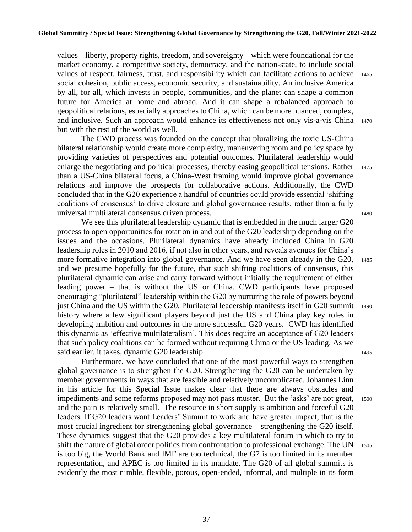values – liberty, property rights, freedom, and sovereignty – which were foundational for the market economy, a competitive society, democracy, and the nation-state, to include social values of respect, fairness, trust, and responsibility which can facilitate actions to achieve 1465 social cohesion, public access, economic security, and sustainability. An inclusive America by all, for all, which invests in people, communities, and the planet can shape a common future for America at home and abroad. And it can shape a rebalanced approach to geopolitical relations, especially approaches to China, which can be more nuanced, complex, and inclusive. Such an approach would enhance its effectiveness not only vis-a-vis China <sup>1470</sup> but with the rest of the world as well.

The CWD process was founded on the concept that pluralizing the toxic US-China bilateral relationship would create more complexity, maneuvering room and policy space by providing varieties of perspectives and potential outcomes. Plurilateral leadership would enlarge the negotiating and political processes, thereby easing geopolitical tensions. Rather 1475 than a US-China bilateral focus, a China-West framing would improve global governance relations and improve the prospects for collaborative actions. Additionally, the CWD concluded that in the G20 experience a handful of countries could provide essential 'shifting coalitions of consensus' to drive closure and global governance results, rather than a fully universal multilateral consensus driven process. <sup>1480</sup>

We see this plurilateral leadership dynamic that is embedded in the much larger G20 process to open opportunities for rotation in and out of the G20 leadership depending on the issues and the occasions. Plurilateral dynamics have already included China in G20 leadership roles in 2010 and 2016, if not also in other years, and reveals avenues for China's more formative integration into global governance. And we have seen already in the G20, 1485 and we presume hopefully for the future, that such shifting coalitions of consensus, this plurilateral dynamic can arise and carry forward without initially the requirement of either leading power – that is without the US or China. CWD participants have proposed encouraging "plurilateral" leadership within the G20 by nurturing the role of powers beyond just China and the US within the G20. Plurilateral leadership manifests itself in G20 summit <sup>1490</sup> history where a few significant players beyond just the US and China play key roles in developing ambition and outcomes in the more successful G20 years. CWD has identified this dynamic as 'effective multilateralism'. This does require an acceptance of G20 leaders that such policy coalitions can be formed without requiring China or the US leading. As we said earlier, it takes, dynamic G20 leadership. 1495

Furthermore, we have concluded that one of the most powerful ways to strengthen global governance is to strengthen the G20. Strengthening the G20 can be undertaken by member governments in ways that are feasible and relatively uncomplicated. Johannes Linn in his article for this Special Issue makes clear that there are always obstacles and impediments and some reforms proposed may not pass muster. But the 'asks' are not great, <sup>1500</sup> and the pain is relatively small. The resource in short supply is ambition and forceful G20 leaders. If G20 leaders want Leaders' Summit to work and have greater impact, that is the most crucial ingredient for strengthening global governance – strengthening the G20 itself. These dynamics suggest that the G20 provides a key multilateral forum in which to try to shift the nature of global order politics from confrontation to professional exchange. The UN 1505 is too big, the World Bank and IMF are too technical, the G7 is too limited in its member representation, and APEC is too limited in its mandate. The G20 of all global summits is evidently the most nimble, flexible, porous, open-ended, informal, and multiple in its form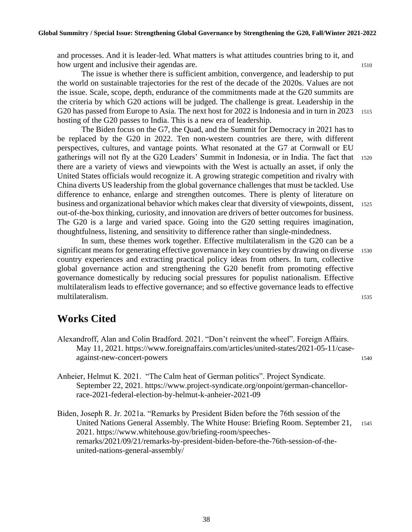and processes. And it is leader-led. What matters is what attitudes countries bring to it, and how urgent and inclusive their agendas are. 1510

The issue is whether there is sufficient ambition, convergence, and leadership to put the world on sustainable trajectories for the rest of the decade of the 2020s. Values are not the issue. Scale, scope, depth, endurance of the commitments made at the G20 summits are the criteria by which G20 actions will be judged. The challenge is great. Leadership in the G20 has passed from Europe to Asia. The next host for 2022 is Indonesia and in turn in 2023 1515 hosting of the G20 passes to India. This is a new era of leadership.

The Biden focus on the G7, the Quad, and the Summit for Democracy in 2021 has to be replaced by the G20 in 2022. Ten non-western countries are there, with different perspectives, cultures, and vantage points. What resonated at the G7 at Cornwall or EU gatherings will not fly at the G20 Leaders' Summit in Indonesia, or in India. The fact that <sup>1520</sup> there are a variety of views and viewpoints with the West is actually an asset, if only the United States officials would recognize it. A growing strategic competition and rivalry with China diverts US leadership from the global governance challenges that must be tackled. Use difference to enhance, enlarge and strengthen outcomes. There is plenty of literature on business and organizational behavior which makes clear that diversity of viewpoints, dissent, <sup>1525</sup> out-of-the-box thinking, curiosity, and innovation are drivers of better outcomes for business. The G20 is a large and varied space. Going into the G20 setting requires imagination, thoughtfulness, listening, and sensitivity to difference rather than single-mindedness.

In sum, these themes work together. Effective multilateralism in the G20 can be a significant means for generating effective governance in key countries by drawing on diverse 1530 country experiences and extracting practical policy ideas from others. In turn, collective global governance action and strengthening the G20 benefit from promoting effective governance domestically by reducing social pressures for populist nationalism. Effective multilateralism leads to effective governance; and so effective governance leads to effective multilateralism. <sup>1535</sup>

### **Works Cited**

- Alexandroff, Alan and Colin Bradford. 2021. "Don't reinvent the wheel". Foreign Affairs. May 11, 2021. https://www.foreignaffairs.com/articles/united-states/2021-05-11/caseagainst-new-concert-powers 1540
- Anheier, Helmut K. 2021. "The Calm heat of German politics". Project Syndicate. September 22, 2021. https://www.project-syndicate.org/onpoint/german-chancellorrace-2021-federal-election-by-helmut-k-anheier-2021-09
- Biden, Joseph R. Jr. 2021a. "Remarks by President Biden before the 76th session of the United Nations General Assembly. The White House: Briefing Room. September 21, <sup>1545</sup> 2021. https://www.whitehouse.gov/briefing-room/speechesremarks/2021/09/21/remarks-by-president-biden-before-the-76th-session-of-theunited-nations-general-assembly/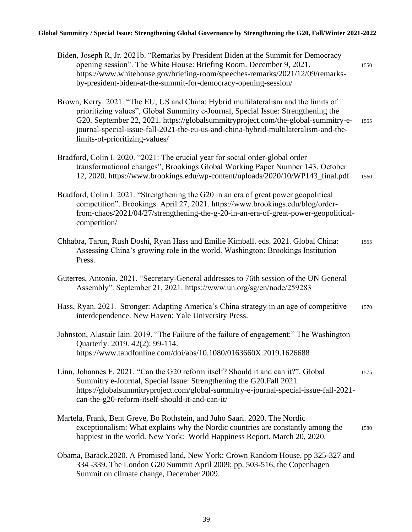#### **Global Summitry / Special Issue: Strengthening Global Governance by Strengthening the G20, Fall/Winter 2021-2022**

| Biden, Joseph R, Jr. 2021b. "Remarks by President Biden at the Summit for Democracy<br>opening session". The White House: Briefing Room. December 9, 2021.<br>https://www.whitehouse.gov/briefing-room/speeches-remarks/2021/12/09/remarks-<br>by-president-biden-at-the-summit-for-democracy-opening-session/                                                                         | 1550 |
|----------------------------------------------------------------------------------------------------------------------------------------------------------------------------------------------------------------------------------------------------------------------------------------------------------------------------------------------------------------------------------------|------|
| Brown, Kerry. 2021. "The EU, US and China: Hybrid multilateralism and the limits of<br>prioritizing values", Global Summitry e-Journal, Special Issue: Strengthening the<br>G20. September 22, 2021. https://globalsummitryproject.com/the-global-summitry-e-<br>journal-special-issue-fall-2021-the-eu-us-and-china-hybrid-multilateralism-and-the-<br>limits-of-prioritizing-values/ | 1555 |
| Bradford, Colin I. 2020. "2021: The crucial year for social order-global order<br>transformational changes", Brookings Global Working Paper Number 143. October<br>12, 2020. https://www.brookings.edu/wp-content/uploads/2020/10/WP143_final.pdf                                                                                                                                      | 1560 |
| Bradford, Colin I. 2021. "Strengthening the G20 in an era of great power geopolitical<br>competition". Brookings. April 27, 2021. https://www.brookings.edu/blog/order-<br>from-chaos/2021/04/27/strengthening-the-g-20-in-an-era-of-great-power-geopolitical-<br>competition/                                                                                                         |      |
| Chhabra, Tarun, Rush Doshi, Ryan Hass and Emilie Kimball. eds. 2021. Global China:<br>Assessing China's growing role in the world. Washington: Brookings Institution<br>Press.                                                                                                                                                                                                         | 1565 |
| Guterres, Antonio. 2021. "Secretary-General addresses to 76th session of the UN General<br>Assembly". September 21, 2021. https://www.un.org/sg/en/node/259283                                                                                                                                                                                                                         |      |
| Hass, Ryan. 2021. Stronger: Adapting America's China strategy in an age of competitive<br>interdependence. New Haven: Yale University Press.                                                                                                                                                                                                                                           | 1570 |
| Johnston, Alastair Iain. 2019. "The Failure of the failure of engagement:" The Washington<br>Quarterly. 2019. 42(2): 99-114.<br>https://www.tandfonline.com/doi/abs/10.1080/0163660X.2019.1626688                                                                                                                                                                                      |      |
| Linn, Johannes F. 2021. "Can the G20 reform itself? Should it and can it?". Global<br>Summitry e-Journal, Special Issue: Strengthening the G20. Fall 2021.<br>https://globalsummitryproject.com/global-summitry-e-journal-special-issue-fall-2021-<br>can-the-g20-reform-itself-should-it-and-can-it/                                                                                  | 1575 |
| Martela, Frank, Bent Greve, Bo Rothstein, and Juho Saari. 2020. The Nordic<br>exceptionalism: What explains why the Nordic countries are constantly among the<br>happiest in the world. New York: World Happiness Report. March 20, 2020.                                                                                                                                              | 1580 |
| Obama, Barack.2020. A Promised land, New York: Crown Random House. pp 325-327 and<br>334 -339. The London G20 Summit April 2009; pp. 503-516, the Copenhagen<br>Summit on climate change, December 2009.                                                                                                                                                                               |      |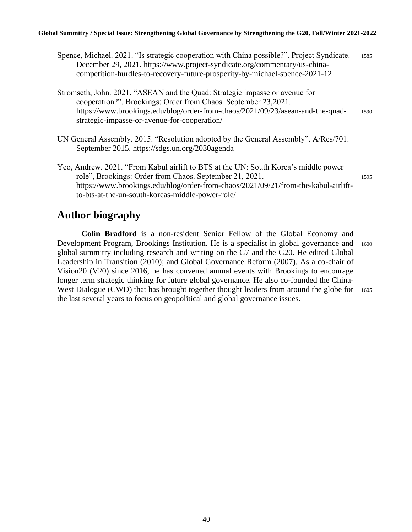#### **Global Summitry / Special Issue: Strengthening Global Governance by Strengthening the G20, Fall/Winter 2021-2022**

- Spence, Michael. 2021. "Is strategic cooperation with China possible?". Project Syndicate. 1585 December 29, 2021. https://www.project-syndicate.org/commentary/us-chinacompetition-hurdles-to-recovery-future-prosperity-by-michael-spence-2021-12
- Stromseth, John. 2021. "ASEAN and the Quad: Strategic impasse or avenue for cooperation?". Brookings: Order from Chaos. September 23,2021. https://www.brookings.edu/blog/order-from-chaos/2021/09/23/asean-and-the-quad- <sup>1590</sup> strategic-impasse-or-avenue-for-cooperation/
- UN General Assembly. 2015. "Resolution adopted by the General Assembly". A/Res/701. September 2015. https://sdgs.un.org/2030agenda
- Yeo, Andrew. 2021. "From Kabul airlift to BTS at the UN: South Korea's middle power role", Brookings: Order from Chaos. September 21, 2021. https://www.brookings.edu/blog/order-from-chaos/2021/09/21/from-the-kabul-airliftto-bts-at-the-un-south-koreas-middle-power-role/

### **Author biography**

**Colin Bradford** is a non-resident Senior Fellow of the Global Economy and Development Program, Brookings Institution. He is a specialist in global governance and 1600 global summitry including research and writing on the G7 and the G20. He edited Global Leadership in Transition (2010); and Global Governance Reform (2007). As a co-chair of Vision20 (V20) since 2016, he has convened annual events with Brookings to encourage longer term strategic thinking for future global governance. He also co-founded the China-West Dialogue (CWD) that has brought together thought leaders from around the globe for 1605 the last several years to focus on geopolitical and global governance issues.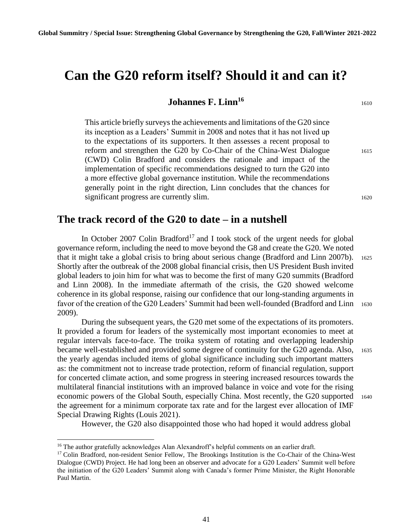# **Can the G20 reform itself? Should it and can it?**

#### **Johannes F. Linn<sup>16</sup> 1610**

This article briefly surveys the achievements and limitations of the G20 since its inception as a Leaders' Summit in 2008 and notes that it has not lived up to the expectations of its supporters. It then assesses a recent proposal to reform and strengthen the G20 by Co-Chair of the China-West Dialogue 1615 (CWD) Colin Bradford and considers the rationale and impact of the implementation of specific recommendations designed to turn the G20 into a more effective global governance institution. While the recommendations generally point in the right direction, Linn concludes that the chances for significant progress are currently slim. 1620

#### **The track record of the G20 to date – in a nutshell**

In October 2007 Colin Bradford<sup>17</sup> and I took stock of the urgent needs for global governance reform, including the need to move beyond the G8 and create the G20. We noted that it might take a global crisis to bring about serious change (Bradford and Linn 2007b). <sup>1625</sup> Shortly after the outbreak of the 2008 global financial crisis, then US President Bush invited global leaders to join him for what was to become the first of many G20 summits (Bradford and Linn 2008). In the immediate aftermath of the crisis, the G20 showed welcome coherence in its global response, raising our confidence that our long-standing arguments in favor of the creation of the G20 Leaders' Summit had been well-founded (Bradford and Linn <sup>1630</sup> 2009).

During the subsequent years, the G20 met some of the expectations of its promoters. It provided a forum for leaders of the systemically most important economies to meet at regular intervals face-to-face. The troika system of rotating and overlapping leadership became well-established and provided some degree of continuity for the G20 agenda. Also, <sup>1635</sup> the yearly agendas included items of global significance including such important matters as: the commitment not to increase trade protection, reform of financial regulation, support for concerted climate action, and some progress in steering increased resources towards the multilateral financial institutions with an improved balance in voice and vote for the rising economic powers of the Global South, especially China. Most recently, the G20 supported <sup>1640</sup> the agreement for a minimum corporate tax rate and for the largest ever allocation of IMF Special Drawing Rights (Louis 2021).

However, the G20 also disappointed those who had hoped it would address global

<sup>&</sup>lt;sup>16</sup> The author gratefully acknowledges Alan Alexandroff's helpful comments on an earlier draft.

<sup>&</sup>lt;sup>17</sup> Colin Bradford, non-resident Senior Fellow, The Brookings Institution is the Co-Chair of the China-West Dialogue (CWD) Project. He had long been an observer and advocate for a G20 Leaders' Summit well before the initiation of the G20 Leaders' Summit along with Canada's former Prime Minister, the Right Honorable Paul Martin.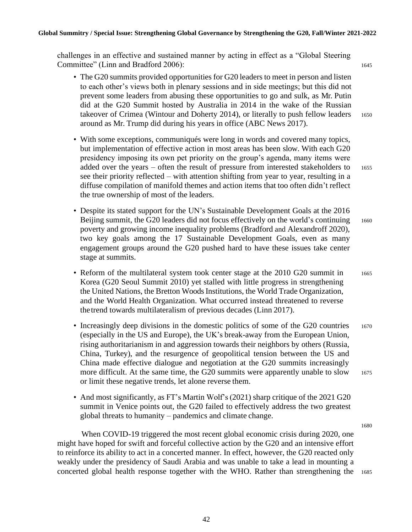challenges in an effective and sustained manner by acting in effect as a "Global Steering Committee" (Linn and Bradford 2006): 1645

- The G20 summits provided opportunities for G20 leaders to meet in person and listen to each other's views both in plenary sessions and in side meetings; but this did not prevent some leaders from abusing these opportunities to go and sulk, as Mr. Putin did at the G20 Summit hosted by Australia in 2014 in the wake of the Russian takeover of Crimea (Wintour and Doherty 2014), or literally to push fellow leaders 1650 around as Mr. Trump did during his years in office (ABC News 2017).
- With some exceptions, communiqués were long in words and covered many topics, but implementation of effective action in most areas has been slow. With each G20 presidency imposing its own pet priority on the group's agenda, many items were added over the years – often the result of pressure from interested stakeholders to <sup>1655</sup> see their priority reflected – with attention shifting from year to year, resulting in a diffuse compilation of manifold themes and action items that too often didn't reflect the true ownership of most of the leaders.
- Despite its stated support for the UN's Sustainable Development Goals at the 2016 Beijing summit, the G20 leaders did not focus effectively on the world's continuing 1660 poverty and growing income inequality problems (Bradford and Alexandroff 2020), two key goals among the 17 Sustainable Development Goals, even as many engagement groups around the G20 pushed hard to have these issues take center stage at summits.
- Reform of the multilateral system took center stage at the 2010 G20 summit in 1665 Korea (G20 Seoul Summit 2010) yet stalled with little progress in strengthening the United Nations, the Bretton Woods Institutions, the World Trade Organization, and the World Health Organization. What occurred instead threatened to reverse thetrend towards multilateralism of previous decades (Linn 2017).
- Increasingly deep divisions in the domestic politics of some of the G20 countries 1670 (especially in the US and Europe), the UK's break-away from the European Union, rising authoritarianism in and aggression towards their neighbors by others (Russia, China, Turkey), and the resurgence of geopolitical tension between the US and China made effective dialogue and negotiation at the G20 summits increasingly more difficult. At the same time, the G20 summits were apparently unable to slow  $1675$ or limit these negative trends, let alone reverse them.
- And most significantly, as FT's Martin Wolf's (2021) sharp critique of the 2021 G20 summit in Venice points out, the G20 failed to effectively address the two greatest global threats to humanity – pandemics and climate change.

When COVID-19 triggered the most recent global economic crisis during 2020, one might have hoped for swift and forceful collective action by the G20 and an intensive effort to reinforce its ability to act in a concerted manner. In effect, however, the G20 reacted only weakly under the presidency of Saudi Arabia and was unable to take a lead in mounting a concerted global health response together with the WHO. Rather than strengthening the 1685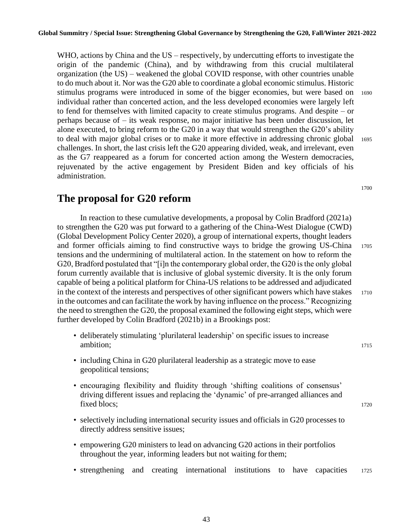WHO, actions by China and the US – respectively, by undercutting efforts to investigate the origin of the pandemic (China), and by withdrawing from this crucial multilateral organization (the US) – weakened the global COVID response, with other countries unable to do much about it. Nor was the G20 able to coordinate a global economic stimulus. Historic stimulus programs were introduced in some of the bigger economies, but were based on 1690 individual rather than concerted action, and the less developed economies were largely left to fend for themselves with limited capacity to create stimulus programs. And despite – or perhaps because of – its weak response, no major initiative has been under discussion, let alone executed, to bring reform to the G20 in a way that would strengthen the G20's ability to deal with major global crises or to make it more effective in addressing chronic global <sup>1695</sup> challenges. In short, the last crisis left the G20 appearing divided, weak, and irrelevant, even as the G7 reappeared as a forum for concerted action among the Western democracies, rejuvenated by the active engagement by President Biden and key officials of his administration.

**The proposal for G20 reform**

In reaction to these cumulative developments, a proposal by Colin Bradford (2021a) to strengthen the G20 was put forward to a gathering of the China-West Dialogue (CWD) (Global Development Policy Center 2020), a group of international experts, thought leaders and former officials aiming to find constructive ways to bridge the growing US-China <sup>1705</sup> tensions and the undermining of multilateral action. In the statement on how to reform the G20, Bradford postulated that "[i]n the contemporary global order, the G20 is the only global forum currently available that is inclusive of global systemic diversity. It is the only forum capable of being a political platform for China-US relations to be addressed and adjudicated in the context of the interests and perspectives of other significant powers which have stakes 1710 in the outcomes and can facilitate the work by having influence on the process." Recognizing the need to strengthen the G20, the proposal examined the following eight steps, which were further developed by Colin Bradford (2021b) in a Brookings post:

- deliberately stimulating 'plurilateral leadership' on specific issues to increase ambition; 1715
- including China in G20 plurilateral leadership as a strategic move to ease geopolitical tensions;
- encouraging flexibility and fluidity through 'shifting coalitions of consensus' driving different issues and replacing the 'dynamic' of pre-arranged alliances and fixed blocs: 1720
- selectively including international security issues and officials in G20 processes to directly address sensitive issues;
- empowering G20 ministers to lead on advancing G20 actions in their portfolios throughout the year, informing leaders but not waiting for them;
- strengthening and creating international institutions to have capacities 1725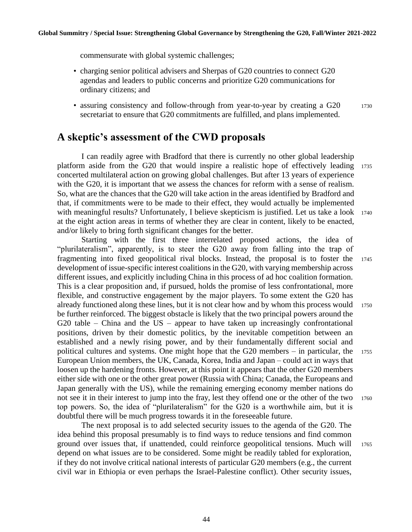commensurate with global systemic challenges;

- charging senior political advisers and Sherpas of G20 countries to connect G20 agendas and leaders to public concerns and prioritize G20 communications for ordinary citizens; and
- assuring consistency and follow-through from year-to-year by creating a G20 1730 secretariat to ensure that G20 commitments are fulfilled, and plans implemented.

#### **A skeptic's assessment of the CWD proposals**

I can readily agree with Bradford that there is currently no other global leadership platform aside from the G20 that would inspire a realistic hope of effectively leading <sup>1735</sup> concerted multilateral action on growing global challenges. But after 13 years of experience with the G20, it is important that we assess the chances for reform with a sense of realism. So, what are the chances that the G20 will take action in the areas identified by Bradford and that, if commitments were to be made to their effect, they would actually be implemented with meaningful results? Unfortunately, I believe skepticism is justified. Let us take a look 1740 at the eight action areas in terms of whether they are clear in content, likely to be enacted, and/or likely to bring forth significant changes for the better.

Starting with the first three interrelated proposed actions, the idea of "plurilateralism", apparently, is to steer the G20 away from falling into the trap of fragmenting into fixed geopolitical rival blocks. Instead, the proposal is to foster the <sup>1745</sup> development of issue-specific interest coalitions in the G20, with varying membership across different issues, and explicitly including China in this process of ad hoc coalition formation. This is a clear proposition and, if pursued, holds the promise of less confrontational, more flexible, and constructive engagement by the major players. To some extent the G20 has already functioned along these lines, but it is not clear how and by whom this process would 1750 be further reinforced. The biggest obstacle is likely that the two principal powers around the G20 table – China and the US – appear to have taken up increasingly confrontational positions, driven by their domestic politics, by the inevitable competition between an established and a newly rising power, and by their fundamentally different social and political cultures and systems. One might hope that the G20 members – in particular, the 1755 European Union members, the UK, Canada, Korea, India and Japan – could act in ways that loosen up the hardening fronts. However, at this point it appears that the other G20 members either side with one or the other great power (Russia with China; Canada, the Europeans and Japan generally with the US), while the remaining emerging economy member nations do not see it in their interest to jump into the fray, lest they offend one or the other of the two 1760 top powers. So, the idea of "plurilateralism" for the G20 is a worthwhile aim, but it is doubtful there will be much progress towards it in the foreseeable future.

The next proposal is to add selected security issues to the agenda of the G20. The idea behind this proposal presumably is to find ways to reduce tensions and find common ground over issues that, if unattended, could reinforce geopolitical tensions. Much will <sup>1765</sup> depend on what issues are to be considered. Some might be readily tabled for exploration, if they do not involve critical national interests of particular G20 members (e.g., the current civil war in Ethiopia or even perhaps the Israel-Palestine conflict). Other security issues,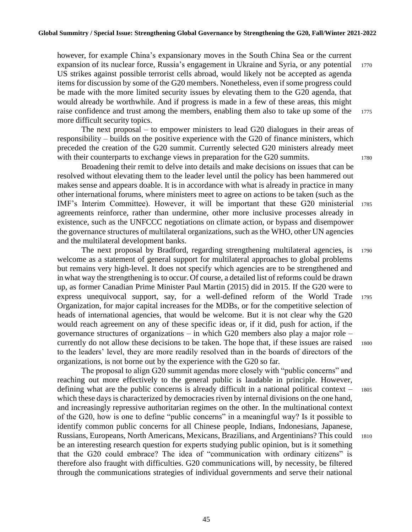however, for example China's expansionary moves in the South China Sea or the current expansion of its nuclear force, Russia's engagement in Ukraine and Syria, or any potential 1770 US strikes against possible terrorist cells abroad, would likely not be accepted as agenda items for discussion by some of the G20 members. Nonetheless, even if some progress could be made with the more limited security issues by elevating them to the G20 agenda, that would already be worthwhile. And if progress is made in a few of these areas, this might raise confidence and trust among the members, enabling them also to take up some of the 1775 more difficult security topics.

The next proposal – to empower ministers to lead G20 dialogues in their areas of responsibility – builds on the positive experience with the G20 of finance ministers, which preceded the creation of the G20 summit. Currently selected G20 ministers already meet with their counterparts to exchange views in preparation for the G20 summits. 1780

Broadening their remit to delve into details and make decisions on issues that can be resolved without elevating them to the leader level until the policy has been hammered out makes sense and appears doable. It is in accordance with what is already in practice in many other international forums, where ministers meet to agree on actions to be taken (such as the IMF's Interim Committee). However, it will be important that these G20 ministerial <sup>1785</sup> agreements reinforce, rather than undermine, other more inclusive processes already in existence, such as the UNFCCC negotiations on climate action, or bypass and disempower the governance structures of multilateral organizations, such as the WHO, other UN agencies and the multilateral development banks.

The next proposal by Bradford, regarding strengthening multilateral agencies, is 1790 welcome as a statement of general support for multilateral approaches to global problems but remains very high-level. It does not specify which agencies are to be strengthened and in what way the strengthening is to occur. Of course, a detailed list of reforms could be drawn up, as former Canadian Prime Minister Paul Martin (2015) did in 2015. If the G20 were to express unequivocal support, say, for a well-defined reform of the World Trade <sup>1795</sup> Organization, for major capital increases for the MDBs, or for the competitive selection of

which these days is characterized by democracies riven by internal divisions on the one hand, that the G20 could embrace? The idea of "communication with ordinary citizens" is therefore also fraught with difficulties. G20 communications will, by necessity, be filtered through the communications strategies of individual governments and serve their national

heads of international agencies, that would be welcome. But it is not clear why the G20 would reach agreement on any of these specific ideas or, if it did, push for action, if the governance structures of organizations – in which G20 members also play a major role – currently do not allow these decisions to be taken. The hope that, if these issues are raised <sup>1800</sup> to the leaders' level, they are more readily resolved than in the boards of directors of the organizations, is not borne out by the experience with the G20 so far. The proposal to align G20 summit agendas more closely with "public concerns" and reaching out more effectively to the general public is laudable in principle. However, defining what are the public concerns is already difficult in a national political context – <sup>1805</sup> and increasingly repressive authoritarian regimes on the other. In the multinational context of the G20, how is one to define "public concerns" in a meaningful way? Is it possible to identify common public concerns for all Chinese people, Indians, Indonesians, Japanese, Russians, Europeans, North Americans, Mexicans, Brazilians, and Argentinians? This could <sup>1810</sup> be an interesting research question for experts studying public opinion, but is it something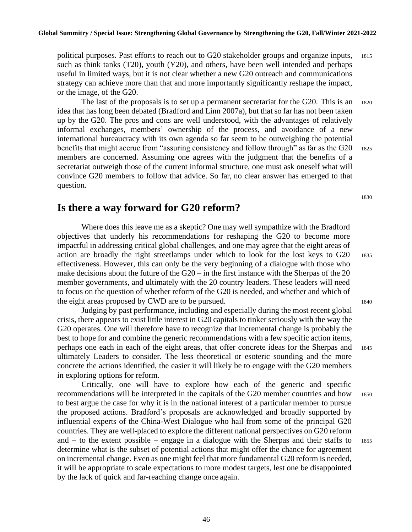political purposes. Past efforts to reach out to G20 stakeholder groups and organize inputs, <sup>1815</sup> such as think tanks (T20), youth (Y20), and others, have been well intended and perhaps useful in limited ways, but it is not clear whether a new G20 outreach and communications strategy can achieve more than that and more importantly significantly reshape the impact, or the image, of the G20.

The last of the proposals is to set up a permanent secretariat for the G20. This is an 1820 idea that has long been debated (Bradford and Linn 2007a), but that so far has not been taken up by the G20. The pros and cons are well understood, with the advantages of relatively informal exchanges, members' ownership of the process, and avoidance of a new international bureaucracy with its own agenda so far seem to be outweighing the potential benefits that might accrue from "assuring consistency and follow through" as far as the G20 1825 members are concerned. Assuming one agrees with the judgment that the benefits of a secretariat outweigh those of the current informal structure, one must ask oneself what will convince G20 members to follow that advice. So far, no clear answer has emerged to that question.

#### **Is there a way forward for G20 reform?**

Where does this leave me as a skeptic? One may well sympathize with the Bradford objectives that underly his recommendations for reshaping the G20 to become more impactful in addressing critical global challenges, and one may agree that the eight areas of action are broadly the right streetlamps under which to look for the lost keys to G20 <sup>1835</sup> effectiveness. However, this can only be the very beginning of a dialogue with those who make decisions about the future of the G20 – in the first instance with the Sherpas of the 20 member governments, and ultimately with the 20 country leaders. These leaders will need to focus on the question of whether reform of the G20 is needed, and whether and which of the eight areas proposed by CWD are to be pursued. 1840

Judging by past performance, including and especially during the most recent global crisis, there appears to exist little interest in G20 capitals to tinker seriously with the way the G20 operates. One will therefore have to recognize that incremental change is probably the best to hope for and combine the generic recommendations with a few specific action items, perhaps one each in each of the eight areas, that offer concrete ideas for the Sherpas and <sup>1845</sup> ultimately Leaders to consider. The less theoretical or esoteric sounding and the more concrete the actions identified, the easier it will likely be to engage with the G20 members in exploring options for reform.

Critically, one will have to explore how each of the generic and specific recommendations will be interpreted in the capitals of the G20 member countries and how <sup>1850</sup> to best argue the case for why it is in the national interest of a particular member to pursue the proposed actions. Bradford's proposals are acknowledged and broadly supported by influential experts of the China-West Dialogue who hail from some of the principal G20 countries. They are well-placed to explore the different national perspectives on G20 reform and – to the extent possible – engage in a dialogue with the Sherpas and their staffs to 1855 determine what is the subset of potential actions that might offer the chance for agreement on incremental change. Even as one might feel that more fundamental G20 reform is needed, it will be appropriate to scale expectations to more modest targets, lest one be disappointed by the lack of quick and far-reaching change once again.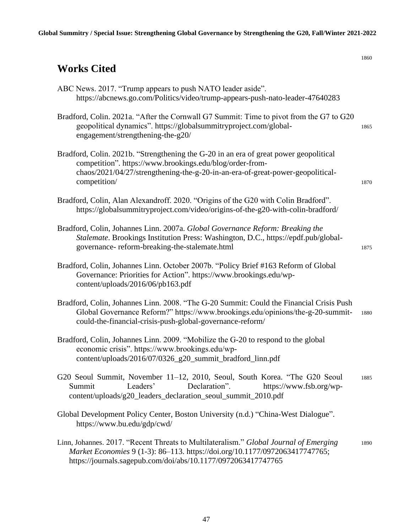| <b>Works Cited</b>                                                                                                                                                                                                                                  | 1860 |
|-----------------------------------------------------------------------------------------------------------------------------------------------------------------------------------------------------------------------------------------------------|------|
| ABC News. 2017. "Trump appears to push NATO leader aside".<br>https://abcnews.go.com/Politics/video/trump-appears-push-nato-leader-47640283                                                                                                         |      |
| Bradford, Colin. 2021a. "After the Cornwall G7 Summit: Time to pivot from the G7 to G20<br>geopolitical dynamics". https://globalsummitryproject.com/global-<br>engagement/strengthening-the-g20/                                                   | 1865 |
| Bradford, Colin. 2021b. "Strengthening the G-20 in an era of great power geopolitical<br>competition". https://www.brookings.edu/blog/order-from-<br>chaos/2021/04/27/strengthening-the-g-20-in-an-era-of-great-power-geopolitical-<br>competition/ | 1870 |
| Bradford, Colin, Alan Alexandroff. 2020. "Origins of the G20 with Colin Bradford".<br>https://globalsummitryproject.com/video/origins-of-the-g20-with-colin-bradford/                                                                               |      |
| Bradford, Colin, Johannes Linn. 2007a. Global Governance Reform: Breaking the<br>Stalemate. Brookings Institution Press: Washington, D.C., https://epdf.pub/global-<br>governance-reform-breaking-the-stalemate.html                                | 1875 |
| Bradford, Colin, Johannes Linn. October 2007b. "Policy Brief #163 Reform of Global<br>Governance: Priorities for Action". https://www.brookings.edu/wp-<br>content/uploads/2016/06/pb163.pdf                                                        |      |
| Bradford, Colin, Johannes Linn. 2008. "The G-20 Summit: Could the Financial Crisis Push<br>Global Governance Reform?" https://www.brookings.edu/opinions/the-g-20-summit-<br>could-the-financial-crisis-push-global-governance-reform/              | 1880 |
| Bradford, Colin, Johannes Linn. 2009. "Mobilize the G-20 to respond to the global<br>economic crisis". https://www.brookings.edu/wp-<br>content/uploads/2016/07/0326_g20_summit_bradford_linn.pdf                                                   |      |
| G20 Seoul Summit, November 11–12, 2010, Seoul, South Korea. "The G20 Seoul<br>Leaders'<br>Declaration".<br>Summit<br>https://www.fsb.org/wp-<br>content/uploads/g20_leaders_declaration_seoul_summit_2010.pdf                                       | 1885 |
| Global Development Policy Center, Boston University (n.d.) "China-West Dialogue".<br>https://www.bu.edu/gdp/cwd/                                                                                                                                    |      |
| Linn, Johannes. 2017. "Recent Threats to Multilateralism." Global Journal of Emerging<br>Market Economies 9 (1-3): 86-113. https://doi.org/10.1177/0972063417747765;<br>https://journals.sagepub.com/doi/abs/10.1177/0972063417747765               | 1890 |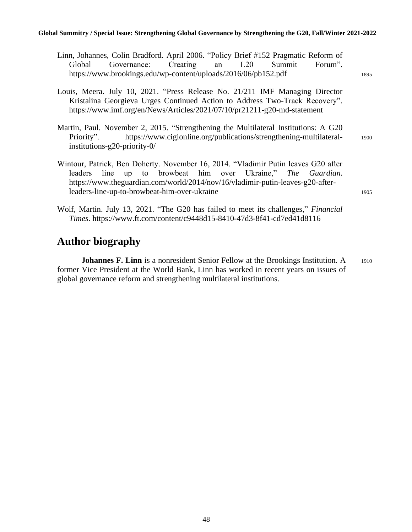**Global Summitry / Special Issue: Strengthening Global Governance by Strengthening the G20, Fall/Winter 2021-2022**

| Linn, Johannes, Colin Bradford. April 2006. "Policy Brief #152 Pragmatic Reform of<br>Creating<br>L20<br>Governance:<br>Summit<br>Forum".<br>Global<br>an<br>https://www.brookings.edu/wp-content/uploads/2016/06/pb152.pdf                                                             | 1895 |
|-----------------------------------------------------------------------------------------------------------------------------------------------------------------------------------------------------------------------------------------------------------------------------------------|------|
| Louis, Meera. July 10, 2021. "Press Release No. 21/211 IMF Managing Director<br>Kristalina Georgieva Urges Continued Action to Address Two-Track Recovery".<br>https://www.imf.org/en/News/Articles/2021/07/10/pr21211-g20-md-statement                                                 |      |
| Martin, Paul. November 2, 2015. "Strengthening the Multilateral Institutions: A G20<br>https://www.cigionline.org/publications/strengthening-multilateral-<br>Priority".<br>institutions-g20-priority- $0/$                                                                             | 1900 |
| Wintour, Patrick, Ben Doherty. November 16, 2014. "Vladimir Putin leaves G20 after<br>up to browbeat him over Ukraine," The Guardian.<br>leaders line<br>https://www.theguardian.com/world/2014/nov/16/vladimir-putin-leaves-g20-after-<br>leaders-line-up-to-browbeat-him-over-ukraine | 1905 |
| Wolf, Martin. July 13, 2021. "The G20 has failed to meet its challenges," <i>Financial</i><br>Times. https://www.ft.com/content/c9448d15-8410-47d3-8f41-cd7ed41d8116                                                                                                                    |      |

# **Author biography**

**Johannes F. Linn** is a nonresident Senior Fellow at the Brookings Institution. A 1910 former Vice President at the World Bank, Linn has worked in recent years on issues of global governance reform and strengthening multilateral institutions.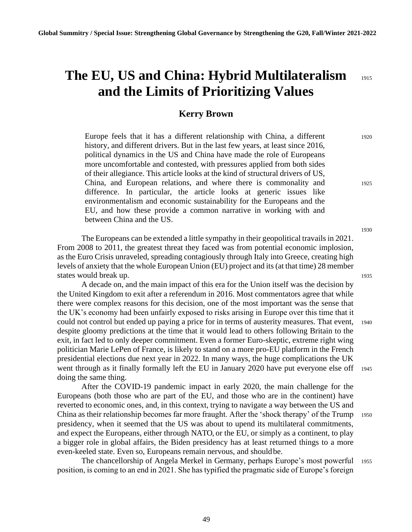# **The EU, US and China: Hybrid Multilateralism** <sup>1915</sup> **and the Limits of Prioritizing Values**

#### **Kerry Brown**

Europe feels that it has a different relationship with China, a different 1920 history, and different drivers. But in the last few years, at least since 2016, political dynamics in the US and China have made the role of Europeans more uncomfortable and contested, with pressures applied from both sides of their allegiance. This article looks at the kind of structural drivers of US, China, and European relations, and where there is commonality and <sup>1925</sup> difference. In particular, the article looks at generic issues like environmentalism and economic sustainability for the Europeans and the EU, and how these provide a common narrative in working with and between China and the US.

The Europeans can be extended a little sympathy in their geopolitical travails in 2021. From 2008 to 2011, the greatest threat they faced was from potential economic implosion, as the Euro Crisis unraveled, spreading contagiously through Italy into Greece, creating high levels of anxiety that the whole European Union (EU) project and its (at that time) 28 member states would break up. 1935

A decade on, and the main impact of this era for the Union itself was the decision by the United Kingdom to exit after a referendum in 2016. Most commentators agree that while there were complex reasons for this decision, one of the most important was the sense that the UK's economy had been unfairly exposed to risks arising in Europe over this time that it could not control but ended up paying a price for in terms of austerity measures. That event, <sup>1940</sup> despite gloomy predictions at the time that it would lead to others following Britain to the exit, in fact led to only deeper commitment. Even a former Euro-skeptic, extreme right wing politician Marie LePen of France, is likely to stand on a more pro-EU platform in the French presidential elections due next year in 2022. In many ways, the huge complications the UK went through as it finally formally left the EU in January 2020 have put everyone else of  $\frac{1945}{2}$ doing the same thing.

After the COVID-19 pandemic impact in early 2020, the main challenge for the Europeans (both those who are part of the EU, and those who are in the continent) have reverted to economic ones, and, in this context, trying to navigate a way between the US and China as their relationship becomes far more fraught. After the 'shock therapy' of the Trump <sup>1950</sup> presidency, when it seemed that the US was about to upend its multilateral commitments, and expect the Europeans, either through NATO, or the EU, or simply as a continent, to play a bigger role in global affairs, the Biden presidency has at least returned things to a more even-keeled state. Even so, Europeans remain nervous, and shouldbe.

The chancellorship of Angela Merkel in Germany, perhaps Europe's most powerful <sup>1955</sup> position, is coming to an end in 2021. She has typified the pragmatic side of Europe's foreign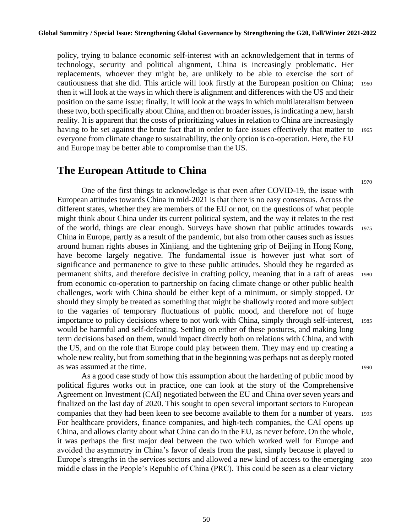policy, trying to balance economic self-interest with an acknowledgement that in terms of technology, security and political alignment, China is increasingly problematic. Her replacements, whoever they might be, are unlikely to be able to exercise the sort of cautiousness that she did. This article will look firstly at the European position on China; <sup>1960</sup> then it will look at the ways in which there is alignment and differences with the US and their position on the same issue; finally, it will look at the ways in which multilateralism between these two, both specifically about China, and then on broader issues, is indicating a new, harsh reality. It is apparent that the costs of prioritizing values in relation to China are increasingly having to be set against the brute fact that in order to face issues effectively that matter to 1965 everyone from climate change to sustainability, the only option is co-operation. Here, the EU and Europe may be better able to compromise than the US.

#### **The European Attitude to China**

One of the first things to acknowledge is that even after COVID-19, the issue with European attitudes towards China in mid-2021 is that there is no easy consensus. Across the different states, whether they are members of the EU or not, on the questions of what people might think about China under its current political system, and the way it relates to the rest of the world, things are clear enough. Surveys have shown that public attitudes towards <sup>1975</sup> China in Europe, partly as a result of the pandemic, but also from other causes such as issues around human rights abuses in Xinjiang, and the tightening grip of Beijing in Hong Kong, have become largely negative. The fundamental issue is however just what sort of significance and permanence to give to these public attitudes. Should they be regarded as permanent shifts, and therefore decisive in crafting policy, meaning that in a raft of areas <sup>1980</sup> from economic co-operation to partnership on facing climate change or other public health challenges, work with China should be either kept of a minimum, or simply stopped. Or should they simply be treated as something that might be shallowly rooted and more subject to the vagaries of temporary fluctuations of public mood, and therefore not of huge importance to policy decisions where to not work with China, simply through self-interest, <sup>1985</sup> would be harmful and self-defeating. Settling on either of these postures, and making long term decisions based on them, would impact directly both on relations with China, and with the US, and on the role that Europe could play between them. They may end up creating a whole new reality, but from something that in the beginning was perhaps not as deeply rooted as was assumed at the time. 1990

As a good case study of how this assumption about the hardening of public mood by political figures works out in practice, one can look at the story of the Comprehensive Agreement on Investment (CAI) negotiated between the EU and China over seven years and finalized on the last day of 2020. This sought to open several important sectors to European companies that they had been keen to see become available to them for a number of years. <sup>1995</sup> For healthcare providers, finance companies, and high-tech companies, the CAI opens up China, and allows clarity about what China can do in the EU, as never before. On the whole, it was perhaps the first major deal between the two which worked well for Europe and avoided the asymmetry in China's favor of deals from the past, simply because it played to Europe's strengths in the services sectors and allowed a new kind of access to the emerging <sup>2000</sup> middle class in the People's Republic of China (PRC). This could be seen as a clear victory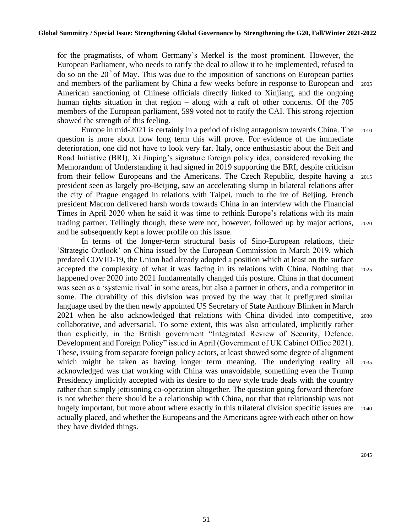for the pragmatists, of whom Germany's Merkel is the most prominent. However, the European Parliament, who needs to ratify the deal to allow it to be implemented, refused to do so on the  $20<sup>th</sup>$  of May. This was due to the imposition of sanctions on European parties and members of the parliament by China a few weeks before in response to European and <sup>2005</sup> American sanctioning of Chinese officials directly linked to Xinjiang, and the ongoing human rights situation in that region – along with a raft of other concerns. Of the 705 members of the European parliament, 599 voted not to ratify the CAI. This strong rejection showed the strength of this feeling.

Europe in mid-2021 is certainly in a period of rising antagonism towards China. The 2010 question is more about how long term this will prove. For evidence of the immediate deterioration, one did not have to look very far. Italy, once enthusiastic about the Belt and Road Initiative (BRI), Xi Jinping's signature foreign policy idea, considered revoking the Memorandum of Understanding it had signed in 2019 supporting the BRI, despite criticism from their fellow Europeans and the Americans. The Czech Republic, despite having a <sup>2015</sup> president seen as largely pro-Beijing, saw an accelerating slump in bilateral relations after the city of Prague engaged in relations with Taipei, much to the ire of Beijing. French president Macron delivered harsh words towards China in an interview with the Financial Times in April 2020 when he said it was time to rethink Europe's relations with its main trading partner. Tellingly though, these were not, however, followed up by major actions, <sup>2020</sup> and he subsequently kept a lower profile on this issue.

In terms of the longer-term structural basis of Sino-European relations, their 'Strategic Outlook' on China issued by the European Commission in March 2019, which predated COVID-19, the Union had already adopted a position which at least on the surface accepted the complexity of what it was facing in its relations with China. Nothing that <sup>2025</sup> happened over 2020 into 2021 fundamentally changed this posture. China in that document was seen as a 'systemic rival' in some areas, but also a partner in others, and a competitor in some. The durability of this division was proved by the way that it prefigured similar language used by the then newly appointed US Secretary of State Anthony Blinken in March 2021 when he also acknowledged that relations with China divided into competitive, <sup>2030</sup> collaborative, and adversarial. To some extent, this was also articulated, implicitly rather than explicitly, in the British government "Integrated Review of Security, Defence, Development and Foreign Policy" issued in April (Government of UK Cabinet Office 2021). These, issuing from separate foreign policy actors, at least showed some degree of alignment which might be taken as having longer term meaning. The underlying reality all 2035 acknowledged was that working with China was unavoidable, something even the Trump Presidency implicitly accepted with its desire to do new style trade deals with the country rather than simply jettisoning co-operation altogether. The question going forward therefore is not whether there should be a relationship with China, nor that that relationship was not hugely important, but more about where exactly in this trilateral division specific issues are 2040 actually placed, and whether the Europeans and the Americans agree with each other on how they have divided things.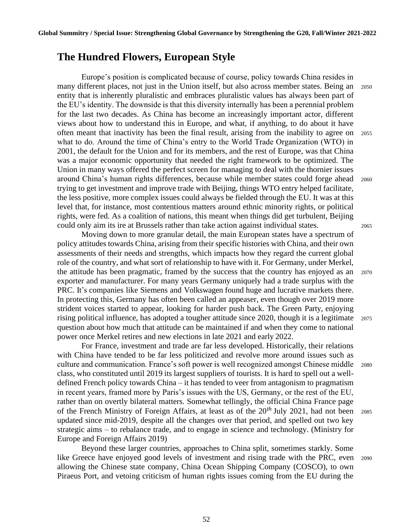#### **The Hundred Flowers, European Style**

Europe's position is complicated because of course, policy towards China resides in many different places, not just in the Union itself, but also across member states. Being an <sup>2050</sup> entity that is inherently pluralistic and embraces pluralistic values has always been part of the EU's identity. The downside is that this diversity internally has been a perennial problem for the last two decades. As China has become an increasingly important actor, different views about how to understand this in Europe, and what, if anything, to do about it have often meant that inactivity has been the final result, arising from the inability to agree on <sup>2055</sup> what to do. Around the time of China's entry to the World Trade Organization (WTO) in 2001, the default for the Union and for its members, and the rest of Europe, was that China was a major economic opportunity that needed the right framework to be optimized. The Union in many ways offered the perfect screen for managing to deal with the thornier issues around China's human rights differences, because while member states could forge ahead <sup>2060</sup> trying to get investment and improve trade with Beijing, things WTO entry helped facilitate, the less positive, more complex issues could always be fielded through the EU. It was at this level that, for instance, most contentious matters around ethnic minority rights, or political rights, were fed. As a coalition of nations, this meant when things did get turbulent, Beijing could only aim its ire at Brussels rather than take action against individual states. <sup>2065</sup>

Moving down to more granular detail, the main European states have a spectrum of policy attitudes towards China, arising from their specific histories with China, and their own assessments of their needs and strengths, which impacts how they regard the current global role of the country, and what sort of relationship to have with it. For Germany, under Merkel, the attitude has been pragmatic, framed by the success that the country has enjoyed as an <sup>2070</sup> exporter and manufacturer. For many years Germany uniquely had a trade surplus with the PRC. It's companies like Siemens and Volkswagen found huge and lucrative markets there. In protecting this, Germany has often been called an appeaser, even though over 2019 more strident voices started to appear, looking for harder push back. The Green Party, enjoying rising political influence, has adopted a tougher attitude since 2020, though it is a legitimate <sup>2075</sup> question about how much that attitude can be maintained if and when they come to national power once Merkel retires and new elections in late 2021 and early 2022.

For France, investment and trade are far less developed. Historically, their relations with China have tended to be far less politicized and revolve more around issues such as culture and communication. France's soft power is well recognized amongst Chinese middle 2080 class, who constituted until 2019 its largest suppliers of tourists. It is hard to spell out a welldefined French policy towards China – it has tended to veer from antagonism to pragmatism in recent years, framed more by Paris's issues with the US, Germany, or the rest of the EU, rather than on overtly bilateral matters. Somewhat tellingly, the official China France page of the French Ministry of Foreign Affairs, at least as of the 20*th* July 2021, had not been <sup>2085</sup> updated since mid-2019, despite all the changes over that period, and spelled out two key strategic aims – to rebalance trade, and to engage in science and technology. (Ministry for Europe and Foreign Affairs 2019)

Beyond these larger countries, approaches to China split, sometimes starkly. Some like Greece have enjoyed good levels of investment and rising trade with the PRC, even <sup>2090</sup> allowing the Chinese state company, China Ocean Shipping Company (COSCO), to own Piraeus Port, and vetoing criticism of human rights issues coming from the EU during the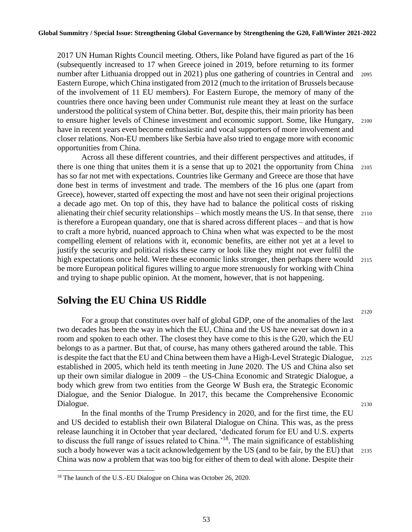2017 UN Human Rights Council meeting. Others, like Poland have figured as part of the 16 (subsequently increased to 17 when Greece joined in 2019, before returning to its former number after Lithuania dropped out in 2021) plus one gathering of countries in Central and 2095 Eastern Europe, which China instigated from 2012 (much to the irritation of Brussels because of the involvement of 11 EU members). For Eastern Europe, the memory of many of the countries there once having been under Communist rule meant they at least on the surface understood the political system of China better. But, despite this, their main priority has been to ensure higher levels of Chinese investment and economic support. Some, like Hungary, <sup>2100</sup> have in recent years even become enthusiastic and vocal supporters of more involvement and closer relations. Non-EU members like Serbia have also tried to engage more with economic opportunities from China.

Across all these different countries, and their different perspectives and attitudes, if there is one thing that unites them it is a sense that up to 2021 the opportunity from China <sup>2105</sup> has so far not met with expectations. Countries like Germany and Greece are those that have done best in terms of investment and trade. The members of the 16 plus one (apart from Greece), however, started off expecting the most and have not seen their original projections a decade ago met. On top of this, they have had to balance the political costs of risking alienating their chief security relationships – which mostly means the US. In that sense, there 2110 is therefore a European quandary, one that is shared across different places – and that is how to craft a more hybrid, nuanced approach to China when what was expected to be the most compelling element of relations with it, economic benefits, are either not yet at a level to justify the security and political risks these carry or look like they might not ever fulfil the high expectations once held. Were these economic links stronger, then perhaps there would 2115 be more European political figures willing to argue more strenuously for working with China and trying to shape public opinion. At the moment, however, that is not happening.

### **Solving the EU China US Riddle**

For a group that constitutes over half of global GDP, one of the anomalies of the last two decades has been the way in which the EU, China and the US have never sat down in a room and spoken to each other. The closest they have come to this is the G20, which the EU belongs to as a partner. But that, of course, has many others gathered around the table. This is despite the fact that the EU and China between them have a High-Level Strategic Dialogue, <sup>2125</sup> established in 2005, which held its tenth meeting in June 2020. The US and China also set up their own similar dialogue in 2009 – the US-China Economic and Strategic Dialogue, a body which grew from two entities from the George W Bush era, the Strategic Economic Dialogue, and the Senior Dialogue. In 2017, this became the Comprehensive Economic Dialogue. 2130

In the final months of the Trump Presidency in 2020, and for the first time, the EU and US decided to establish their own Bilateral Dialogue on China. This was, as the press release launching it in October that year declared, 'dedicated forum for EU and U.S. experts to discuss the full range of issues related to China.'<sup>18</sup>. The main significance of establishing such a body however was a tacit acknowledgement by the US (and to be fair, by the EU) that 2135 China was now a problem that was too big for either of them to deal with alone. Despite their

53

<sup>&</sup>lt;sup>18</sup> The launch of the U.S.-EU Dialogue on China was October 26, 2020.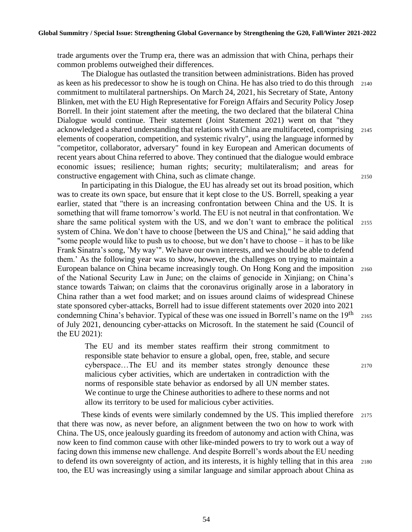trade arguments over the Trump era, there was an admission that with China, perhaps their common problems outweighed their differences.

The Dialogue has outlasted the transition between administrations. Biden has proved as keen as his predecessor to show he is tough on China. He has also tried to do this through <sup>2140</sup> commitment to multilateral partnerships. On March 24, 2021, his Secretary of State, Antony Blinken, met with the EU High Representative for Foreign Affairs and Security Policy Josep Borrell. In their joint statement after the meeting, the two declared that the bilateral China Dialogue would continue. Their statement (Joint Statement 2021) went on that "they acknowledged a shared understanding that relations with China are multifaceted, comprising <sup>2145</sup> elements of cooperation, competition, and systemic rivalry", using the language informed by "competitor, collaborator, adversary" found in key European and American documents of recent years about China referred to above. They continued that the dialogue would embrace economic issues; resilience; human rights; security; multilateralism; and areas for constructive engagement with China, such as climate change. <sup>2150</sup>

In participating in this Dialogue, the EU has already set out its broad position, which was to create its own space, but ensure that it kept close to the US. Borrell, speaking a year earlier, stated that "there is an increasing confrontation between China and the US. It is something that will frame tomorrow's world. The EU is not neutral in that confrontation. We share the same political system with the US, and we don't want to embrace the political <sup>2155</sup> system of China. We don't have to choose [between the US and China]," he said adding that "some people would like to push us to choose, but we don't have to choose – it has to be like Frank Sinatra's song, 'My way'". We have our own interests, and we should be able to defend them.' As the following year was to show, however, the challenges on trying to maintain a European balance on China became increasingly tough. On Hong Kong and the imposition 2160 of the National Security Law in June; on the claims of genocide in Xinjiang; on China's stance towards Taiwan; on claims that the coronavirus originally arose in a laboratory in China rather than a wet food market; and on issues around claims of widespread Chinese state sponsored cyber-attacks, Borrell had to issue different statements over 2020 into 2021 condemning China's behavior. Typical of these was one issued in Borrell's name on the  $19<sup>th</sup>$  2165 of July 2021, denouncing cyber-attacks on Microsoft. In the statement he said (Council of the EU 2021):

The EU and its member states reaffirm their strong commitment to responsible state behavior to ensure a global, open, free, stable, and secure cyberspace...The EU and its member states strongly denounce these 2170 malicious cyber activities, which are undertaken in contradiction with the norms of responsible state behavior as endorsed by all UN member states. We continue to urge the Chinese authorities to adhere to these norms and not allow its territory to be used for malicious cyber activities.

These kinds of events were similarly condemned by the US. This implied therefore 2175 that there was now, as never before, an alignment between the two on how to work with China. The US, once jealously guarding its freedom of autonomy and action with China, was now keen to find common cause with other like-minded powers to try to work out a way of facing down this immense new challenge. And despite Borrell's words about the EU needing to defend its own sovereignty of action, and its interests, it is highly telling that in this area <sup>2180</sup> too, the EU was increasingly using a similar language and similar approach about China as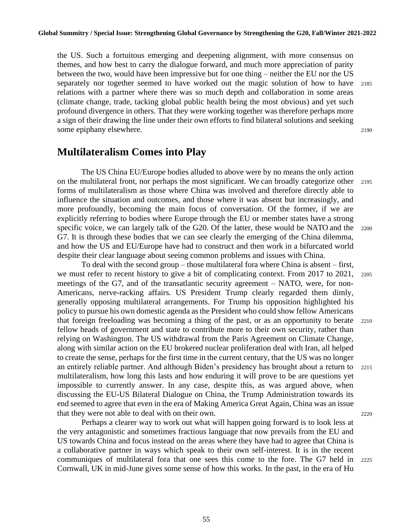the US. Such a fortuitous emerging and deepening alignment, with more consensus on themes, and how best to carry the dialogue forward, and much more appreciation of parity between the two, would have been impressive but for one thing – neither the EU nor the US separately nor together seemed to have worked out the magic solution of how to have <sup>2185</sup> relations with a partner where there was so much depth and collaboration in some areas (climate change, trade, tacking global public health being the most obvious) and yet such profound divergence in others. That they were working together was therefore perhaps more a sign of their drawing the line under their own efforts to find bilateral solutions and seeking some epiphany elsewhere. 2190

### **Multilateralism Comes into Play**

The US China EU/Europe bodies alluded to above were by no means the only action on the multilateral front, nor perhaps the most significant. We can broadly categorize other <sup>2195</sup> forms of multilateralism as those where China was involved and therefore directly able to influence the situation and outcomes, and those where it was absent but increasingly, and more profoundly, becoming the main focus of conversation. Of the former, if we are explicitly referring to bodies where Europe through the EU or member states have a strong specific voice, we can largely talk of the G20. Of the latter, these would be NATO and the 2200 G7. It is through these bodies that we can see clearly the emerging of the China dilemma, and how the US and EU/Europe have had to construct and then work in a bifurcated world despite their clear language about seeing common problems and issues with China.

To deal with the second group – those multilateral fora where China is absent – first, we must refer to recent history to give a bit of complicating context. From 2017 to 2021, 2205 meetings of the G7, and of the transatlantic security agreement – NATO, were, for non-Americans, nerve-racking affairs. US President Trump clearly regarded them dimly, generally opposing multilateral arrangements. For Trump his opposition highlighted his policy to pursue his own domestic agenda as the President who could show fellow Americans that foreign freeloading was becoming a thing of the past, or as an opportunity to berate <sup>2210</sup> fellow heads of government and state to contribute more to their own security, rather than relying on Washington. The US withdrawal from the Paris Agreement on Climate Change, along with similar action on the EU brokered nuclear proliferation deal with Iran, all helped to create the sense, perhaps for the first time in the current century, that the US was no longer an entirely reliable partner. And although Biden's presidency has brought about a return to <sup>2215</sup> multilateralism, how long this lasts and how enduring it will prove to be are questions yet impossible to currently answer. In any case, despite this, as was argued above, when discussing the EU-US Bilateral Dialogue on China, the Trump Administration towards its end seemed to agree that even in the era of Making America Great Again, China was an issue that they were not able to deal with on their own. 2220

Perhaps a clearer way to work out what will happen going forward is to look less at the very antagonistic and sometimes fractious language that now prevails from the EU and US towards China and focus instead on the areas where they have had to agree that China is a collaborative partner in ways which speak to their own self-interest. It is in the recent communiques of multilateral fora that one sees this come to the fore. The G7 held in <sup>2225</sup> Cornwall, UK in mid-June gives some sense of how this works. In the past, in the era of Hu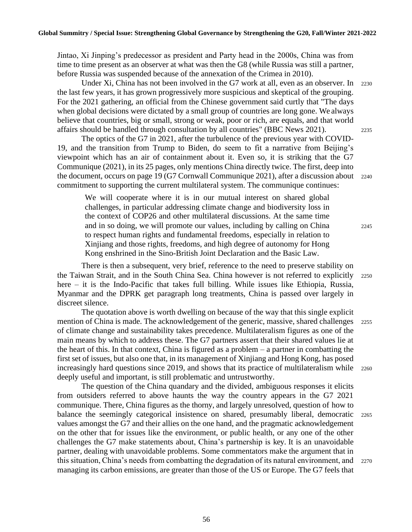Jintao, Xi Jinping's predecessor as president and Party head in the 2000s, China was from time to time present as an observer at what was then the G8 (while Russia was still a partner, before Russia was suspended because of the annexation of the Crimea in 2010).

Under Xi, China has not been involved in the G7 work at all, even as an observer. In 2230 the last few years, it has grown progressively more suspicious and skeptical of the grouping. For the 2021 gathering, an official from the Chinese government said curtly that "The days when global decisions were dictated by a small group of countries are long gone. We always believe that countries, big or small, strong or weak, poor or rich, are equals, and that world affairs should be handled through consultation by all countries" (BBC News 2021). <sup>2235</sup>

The optics of the G7 in 2021, after the turbulence of the previous year with COVID-19, and the transition from Trump to Biden, do seem to fit a narrative from Beijing's viewpoint which has an air of containment about it. Even so, it is striking that the G7 Communique (2021), in its 25 pages, only mentions China directly twice. The first, deep into the document, occurs on page 19 (G7 Cornwall Communique 2021), after a discussion about 2240 commitment to supporting the current multilateral system. The communique continues:

We will cooperate where it is in our mutual interest on shared global challenges, in particular addressing climate change and biodiversity loss in the context of COP26 and other multilateral discussions. At the same time and in so doing, we will promote our values, including by calling on China <sup>2245</sup> to respect human rights and fundamental freedoms, especially in relation to Xinjiang and those rights, freedoms, and high degree of autonomy for Hong Kong enshrined in the Sino-British Joint Declaration and the Basic Law.

There is then a subsequent, very brief, reference to the need to preserve stability on the Taiwan Strait, and in the South China Sea. China however is not referred to explicitly <sup>2250</sup> here – it is the Indo-Pacific that takes full billing. While issues like Ethiopia, Russia, Myanmar and the DPRK get paragraph long treatments, China is passed over largely in discreet silence.

The quotation above is worth dwelling on because of the way that this single explicit mention of China is made. The acknowledgement of the generic, massive, shared challenges 2255 of climate change and sustainability takes precedence. Multilateralism figures as one of the main means by which to address these. The G7 partners assert that their shared values lie at the heart of this. In that context, China is figured as a problem  $-$  a partner in combatting the first set of issues, but also one that, in its management of Xinjiang and Hong Kong, has posed increasingly hard questions since 2019, and shows that its practice of multilateralism while 2260 deeply useful and important, is still problematic and untrustworthy.

The question of the China quandary and the divided, ambiguous responses it elicits from outsiders referred to above haunts the way the country appears in the G7 2021 communique. There, China figures as the thorny, and largely unresolved, question of how to balance the seemingly categorical insistence on shared, presumably liberal, democratic 2265 values amongst the G7 and their allies on the one hand, and the pragmatic acknowledgement on the other that for issues like the environment, or public health, or any one of the other challenges the G7 make statements about, China's partnership is key. It is an unavoidable partner, dealing with unavoidable problems. Some commentators make the argument that in this situation, China's needs from combatting the degradation of its natural environment, and 2270 managing its carbon emissions, are greater than those of the US or Europe. The G7 feels that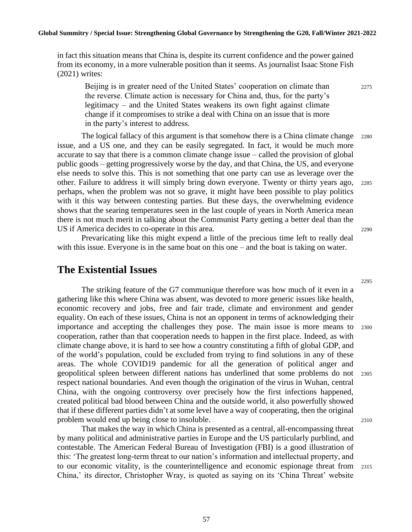in fact this situation means that China is, despite its current confidence and the power gained from its economy, in a more vulnerable position than it seems. As journalist Isaac Stone Fish (2021) writes:

Beijing is in greater need of the United States' cooperation on climate than <sup>2275</sup> the reverse. Climate action is necessary for China and, thus, for the party's legitimacy – and the United States weakens its own fight against climate change if it compromises to strike a deal with China on an issue that is more in the party's interest to address.

The logical fallacy of this argument is that somehow there is a China climate change 2280 issue, and a US one, and they can be easily segregated. In fact, it would be much more accurate to say that there is a common climate change issue – called the provision of global public goods – getting progressively worse by the day, and that China, the US, and everyone else needs to solve this. This is not something that one party can use as leverage over the other. Failure to address it will simply bring down everyone. Twenty or thirty years ago, <sup>2285</sup> perhaps, when the problem was not so grave, it might have been possible to play politics with it this way between contesting parties. But these days, the overwhelming evidence shows that the searing temperatures seen in the last couple of years in North America mean there is not much merit in talking about the Communist Party getting a better deal than the US if America decides to co-operate in this area. 2290

Prevaricating like this might expend a little of the precious time left to really deal with this issue. Everyone is in the same boat on this one – and the boat is taking on water.

#### **The Existential Issues**

The striking feature of the G7 communique therefore was how much of it even in a gathering like this where China was absent, was devoted to more generic issues like health, economic recovery and jobs, free and fair trade, climate and environment and gender equality. On each of these issues, China is not an opponent in terms of acknowledging their importance and accepting the challenges they pose. The main issue is more means to 2300 cooperation, rather than that cooperation needs to happen in the first place. Indeed, as with climate change above, it is hard to see how a country constituting a fifth of global GDP, and of the world's population, could be excluded from trying to find solutions in any of these areas. The whole COVID19 pandemic for all the generation of political anger and geopolitical spleen between different nations has underlined that some problems do not <sup>2305</sup> respect national boundaries. And even though the origination of the virus in Wuhan, central China, with the ongoing controversy over precisely how the first infections happened, created political bad blood between China and the outside world, it also powerfully showed that if these different parties didn't at some level have a way of cooperating, then the original problem would end up being close to insoluble. 2310

That makes the way in which China is presented as a central, all-encompassing threat by many political and administrative parties in Europe and the US particularly purblind, and contestable. The American Federal Bureau of Investigation (FBI) is a good illustration of this: 'The greatest long-term threat to our nation's information and intellectual property, and to our economic vitality, is the counterintelligence and economic espionage threat from <sup>2315</sup> China,' its director, Christopher Wray, is quoted as saying on its 'China Threat' website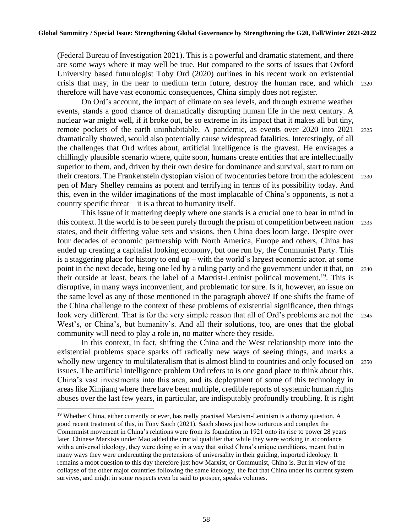(Federal Bureau of Investigation 2021). This is a powerful and dramatic statement, and there are some ways where it may well be true. But compared to the sorts of issues that Oxford University based futurologist Toby Ord (2020) outlines in his recent work on existential crisis that may, in the near to medium term future, destroy the human race, and which <sup>2320</sup> therefore will have vast economic consequences, China simply does not register.

On Ord's account, the impact of climate on sea levels, and through extreme weather events, stands a good chance of dramatically disrupting human life in the next century. A nuclear war might well, if it broke out, be so extreme in its impact that it makes all but tiny, remote pockets of the earth uninhabitable. A pandemic, as events over 2020 into 2021 <sup>2325</sup> dramatically showed, would also potentially cause widespread fatalities. Interestingly, of all the challenges that Ord writes about, artificial intelligence is the gravest. He envisages a chillingly plausible scenario where, quite soon, humans create entities that are intellectually superior to them, and, driven by their own desire for dominance and survival, start to turn on their creators. The Frankenstein dystopian vision of twocenturies before from the adolescent <sup>2330</sup> pen of Mary Shelley remains as potent and terrifying in terms of its possibility today. And this, even in the wilder imaginations of the most implacable of China's opponents, is not a country specific threat – it is a threat to humanity itself.

This issue of it mattering deeply where one stands is a crucial one to bear in mind in this context. If the world is to be seen purely through the prism of competition between nation <sup>2335</sup> states, and their differing value sets and visions, then China does loom large. Despite over four decades of economic partnership with North America, Europe and others, China has ended up creating a capitalist looking economy, but one run by, the Communist Party. This is a staggering place for history to end up – with the world's largest economic actor, at some point in the next decade, being one led by a ruling party and the government under it that, on 2340 their outside at least, bears the label of a Marxist-Leninist political movement.<sup>19</sup>. This is disruptive, in many ways inconvenient, and problematic for sure. Is it, however, an issue on the same level as any of those mentioned in the paragraph above? If one shifts the frame of the China challenge to the context of these problems of existential significance, then things look very different. That is for the very simple reason that all of Ord's problems are not the 2345 West's, or China's, but humanity's. And all their solutions, too, are ones that the global community will need to play a role in, no matter where they reside.

In this context, in fact, shifting the China and the West relationship more into the existential problems space sparks off radically new ways of seeing things, and marks a wholly new urgency to multilateralism that is almost blind to countries and only focused on 2350 issues. The artificial intelligence problem Ord refers to is one good place to think about this. China's vast investments into this area, and its deployment of some of this technology in areas like Xinjiang where there have been multiple, credible reports of systemic human rights abuses over the last few years, in particular, are indisputably profoundly troubling. It is right

<sup>&</sup>lt;sup>19</sup> Whether China, either currently or ever, has really practised Marxism-Leninism is a thorny question. A good recent treatment of this, in Tony Saich (2021). Saich shows just how torturous and complex the Communist movement in China's relations were from its foundation in 1921 onto its rise to power 28 years later. Chinese Marxists under Mao added the crucial qualifier that while they were working in accordance with a universal ideology, they were doing so in a way that suited China's unique conditions, meant that in many ways they were undercutting the pretensions of universality in their guiding, imported ideology. It remains a moot question to this day therefore just how Marxist, or Communist, China is. But in view of the collapse of the other major countries following the same ideology, the fact that China under its current system survives, and might in some respects even be said to prosper, speaks volumes.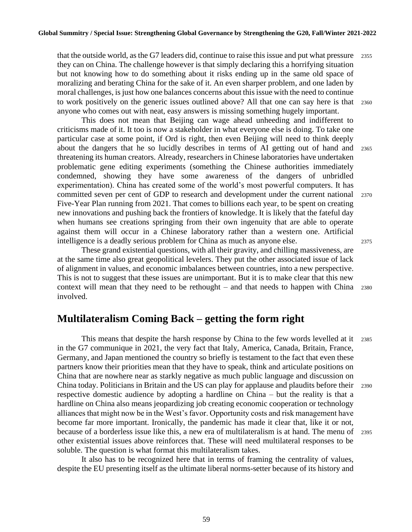that the outside world, as the G7 leaders did, continue to raise this issue and put what pressure 2355 they can on China. The challenge however is that simply declaring this a horrifying situation but not knowing how to do something about it risks ending up in the same old space of moralizing and berating China for the sake of it. An even sharper problem, and one laden by moral challenges, is just how one balances concerns about this issue with the need to continue to work positively on the generic issues outlined above? All that one can say here is that <sup>2360</sup> anyone who comes out with neat, easy answers is missing something hugely important.

This does not mean that Beijing can wage ahead unheeding and indifferent to criticisms made of it. It too is now a stakeholder in what everyone else is doing. To take one particular case at some point, if Ord is right, then even Beijing will need to think deeply about the dangers that he so lucidly describes in terms of AI getting out of hand and <sup>2365</sup> threatening its human creators. Already, researchers in Chinese laboratories have undertaken problematic gene editing experiments (something the Chinese authorities immediately condemned, showing they have some awareness of the dangers of unbridled experimentation). China has created some of the world's most powerful computers. It has committed seven per cent of GDP to research and development under the current national <sup>2370</sup> Five-Year Plan running from 2021. That comes to billions each year, to be spent on creating new innovations and pushing back the frontiers of knowledge. It is likely that the fateful day when humans see creations springing from their own ingenuity that are able to operate against them will occur in a Chinese laboratory rather than a western one. Artificial intelligence is a deadly serious problem for China as much as anyone else. <sup>2375</sup>

These grand existential questions, with all their gravity, and chilling massiveness, are at the same time also great geopolitical levelers. They put the other associated issue of lack of alignment in values, and economic imbalances between countries, into a new perspective. This is not to suggest that these issues are unimportant. But it is to make clear that this new context will mean that they need to be rethought – and that needs to happen with China <sup>2380</sup> involved.

### **Multilateralism Coming Back – getting the form right**

This means that despite the harsh response by China to the few words levelled at it <sup>2385</sup> in the G7 communique in 2021, the very fact that Italy, America, Canada, Britain, France, Germany, and Japan mentioned the country so briefly is testament to the fact that even these partners know their priorities mean that they have to speak, think and articulate positions on China that are nowhere near as starkly negative as much public language and discussion on China today. Politicians in Britain and the US can play for applause and plaudits before their 2390 respective domestic audience by adopting a hardline on China – but the reality is that a hardline on China also means jeopardizing job creating economic cooperation or technology alliances that might now be in the West's favor. Opportunity costs and risk management have become far more important. Ironically, the pandemic has made it clear that, like it or not, because of a borderless issue like this, a new era of multilateralism is at hand. The menu of 2395 other existential issues above reinforces that. These will need multilateral responses to be soluble. The question is what format this multilateralism takes.

It also has to be recognized here that in terms of framing the centrality of values, despite the EU presenting itself as the ultimate liberal norms-setter because of its history and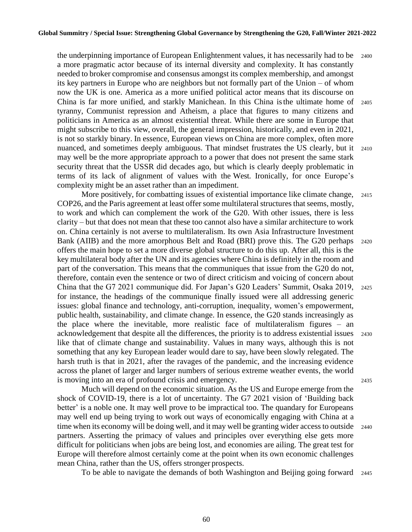the underpinning importance of European Enlightenment values, it has necessarily had to be 2400 a more pragmatic actor because of its internal diversity and complexity. It has constantly needed to broker compromise and consensus amongst its complex membership, and amongst its key partners in Europe who are neighbors but not formally part of the Union – of whom now the UK is one. America as a more unified political actor means that its discourse on China is far more unified, and starkly Manichean. In this China isthe ultimate home of <sup>2405</sup> tyranny, Communist repression and Atheism, a place that figures to many citizens and politicians in America as an almost existential threat. While there are some in Europe that might subscribe to this view, overall, the general impression, historically, and even in 2021, is not so starkly binary. In essence, European views onChina are more complex, often more nuanced, and sometimes deeply ambiguous. That mindset frustrates the US clearly, but it 2410 may well be the more appropriate approach to a power that does not present the same stark security threat that the USSR did decades ago, but which is clearly deeply problematic in terms of its lack of alignment of values with the West. Ironically, for once Europe's complexity might be an asset rather than an impediment.

More positively, for combatting issues of existential importance like climate change, 2415 COP26, and the Paris agreement at least offer some multilateral structures that seems, mostly, to work and which can complement the work of the G20. With other issues, there is less clarity – but that does not mean that these too cannot also have a similar architecture to work on. China certainly is not averse to multilateralism. Its own Asia Infrastructure Investment Bank (AIIB) and the more amorphous Belt and Road (BRI) prove this. The G20 perhaps <sup>2420</sup> offers the main hope to set a more diverse global structure to do this up. After all, this is the key multilateral body after the UN and its agencies where China is definitely in the room and part of the conversation. This means that the communiques that issue from the G20 do not, therefore, contain even the sentence or two of direct criticism and voicing of concern about China that the G7 2021 communique did. For Japan's G20 Leaders' Summit, Osaka 2019, <sup>2425</sup> for instance, the headings of the communique finally issued were all addressing generic issues: global finance and technology, anti-corruption, inequality, women's empowerment, public health, sustainability, and climate change. In essence, the G20 stands increasingly as the place where the inevitable, more realistic face of multilateralism figures – an acknowledgement that despite all the differences, the priority is to address existential issues <sup>2430</sup> like that of climate change and sustainability. Values in many ways, although this is not something that any key European leader would dare to say, have been slowly relegated. The harsh truth is that in 2021, after the ravages of the pandemic, and the increasing evidence across the planet of larger and larger numbers of serious extreme weather events, the world is moving into an era of profound crisis and emergency. <sup>2435</sup>

Much will depend on the economic situation. As the US and Europe emerge from the shock of COVID-19, there is a lot of uncertainty. The G7 2021 vision of 'Building back better' is a noble one. It may well prove to be impractical too. The quandary for Europeans may well end up being trying to work out ways of economically engaging with China at a time when its economy will be doing well, and it may well be granting wider access to outside 2440 partners. Asserting the primacy of values and principles over everything else gets more difficult for politicians when jobs are being lost, and economies are ailing. The great test for Europe will therefore almost certainly come at the point when its own economic challenges mean China, rather than the US, offers stronger prospects.

To be able to navigate the demands of both Washington and Beijing going forward 2445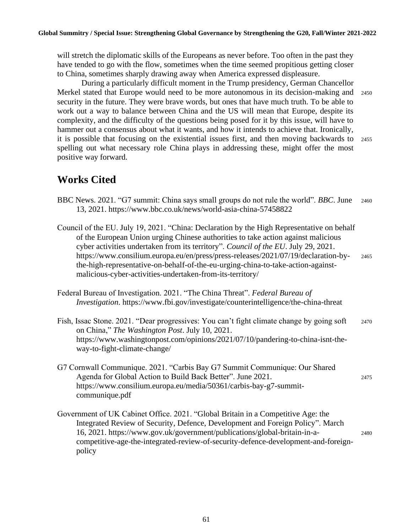will stretch the diplomatic skills of the Europeans as never before. Too often in the past they have tended to go with the flow, sometimes when the time seemed propitious getting closer to China, sometimes sharply drawing away when America expressed displeasure.

During a particularly difficult moment in the Trump presidency, German Chancellor Merkel stated that Europe would need to be more autonomous in its decision-making and <sup>2450</sup> security in the future. They were brave words, but ones that have much truth. To be able to work out a way to balance between China and the US will mean that Europe, despite its complexity, and the difficulty of the questions being posed for it by this issue, will have to hammer out a consensus about what it wants, and how it intends to achieve that. Ironically, it is possible that focusing on the existential issues first, and then moving backwards to <sup>2455</sup> spelling out what necessary role China plays in addressing these, might offer the most positive way forward.

## **Works Cited**

- BBC News. 2021. "G7 summit: China says small groups do not rule the world". *BBC*. June <sup>2460</sup> 13, 2021. https://www.bbc.co.uk/news/world-asia-china-57458822
- Council of the EU. July 19, 2021. "China: Declaration by the High Representative on behalf of the European Union urging Chinese authorities to take action against malicious cyber activities undertaken from its territory". *Council of the EU*. July 29, 2021. https://www.consilium.europa.eu/en/press/press-releases/2021/07/19/declaration-by- <sup>2465</sup> the-high-representative-on-behalf-of-the-eu-urging-china-to-take-action-againstmalicious-cyber-activities-undertaken-from-its-territory/
- Federal Bureau of Investigation. 2021. "The China Threat". *Federal Bureau of Investigation*. https://www.fbi.gov/investigate/counterintelligence/the-china-threat
- Fish, Issac Stone. 2021. "Dear progressives: You can't fight climate change by going soft 2470 on China," *The Washington Post*. July 10, 2021. https://www.washingtonpost.com/opinions/2021/07/10/pandering-to-china-isnt-theway-to-fight-climate-change/
- G7 Cornwall Communique. 2021. "Carbis Bay G7 Summit Communique: Our Shared Agenda for Global Action to Build Back Better". June 2021. 2475 https://www.consilium.europa.eu/media/50361/carbis-bay-g7-summitcommunique.pdf
- Government of UK Cabinet Office. 2021. "Global Britain in a Competitive Age: the Integrated Review of Security, Defence, Development and Foreign Policy". March 16, 2021. https://www.gov.uk/government/publications/global-britain-in-a- <sup>2480</sup> competitive-age-the-integrated-review-of-security-defence-development-and-foreignpolicy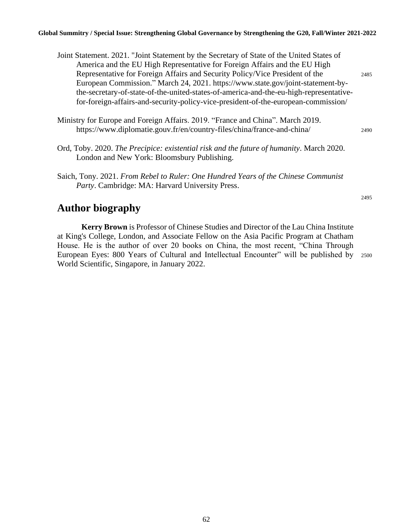#### **Global Summitry / Special Issue: Strengthening Global Governance by Strengthening the G20, Fall/Winter 2021-2022**

- Joint Statement. 2021. "Joint Statement by the Secretary of State of the United States of America and the EU High Representative for Foreign Affairs and the EU High Representative for Foreign Affairs and Security Policy/Vice President of the <sup>2485</sup> European Commission." March 24, 2021. https://www.state.gov/joint-statement-bythe-secretary-of-state-of-the-united-states-of-america-and-the-eu-high-representativefor-foreign-affairs-and-security-policy-vice-president-of-the-european-commission/
- Ministry for Europe and Foreign Affairs. 2019. "France and China". March 2019. https://www.diplomatie.gouv.fr/en/country-files/china/france-and-china/ <sup>2490</sup>
- Ord, Toby. 2020. *The Precipice: existential risk and the future of humanity*. March 2020. London and New York: Bloomsbury Publishing.
- Saich, Tony. 2021. *From Rebel to Ruler: One Hundred Years of the Chinese Communist Party*. Cambridge: MA: Harvard University Press.

### **Author biography**

**Kerry Brown** is Professor of Chinese Studies and Director of the Lau China Institute at King's College, London, and Associate Fellow on the Asia Pacific Program at Chatham House. He is the author of over 20 books on China, the most recent, "China Through European Eyes: 800 Years of Cultural and Intellectual Encounter" will be published by 2500 World Scientific, Singapore, in January 2022.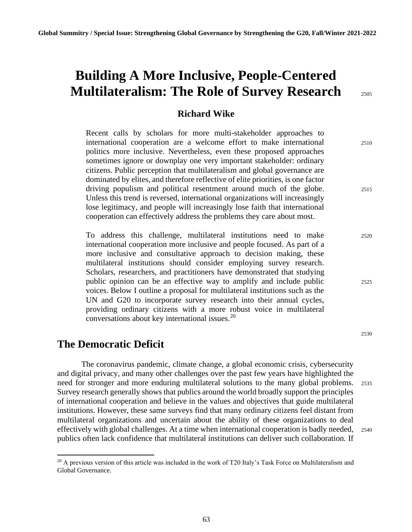# **Building A More Inclusive, People-Centered Multilateralism: The Role of Survey Research** <sup>2505</sup>

#### **Richard Wike**

Recent calls by scholars for more multi-stakeholder approaches to international cooperation are a welcome effort to make international <sup>2510</sup> politics more inclusive. Nevertheless, even these proposed approaches sometimes ignore or downplay one very important stakeholder: ordinary citizens. Public perception that multilateralism and global governance are dominated by elites, and therefore reflective of elite priorities, is one factor driving populism and political resentment around much of the globe. 2515 Unless this trend is reversed, international organizations will increasingly lose legitimacy, and people will increasingly lose faith that international cooperation can effectively address the problems they care about most.

To address this challenge, multilateral institutions need to make <sup>2520</sup> international cooperation more inclusive and people focused. As part of a more inclusive and consultative approach to decision making, these multilateral institutions should consider employing survey research. Scholars, researchers, and practitioners have demonstrated that studying public opinion can be an effective way to amplify and include public <sup>2525</sup> voices. Below I outline a proposal for multilateral institutions such as the UN and G20 to incorporate survey research into their annual cycles, providing ordinary citizens with a more robust voice in multilateral conversations about key international issues.<sup>20</sup>

### **The Democratic Deficit**

The coronavirus pandemic, climate change, a global economic crisis, cybersecurity and digital privacy, and many other challenges over the past few years have highlighted the need for stronger and more enduring multilateral solutions to the many global problems. <sup>2535</sup> Survey research generally shows that publics around the world broadly support the principles of international cooperation and believe in the values and objectives that guide multilateral institutions. However, these same surveys find that many ordinary citizens feel distant from multilateral organizations and uncertain about the ability of these organizations to deal effectively with global challenges. At a time when international cooperation is badly needed, <sup>2540</sup> publics often lack confidence that multilateral institutions can deliver such collaboration. If

<sup>&</sup>lt;sup>20</sup> A previous version of this article was included in the work of T20 Italy's Task Force on Multilateralism and Global Governance.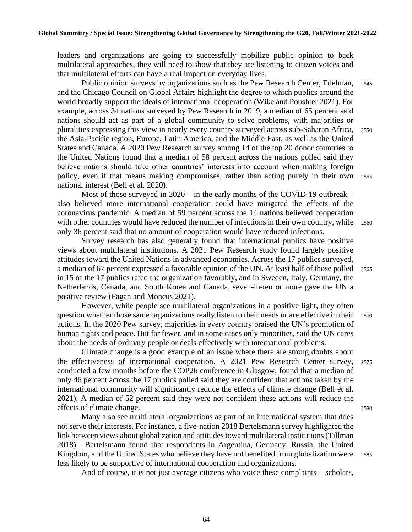leaders and organizations are going to successfully mobilize public opinion to back multilateral approaches, they will need to show that they are listening to citizen voices and that multilateral efforts can have a real impact on everyday lives.

Public opinion surveys by organizations such as the Pew Research Center, Edelman, <sup>2545</sup> and the Chicago Council on Global Affairs highlight the degree to which publics around the world broadly support the ideals of international cooperation (Wike and Poushter 2021). For example, across 34 nations surveyed by Pew Research in 2019, a median of 65 percent said nations should act as part of a global community to solve problems, with majorities or pluralities expressing this view in nearly every country surveyed across sub-Saharan Africa, <sup>2550</sup> the Asia-Pacific region, Europe, Latin America, and the Middle East, as well as the United States and Canada. A 2020 Pew Research survey among 14 of the top 20 donor countries to the United Nations found that a median of 58 percent across the nations polled said they believe nations should take other countries' interests into account when making foreign policy, even if that means making compromises, rather than acting purely in their own <sup>2555</sup> national interest (Bell et al. 2020).

Most of those surveyed in 2020 – in the early months of the COVID-19 outbreak – also believed more international cooperation could have mitigated the effects of the coronavirus pandemic. A median of 59 percent across the 14 nations believed cooperation with other countries would have reduced the number of infections in their own country, while 2560 only 36 percent said that no amount of cooperation would have reduced infections.

Survey research has also generally found that international publics have positive views about multilateral institutions. A 2021 Pew Research study found largely positive attitudes toward the United Nations in advanced economies. Across the 17 publics surveyed, a median of 67 percent expressed a favorable opinion of the UN. At least half of those polled 2565 in 15 of the 17 publics rated the organization favorably, and in Sweden, Italy, Germany, the Netherlands, Canada, and South Korea and Canada, seven-in-ten or more gave the UN a positive review (Fagan and Moncus 2021).

However, while people see multilateral organizations in a positive light, they often question whether those same organizations really listen to their needs or are effective in their <sup>2570</sup> actions. In the 2020 Pew survey, majorities in every country praised the UN's promotion of human rights and peace. But far fewer, and in some cases only minorities, said the UN cares about the needs of ordinary people or deals effectively with international problems.

Climate change is a good example of an issue where there are strong doubts about the effectiveness of international cooperation. A 2021 Pew Research Center survey, <sup>2575</sup> conducted a few months before the COP26 conference in Glasgow, found that a median of only 46 percent across the 17 publics polled said they are confident that actions taken by the international community will significantly reduce the effects of climate change (Bell et al. 2021). A median of 52 percent said they were not confident these actions will reduce the effects of climate change. 2580

Many also see multilateral organizations as part of an international system that does not serve their interests. For instance, a five-nation 2018 Bertelsmann survey highlighted the link between views about globalization and attitudes toward multilateral institutions (Tillman 2018). Bertelsmann found that respondents in Argentina, Germany, Russia, the United Kingdom, and the United States who believe they have not benefited from globalization were 2585 less likely to be supportive of international cooperation and organizations.

And of course, it is not just average citizens who voice these complaints – scholars,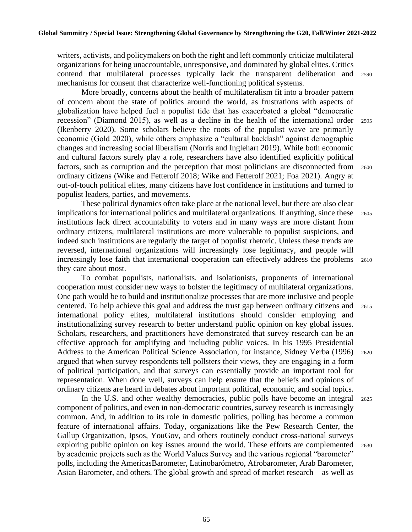writers, activists, and policymakers on both the right and left commonly criticize multilateral organizations for being unaccountable, unresponsive, and dominated by global elites. Critics contend that multilateral processes typically lack the transparent deliberation and <sup>2590</sup> mechanisms for consent that characterize well-functioning political systems.

More broadly, concerns about the health of multilateralism fit into a broader pattern of concern about the state of politics around the world, as frustrations with aspects of globalization have helped fuel a populist tide that has exacerbated a global "democratic recession" (Diamond 2015), as well as a decline in the health of the international order <sup>2595</sup> (Ikenberry 2020). Some scholars believe the roots of the populist wave are primarily economic (Gold 2020), while others emphasize a "cultural backlash" against demographic changes and increasing social liberalism (Norris and Inglehart 2019). While both economic and cultural factors surely play a role, researchers have also identified explicitly political factors, such as corruption and the perception that most politicians are disconnected from 2600 ordinary citizens (Wike and Fetterolf 2018; Wike and Fetterolf 2021; Foa 2021). Angry at out-of-touch political elites, many citizens have lost confidence in institutions and turned to populist leaders, parties, and movements.

These political dynamics often take place at the national level, but there are also clear implications for international politics and multilateral organizations. If anything, since these <sup>2605</sup> institutions lack direct accountability to voters and in many ways are more distant from ordinary citizens, multilateral institutions are more vulnerable to populist suspicions, and indeed such institutions are regularly the target of populist rhetoric. Unless these trends are reversed, international organizations will increasingly lose legitimacy, and people will increasingly lose faith that international cooperation can effectively address the problems <sup>2610</sup> they care about most.

To combat populists, nationalists, and isolationists, proponents of international cooperation must consider new ways to bolster the legitimacy of multilateral organizations. One path would be to build and institutionalize processes that are more inclusive and people centered. To help achieve this goal and address the trust gap between ordinary citizens and <sup>2615</sup> international policy elites, multilateral institutions should consider employing and institutionalizing survey research to better understand public opinion on key global issues. Scholars, researchers, and practitioners have demonstrated that survey research can be an effective approach for amplifying and including public voices. In his 1995 Presidential Address to the American Political Science Association, for instance, Sidney Verba (1996) 2620 argued that when survey respondents tell pollsters their views, they are engaging in a form of political participation, and that surveys can essentially provide an important tool for representation. When done well, surveys can help ensure that the beliefs and opinions of ordinary citizens are heard in debates about important political, economic, and social topics.

In the U.S. and other wealthy democracies, public polls have become an integral <sup>2625</sup> component of politics, and even in non-democratic countries, survey research is increasingly common. And, in addition to its role in domestic politics, polling has become a common feature of international affairs. Today, organizations like the Pew Research Center, the Gallup Organization, Ipsos, YouGov, and others routinely conduct cross-national surveys exploring public opinion on key issues around the world. These efforts are complemented 2630 by academic projects such as the World Values Survey and the various regional "barometer" polls, including the AmericasBarometer, Latinobarómetro, Afrobarometer, Arab Barometer, Asian Barometer, and others. The global growth and spread of market research – as well as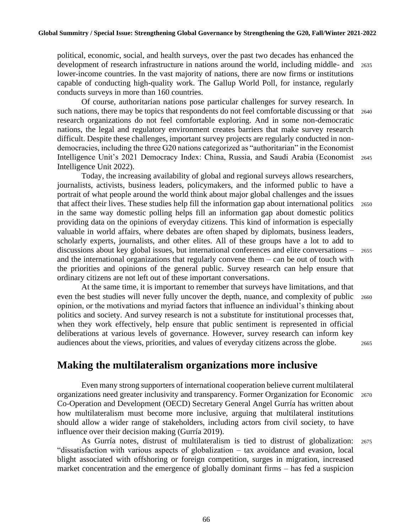political, economic, social, and health surveys, over the past two decades has enhanced the development of research infrastructure in nations around the world, including middle- and <sup>2635</sup> lower-income countries. In the vast majority of nations, there are now firms or institutions capable of conducting high-quality work. The Gallup World Poll, for instance, regularly conducts surveys in more than 160 countries.

Of course, authoritarian nations pose particular challenges for survey research. In such nations, there may be topics that respondents do not feel comfortable discussing or that 2640 research organizations do not feel comfortable exploring. And in some non-democratic nations, the legal and regulatory environment creates barriers that make survey research difficult. Despite these challenges, important survey projects are regularly conducted in nondemocracies, including the three G20 nations categorized as "authoritarian" in the Economist Intelligence Unit's 2021 Democracy Index: China, Russia, and Saudi Arabia (Economist <sup>2645</sup> Intelligence Unit 2022).

Today, the increasing availability of global and regional surveys allows researchers, journalists, activists, business leaders, policymakers, and the informed public to have a portrait of what people around the world think about major global challenges and the issues that affect their lives. These studies help fill the information gap about international politics <sup>2650</sup> in the same way domestic polling helps fill an information gap about domestic politics providing data on the opinions of everyday citizens. This kind of information is especially valuable in world affairs, where debates are often shaped by diplomats, business leaders, scholarly experts, journalists, and other elites. All of these groups have a lot to add to discussions about key global issues, but international conferences and elite conversations – <sup>2655</sup> and the international organizations that regularly convene them – can be out of touch with the priorities and opinions of the general public. Survey research can help ensure that ordinary citizens are not left out of these important conversations.

At the same time, it is important to remember that surveys have limitations, and that even the best studies will never fully uncover the depth, nuance, and complexity of public 2660 opinion, or the motivations and myriad factors that influence an individual's thinking about politics and society. And survey research is not a substitute for institutional processes that, when they work effectively, help ensure that public sentiment is represented in official deliberations at various levels of governance. However, survey research can inform key audiences about the views, priorities, and values of everyday citizens across the globe. <sup>2665</sup>

#### **Making the multilateralism organizations more inclusive**

Even many strong supporters of international cooperation believe current multilateral organizations need greater inclusivity and transparency. Former Organization for Economic <sup>2670</sup> Co-Operation and Development (OECD) Secretary General Angel Gurría has written about how multilateralism must become more inclusive, arguing that multilateral institutions should allow a wider range of stakeholders, including actors from civil society, to have influence over their decision making (Gurría 2019).

As Gurría notes, distrust of multilateralism is tied to distrust of globalization: <sup>2675</sup> "dissatisfaction with various aspects of globalization – tax avoidance and evasion, local blight associated with offshoring or foreign competition, surges in migration, increased market concentration and the emergence of globally dominant firms – has fed a suspicion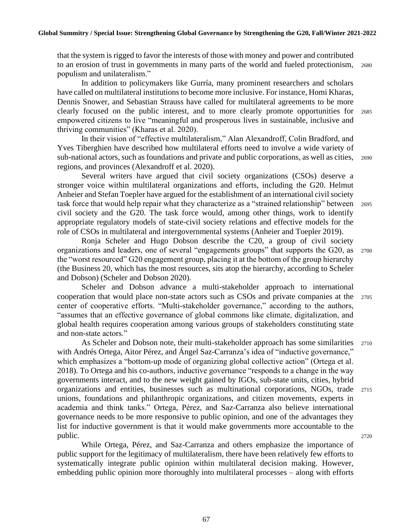that the system is rigged to favor the interests of those with money and power and contributed to an erosion of trust in governments in many parts of the world and fueled protectionism, <sup>2680</sup> populism and unilateralism."

In addition to policymakers like Gurría, many prominent researchers and scholars have called on multilateral institutions to become more inclusive. For instance, Homi Kharas, Dennis Snower, and Sebastian Strauss have called for multilateral agreements to be more clearly focused on the public interest, and to more clearly promote opportunities for <sup>2685</sup> empowered citizens to live "meaningful and prosperous lives in sustainable, inclusive and thriving communities" (Kharas et al. 2020).

In their vision of "effective multilateralism," Alan Alexandroff, Colin Bradford, and Yves Tiberghien have described how multilateral efforts need to involve a wide variety of sub-national actors, such as foundations and private and public corporations, as well as cities, 2690 regions, and provinces (Alexandroff et al. 2020).

Several writers have argued that civil society organizations (CSOs) deserve a stronger voice within multilateral organizations and efforts, including the G20. Helmut Anheier and Stefan Toepler have argued for the establishment of an international civil society task force that would help repair what they characterize as a "strained relationship" between <sup>2695</sup> civil society and the G20. The task force would, among other things, work to identify appropriate regulatory models of state-civil society relations and effective models for the role of CSOs in multilateral and intergovernmental systems (Anheier and Toepler 2019).

Ronja Scheler and Hugo Dobson describe the C20, a group of civil society organizations and leaders, one of several "engagements groups" that supports the G20, as <sup>2700</sup> the "worst resourced" G20 engagement group, placing it at the bottom of the group hierarchy (the Business 20, which has the most resources, sits atop the hierarchy, according to Scheler and Dobson) (Scheler and Dobson 2020).

Scheler and Dobson advance a multi-stakeholder approach to international cooperation that would place non-state actors such as CSOs and private companies at the <sup>2705</sup> center of cooperative efforts. "Multi-stakeholder governance," according to the authors, "assumes that an effective governance of global commons like climate, digitalization, and global health requires cooperation among various groups of stakeholders constituting state and non-state actors."

As Scheler and Dobson note, their multi-stakeholder approach has some similarities 2710 with Andrés Ortega, Aitor Pérez, and Ángel Saz-Carranza's idea of "inductive governance," which emphasizes a "bottom-up mode of organizing global collective action" (Ortega et al. 2018). To Ortega and his co-authors, inductive governance "responds to a change in the way governments interact, and to the new weight gained by IGOs, sub-state units, cities, hybrid organizations and entities, businesses such as multinational corporations, NGOs, trade <sup>2715</sup> unions, foundations and philanthropic organizations, and citizen movements, experts in academia and think tanks." Ortega, Pérez, and Saz-Carranza also believe international governance needs to be more responsive to public opinion, and one of the advantages they list for inductive government is that it would make governments more accountable to the public. 2720

While Ortega, Pérez, and Saz-Carranza and others emphasize the importance of public support for the legitimacy of multilateralism, there have been relatively few efforts to systematically integrate public opinion within multilateral decision making. However, embedding public opinion more thoroughly into multilateral processes – along with efforts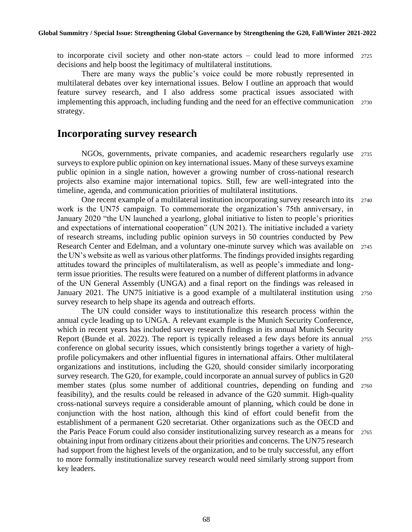to incorporate civil society and other non-state actors – could lead to more informed <sup>2725</sup> decisions and help boost the legitimacy of multilateral institutions.

There are many ways the public's voice could be more robustly represented in multilateral debates over key international issues. Below I outline an approach that would feature survey research, and I also address some practical issues associated with implementing this approach, including funding and the need for an effective communication <sup>2730</sup> strategy.

#### **Incorporating survey research**

NGOs, governments, private companies, and academic researchers regularly use <sup>2735</sup> surveys to explore public opinion on key international issues. Many of these surveys examine public opinion in a single nation, however a growing number of cross-national research projects also examine major international topics. Still, few are well-integrated into the timeline, agenda, and communication priorities of multilateral institutions.

One recent example of a multilateral institution incorporating survey research into its <sup>2740</sup> work is the UN75 campaign. To commemorate the organization's 75th anniversary, in January 2020 "the UN launched a yearlong, global initiative to listen to people's priorities and expectations of international cooperation" (UN 2021). The initiative included a variety of research streams, including public opinion surveys in 50 countries conducted by Pew Research Center and Edelman, and a voluntary one-minute survey which was available on <sup>2745</sup> the UN's website as well as various other platforms. The findings provided insights regarding attitudes toward the principles of multilateralism, as well as people's immediate and longterm issue priorities. The results were featured on a number of different platforms in advance of the UN General Assembly (UNGA) and a final report on the findings was released in January 2021. The UN75 initiative is a good example of a multilateral institution using <sup>2750</sup> survey research to help shape its agenda and outreach efforts.

The UN could consider ways to institutionalize this research process within the annual cycle leading up to UNGA. A relevant example is the Munich Security Conference, which in recent years has included survey research findings in its annual Munich Security Report (Bunde et al. 2022). The report is typically released a few days before its annual <sup>2755</sup> conference on global security issues, which consistently brings together a variety of highprofile policymakers and other influential figures in international affairs. Other multilateral organizations and institutions, including the G20, should consider similarly incorporating survey research. The G20, for example, could incorporate an annual survey of publics in G20 member states (plus some number of additional countries, depending on funding and <sup>2760</sup> feasibility), and the results could be released in advance of the G20 summit. High-quality cross-national surveys require a considerable amount of planning, which could be done in conjunction with the host nation, although this kind of effort could benefit from the establishment of a permanent G20 secretariat. Other organizations such as the OECD and the Paris Peace Forum could also consider institutionalizing survey research as a means for <sup>2765</sup> obtaining input from ordinary citizens about their priorities and concerns. The UN75 research had support from the highest levels of the organization, and to be truly successful, any effort to more formally institutionalize survey research would need similarly strong support from key leaders.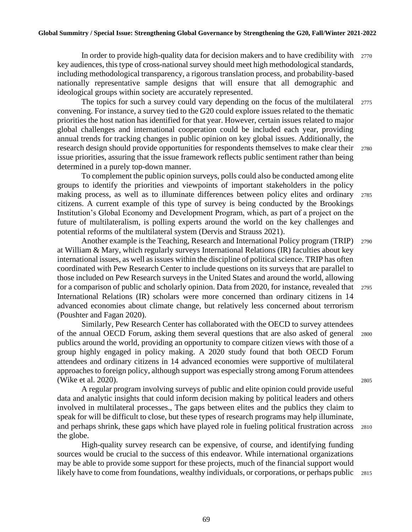In order to provide high-quality data for decision makers and to have credibility with <sup>2770</sup> key audiences, this type of cross-national survey should meet high methodological standards, including methodological transparency, a rigorous translation process, and probability-based nationally representative sample designs that will ensure that all demographic and ideological groups within society are accurately represented.

The topics for such a survey could vary depending on the focus of the multilateral 2775 convening. For instance, a survey tied to the G20 could explore issues related to the thematic priorities the host nation has identified for that year. However, certain issues related to major global challenges and international cooperation could be included each year, providing annual trends for tracking changes in public opinion on key global issues. Additionally, the research design should provide opportunities for respondents themselves to make clear their 2780 issue priorities, assuring that the issue framework reflects public sentiment rather than being determined in a purely top-down manner.

To complement the public opinion surveys, polls could also be conducted among elite groups to identify the priorities and viewpoints of important stakeholders in the policy making process, as well as to illuminate differences between policy elites and ordinary <sup>2785</sup> citizens. A current example of this type of survey is being conducted by the Brookings Institution's Global Economy and Development Program, which, as part of a project on the future of multilateralism, is polling experts around the world on the key challenges and potential reforms of the multilateral system (Dervis and Strauss 2021).

Another example is the Teaching, Research and International Policy program (TRIP) 2790 at William & Mary, which regularly surveys International Relations (IR) faculties about key international issues, as well as issues within the discipline of political science. TRIP has often coordinated with Pew Research Center to include questions on its surveys that are parallel to those included on Pew Research surveys in the United States and around the world, allowing for a comparison of public and scholarly opinion. Data from 2020, for instance, revealed that 2795 International Relations (IR) scholars were more concerned than ordinary citizens in 14 advanced economies about climate change, but relatively less concerned about terrorism (Poushter and Fagan 2020).

Similarly, Pew Research Center has collaborated with the OECD to survey attendees of the annual OECD Forum, asking them several questions that are also asked of general <sup>2800</sup> publics around the world, providing an opportunity to compare citizen views with those of a group highly engaged in policy making. A 2020 study found that both OECD Forum attendees and ordinary citizens in 14 advanced economies were supportive of multilateral approaches to foreign policy, although support was especially strong among Forum attendees (Wike et al. 2020). 2805

A regular program involving surveys of public and elite opinion could provide useful data and analytic insights that could inform decision making by political leaders and others involved in multilateral processes., The gaps between elites and the publics they claim to speak for will be difficult to close, but these types of research programs may help illuminate, and perhaps shrink, these gaps which have played role in fueling political frustration across <sup>2810</sup> the globe.

High-quality survey research can be expensive, of course, and identifying funding sources would be crucial to the success of this endeavor. While international organizations may be able to provide some support for these projects, much of the financial support would likely have to come from foundations, wealthy individuals, or corporations, or perhaps public 2815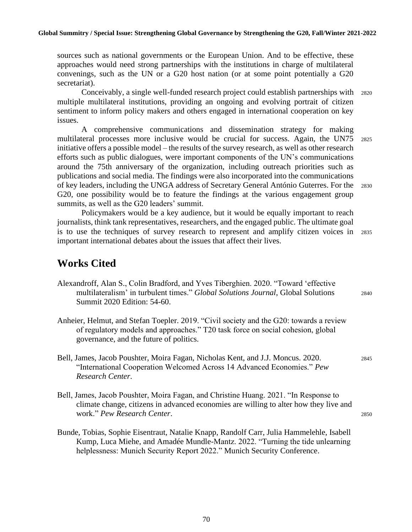sources such as national governments or the European Union. And to be effective, these approaches would need strong partnerships with the institutions in charge of multilateral convenings, such as the UN or a G20 host nation (or at some point potentially a G20 secretariat).

Conceivably, a single well-funded research project could establish partnerships with <sup>2820</sup> multiple multilateral institutions, providing an ongoing and evolving portrait of citizen sentiment to inform policy makers and others engaged in international cooperation on key issues.

A comprehensive communications and dissemination strategy for making multilateral processes more inclusive would be crucial for success. Again, the UN75 <sup>2825</sup> initiative offers a possible model – the results of the survey research, as well as other research efforts such as public dialogues, were important components of the UN's communications around the 75th anniversary of the organization, including outreach priorities such as publications and social media. The findings were also incorporated into the communications of key leaders, including the UNGA address of Secretary General António Guterres. For the <sup>2830</sup> G20, one possibility would be to feature the findings at the various engagement group summits, as well as the G20 leaders' summit.

Policymakers would be a key audience, but it would be equally important to reach journalists, think tank representatives, researchers, and the engaged public. The ultimate goal is to use the techniques of survey research to represent and amplify citizen voices in <sup>2835</sup> important international debates about the issues that affect their lives.

### **Works Cited**

- Alexandroff, Alan S., Colin Bradford, and Yves Tiberghien. 2020. "Toward 'effective multilateralism' in turbulent times." *Global Solutions Journal*, Global Solutions <sup>2840</sup> Summit 2020 Edition: 54-60.
- Anheier, Helmut, and Stefan Toepler. 2019. "Civil society and the G20: towards a review of regulatory models and approaches." T20 task force on social cohesion, global governance, and the future of politics.
- Bell, James, Jacob Poushter, Moira Fagan, Nicholas Kent, and J.J. Moncus. 2020. <sup>2845</sup> "International Cooperation Welcomed Across 14 Advanced Economies." *Pew Research Center*.
- Bell, James, Jacob Poushter, Moira Fagan, and Christine Huang. 2021. "In Response to climate change, citizens in advanced economies are willing to alter how they live and work." *Pew Research Center*. <sup>2850</sup>
- Bunde, Tobias, Sophie Eisentraut, Natalie Knapp, Randolf Carr, Julia Hammelehle, Isabell Kump, Luca Miehe, and Amadée Mundle-Mantz. 2022. "Turning the tide unlearning helplessness: Munich Security Report 2022." Munich Security Conference.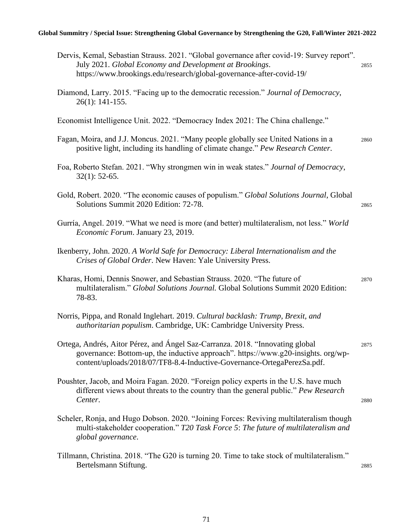#### **Global Summitry / Special Issue: Strengthening Global Governance by Strengthening the G20, Fall/Winter 2021-2022**

| Dervis, Kemal, Sebastian Strauss. 2021. "Global governance after covid-19: Survey report".<br>July 2021. Global Economy and Development at Brookings.<br>https://www.brookings.edu/research/global-governance-after-covid-19/                | 2855 |
|----------------------------------------------------------------------------------------------------------------------------------------------------------------------------------------------------------------------------------------------|------|
| Diamond, Larry. 2015. "Facing up to the democratic recession." Journal of Democracy,<br>$26(1): 141-155.$                                                                                                                                    |      |
| Economist Intelligence Unit. 2022. "Democracy Index 2021: The China challenge."                                                                                                                                                              |      |
| Fagan, Moira, and J.J. Moncus. 2021. "Many people globally see United Nations in a<br>positive light, including its handling of climate change." Pew Research Center.                                                                        | 2860 |
| Foa, Roberto Stefan. 2021. "Why strongmen win in weak states." Journal of Democracy,<br>$32(1)$ : 52-65.                                                                                                                                     |      |
| Gold, Robert. 2020. "The economic causes of populism." Global Solutions Journal, Global<br>Solutions Summit 2020 Edition: 72-78.                                                                                                             | 2865 |
| Gurría, Angel. 2019. "What we need is more (and better) multilateralism, not less." World<br>Economic Forum. January 23, 2019.                                                                                                               |      |
| Ikenberry, John. 2020. A World Safe for Democracy: Liberal Internationalism and the<br>Crises of Global Order. New Haven: Yale University Press.                                                                                             |      |
| Kharas, Homi, Dennis Snower, and Sebastian Strauss. 2020. "The future of<br>multilateralism." Global Solutions Journal. Global Solutions Summit 2020 Edition:<br>78-83.                                                                      | 2870 |
| Norris, Pippa, and Ronald Inglehart. 2019. Cultural backlash: Trump, Brexit, and<br>authoritarian populism. Cambridge, UK: Cambridge University Press.                                                                                       |      |
| Ortega, Andrés, Aitor Pérez, and Ángel Saz-Carranza. 2018. "Innovating global<br>governance: Bottom-up, the inductive approach". https://www.g20-insights.org/wp-<br>content/uploads/2018/07/TF8-8.4-Inductive-Governance-OrtegaPerezSa.pdf. | 2875 |
| Poushter, Jacob, and Moira Fagan. 2020. "Foreign policy experts in the U.S. have much<br>different views about threats to the country than the general public." Pew Research<br>Center.                                                      | 2880 |
| Scheler, Ronja, and Hugo Dobson. 2020. "Joining Forces: Reviving multilateralism though<br>multi-stakeholder cooperation." T20 Task Force 5: The future of multilateralism and<br>global governance.                                         |      |
| Tillmann, Christina. 2018. "The G20 is turning 20. Time to take stock of multilateralism."<br>Bertelsmann Stiftung.                                                                                                                          | 2885 |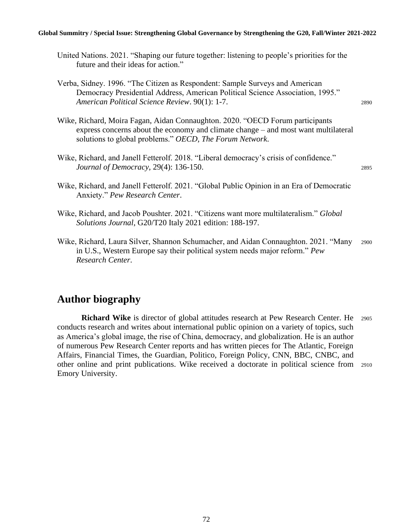#### **Global Summitry / Special Issue: Strengthening Global Governance by Strengthening the G20, Fall/Winter 2021-2022**

- United Nations. 2021. "Shaping our future together: listening to people's priorities for the future and their ideas for action."
- Verba, Sidney. 1996. "The Citizen as Respondent: Sample Surveys and American Democracy Presidential Address, American Political Science Association, 1995." *American Political Science Review*. 90(1): 1-7. <sup>2890</sup>
- Wike, Richard, Moira Fagan, Aidan Connaughton. 2020. "OECD Forum participants express concerns about the economy and climate change – and most want multilateral solutions to global problems." *OECD, The Forum Network*.

- Wike, Richard, and Janell Fetterolf. 2021. "Global Public Opinion in an Era of Democratic Anxiety." *Pew Research Center*.
- Wike, Richard, and Jacob Poushter. 2021. "Citizens want more multilateralism." *Global Solutions Journal*, G20/T20 Italy 2021 edition: 188-197.
- Wike, Richard, Laura Silver, Shannon Schumacher, and Aidan Connaughton. 2021. "Many <sup>2900</sup> in U.S., Western Europe say their political system needs major reform." *Pew Research Center*.

#### **Author biography**

**Richard Wike** is director of global attitudes research at Pew Research Center. He 2905 conducts research and writes about international public opinion on a variety of topics, such as America's global image, the rise of China, democracy, and globalization. He is an author of numerous Pew Research Center reports and has written pieces for The Atlantic, Foreign Affairs, Financial Times, the Guardian, Politico, Foreign Policy, CNN, BBC, CNBC, and other online and print publications. Wike received a doctorate in political science from <sup>2910</sup> Emory University.

Wike, Richard, and Janell Fetterolf. 2018. "Liberal democracy's crisis of confidence." *Journal of Democracy*, 29(4): 136-150. 2895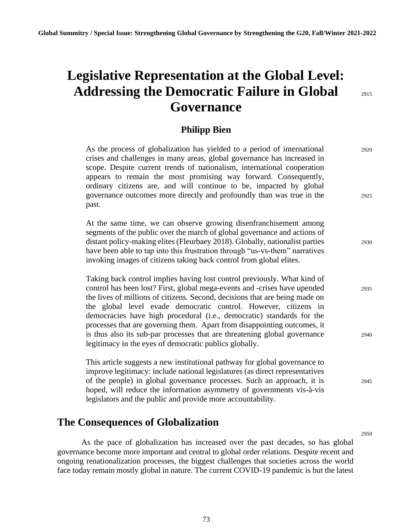# **Legislative Representation at the Global Level: Addressing the Democratic Failure in Global** <sup>2915</sup> **Governance**

2950

#### **Philipp Bien**

| As the process of globalization has yielded to a period of international<br>crises and challenges in many areas, global governance has increased in<br>scope. Despite current trends of nationalism, international cooperation<br>appears to remain the most promising way forward. Consequently,<br>ordinary citizens are, and will continue to be, impacted by global<br>governance outcomes more directly and profoundly than was true in the<br>past.    | 2920<br>2925 |
|--------------------------------------------------------------------------------------------------------------------------------------------------------------------------------------------------------------------------------------------------------------------------------------------------------------------------------------------------------------------------------------------------------------------------------------------------------------|--------------|
| At the same time, we can observe growing disenfranchisement among<br>segments of the public over the march of global governance and actions of<br>distant policy-making elites (Fleurbaey 2018). Globally, nationalist parties<br>have been able to tap into this frustration through "us-vs-them" narratives<br>invoking images of citizens taking back control from global elites.                                                                         | 2930         |
| Taking back control implies having lost control previously. What kind of<br>control has been lost? First, global mega-events and -crises have upended<br>the lives of millions of citizens. Second, decisions that are being made on<br>the global level evade democratic control. However, citizens in<br>democracies have high procedural (i.e., democratic) standards for the<br>processes that are governing them. Apart from disappointing outcomes, it | 2935         |
| is thus also its sub-par processes that are threatening global governance<br>legitimacy in the eyes of democratic publics globally.                                                                                                                                                                                                                                                                                                                          | 2940         |
| This article suggests a new institutional pathway for global governance to<br>improve legitimacy: include national legislatures (as direct representatives<br>of the people) in global governance processes. Such an approach, it is<br>hoped, will reduce the information asymmetry of governments vis-à-vis<br>legislators and the public and provide more accountability.                                                                                 | 2945         |
| The Consequences of Globalization                                                                                                                                                                                                                                                                                                                                                                                                                            |              |

As the pace of globalization has increased over the past decades, so has global governance become more important and central to global order relations. Despite recent and ongoing renationalization processes, the biggest challenges that societies across the world face today remain mostly global in nature. The current COVID-19 pandemic is but the latest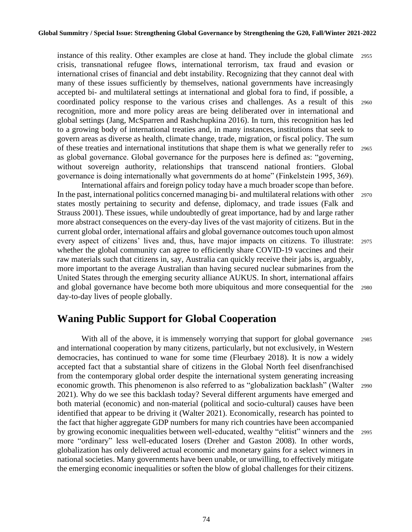instance of this reality. Other examples are close at hand. They include the global climate <sup>2955</sup> crisis, transnational refugee flows, international terrorism, tax fraud and evasion or international crises of financial and debt instability. Recognizing that they cannot deal with many of these issues sufficiently by themselves, national governments have increasingly accepted bi- and multilateral settings at international and global fora to find, if possible, a coordinated policy response to the various crises and challenges. As a result of this <sup>2960</sup> recognition, more and more policy areas are being deliberated over in international and global settings (Jang, McSparren and Rashchupkina 2016). In turn, this recognition has led to a growing body of international treaties and, in many instances, institutions that seek to govern areas as diverse as health, climate change, trade, migration, or fiscal policy. The sum of these treaties and international institutions that shape them is what we generally refer to <sup>2965</sup> as global governance. Global governance for the purposes here is defined as: "governing, without sovereign authority, relationships that transcend national frontiers. Global governance is doing internationally what governments do at home" (Finkelstein 1995, 369).

International affairs and foreign policy today have a much broader scope than before. In the past, international politics concerned managing bi- and multilateral relations with other <sup>2970</sup> states mostly pertaining to security and defense, diplomacy, and trade issues (Falk and Strauss 2001). These issues, while undoubtedly of great importance, had by and large rather more abstract consequences on the every-day lives of the vast majority of citizens. But in the current global order, international affairs and global governance outcomes touch upon almost every aspect of citizens' lives and, thus, have major impacts on citizens. To illustrate: <sup>2975</sup> whether the global community can agree to efficiently share COVID-19 vaccines and their raw materials such that citizens in, say, Australia can quickly receive their jabs is, arguably, more important to the average Australian than having secured nuclear submarines from the United States through the emerging security alliance AUKUS. In short, international affairs and global governance have become both more ubiquitous and more consequential for the <sup>2980</sup> day-to-day lives of people globally.

## **Waning Public Support for Global Cooperation**

With all of the above, it is immensely worrying that support for global governance 2985 and international cooperation by many citizens, particularly, but not exclusively, in Western democracies, has continued to wane for some time (Fleurbaey 2018). It is now a widely accepted fact that a substantial share of citizens in the Global North feel disenfranchised from the contemporary global order despite the international system generating increasing economic growth. This phenomenon is also referred to as "globalization backlash" (Walter <sup>2990</sup> 2021). Why do we see this backlash today? Several different arguments have emerged and both material (economic) and non-material (political and socio-cultural) causes have been identified that appear to be driving it (Walter 2021). Economically, research has pointed to the fact that higher aggregate GDP numbers for many rich countries have been accompanied by growing economic inequalities between well-educated, wealthy "elitist" winners and the <sup>2995</sup> more "ordinary" less well-educated losers (Dreher and Gaston 2008). In other words, globalization has only delivered actual economic and monetary gains for a select winners in national societies. Many governments have been unable, or unwilling, to effectively mitigate the emerging economic inequalities or soften the blow of global challenges for their citizens.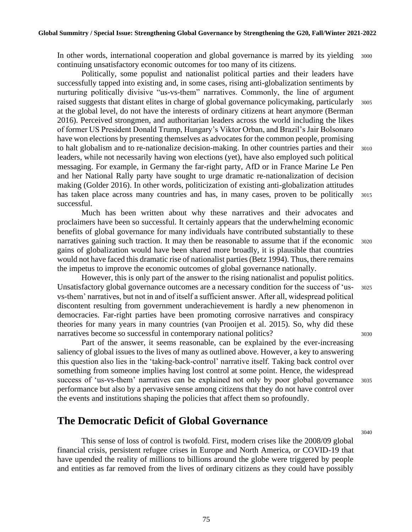In other words, international cooperation and global governance is marred by its yielding 3000 continuing unsatisfactory economic outcomes for too many of its citizens.

Politically, some populist and nationalist political parties and their leaders have successfully tapped into existing and, in some cases, rising anti-globalization sentiments by nurturing politically divisive "us-vs-them" narratives. Commonly, the line of argument raised suggests that distant elites in charge of global governance policymaking, particularly <sup>3005</sup> at the global level, do not have the interests of ordinary citizens at heart anymore (Berman 2016). Perceived strongmen, and authoritarian leaders across the world including the likes of former US President Donald Trump, Hungary's Viktor Orban, and Brazil's Jair Bolsonaro have won elections by presenting themselves as advocates for the common people, promising to halt globalism and to re-nationalize decision-making. In other countries parties and their 3010 leaders, while not necessarily having won elections (yet), have also employed such political messaging. For example, in Germany the far-right party, AfD or in France Marine Le Pen and her National Rally party have sought to urge dramatic re-nationalization of decision making (Golder 2016). In other words, politicization of existing anti-globalization attitudes has taken place across many countries and has, in many cases, proven to be politically 3015 successful.

Much has been written about why these narratives and their advocates and proclaimers have been so successful. It certainly appears that the underwhelming economic benefits of global governance for many individuals have contributed substantially to these narratives gaining such traction. It may then be reasonable to assume that if the economic 3020 gains of globalization would have been shared more broadly, it is plausible that countries would not have faced this dramatic rise of nationalist parties (Betz 1994). Thus, there remains the impetus to improve the economic outcomes of global governance nationally.

However, this is only part of the answer to the rising nationalist and populist politics. Unsatisfactory global governance outcomes are a necessary condition for the success of 'us- <sup>3025</sup> vs-them' narratives, but not in and of itself a sufficient answer. After all, widespread political discontent resulting from government underachievement is hardly a new phenomenon in democracies. Far-right parties have been promoting corrosive narratives and conspiracy theories for many years in many countries (van Prooijen et al. 2015). So, why did these narratives become so successful in contemporary national politics? 3030

Part of the answer, it seems reasonable, can be explained by the ever-increasing saliency of global issues to the lives of many as outlined above. However, a key to answering this question also lies in the 'taking-back-control' narrative itself. Taking back control over something from someone implies having lost control at some point. Hence, the widespread success of 'us-vs-them' narratives can be explained not only by poor global governance 3035 performance but also by a pervasive sense among citizens that they do not have control over the events and institutions shaping the policies that affect them so profoundly.

### **The Democratic Deficit of Global Governance**

This sense of loss of control is twofold. First, modern crises like the 2008/09 global financial crisis, persistent refugee crises in Europe and North America, or COVID-19 that have upended the reality of millions to billions around the globe were triggered by people and entities as far removed from the lives of ordinary citizens as they could have possibly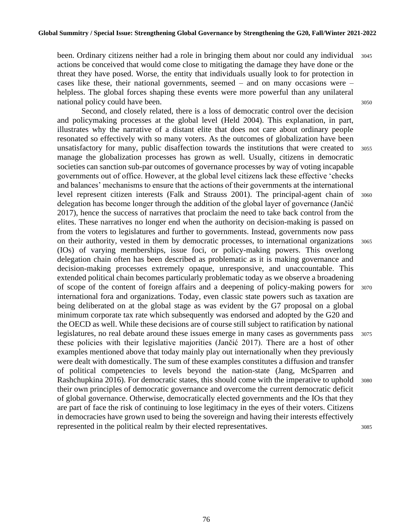been. Ordinary citizens neither had a role in bringing them about nor could any individual 3045 actions be conceived that would come close to mitigating the damage they have done or the threat they have posed. Worse, the entity that individuals usually look to for protection in cases like these, their national governments, seemed  $-$  and on many occasions were  $$ helpless. The global forces shaping these events were more powerful than any unilateral national policy could have been. 3050

Second, and closely related, there is a loss of democratic control over the decision and policymaking processes at the global level (Held 2004). This explanation, in part, illustrates why the narrative of a distant elite that does not care about ordinary people resonated so effectively with so many voters. As the outcomes of globalization have been unsatisfactory for many, public disaffection towards the institutions that were created to 3055 manage the globalization processes has grown as well. Usually, citizens in democratic societies can sanction sub-par outcomes of governance processes by way of voting incapable governments out of office. However, at the global level citizens lack these effective 'checks and balances' mechanisms to ensure that the actions of their governments at the international level represent citizen interests (Falk and Strauss 2001). The principal-agent chain of <sup>3060</sup> delegation has become longer through the addition of the global layer of governance (Jančić 2017), hence the success of narratives that proclaim the need to take back control from the elites. These narratives no longer end when the authority on decision-making is passed on from the voters to legislatures and further to governments. Instead, governments now pass on their authority, vested in them by democratic processes, to international organizations <sup>3065</sup> (IOs) of varying memberships, issue foci, or policy-making powers. This overlong delegation chain often has been described as problematic as it is making governance and decision-making processes extremely opaque, unresponsive, and unaccountable. This extended political chain becomes particularly problematic today as we observe a broadening of scope of the content of foreign affairs and a deepening of policy-making powers for <sup>3070</sup> international fora and organizations. Today, even classic state powers such as taxation are being deliberated on at the global stage as was evident by the G7 proposal on a global minimum corporate tax rate which subsequently was endorsed and adopted by the G20 and the OECD as well. While these decisions are of course still subject to ratification by national legislatures, no real debate around these issues emerge in many cases as governments pass  $3075$ these policies with their legislative majorities (Jančić 2017). There are a host of other examples mentioned above that today mainly play out internationally when they previously were dealt with domestically. The sum of these examples constitutes a diffusion and transfer of political competencies to levels beyond the nation-state (Jang, McSparren and Rashchupkina 2016). For democratic states, this should come with the imperative to uphold 3080 their own principles of democratic governance and overcome the current democratic deficit of global governance. Otherwise, democratically elected governments and the IOs that they are part of face the risk of continuing to lose legitimacy in the eyes of their voters. Citizens in democracies have grown used to being the sovereign and having their interests effectively represented in the political realm by their elected representatives. 3085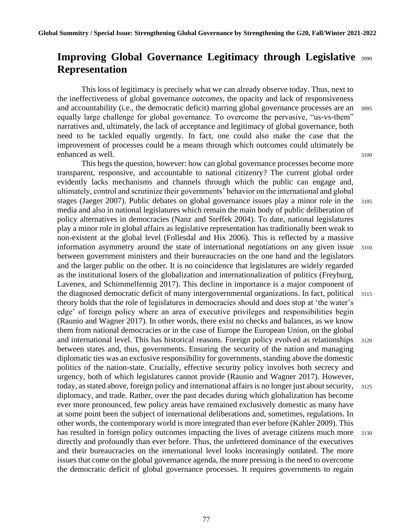## **Improving Global Governance Legitimacy through Legislative** <sup>3090</sup> **Representation**

This loss of legitimacy is precisely what we can already observe today. Thus, next to the ineffectiveness of global governance *outcomes*, the opacity and lack of responsiveness and accountability (i.e., the democratic deficit) marring global governance processes are an <sup>3095</sup> equally large challenge for global governance. To overcome the pervasive, "us-vs-them" narratives and, ultimately, the lack of acceptance and legitimacy of global governance, both need to be tackled equally urgently. In fact, one could also make the case that the improvement of processes could be a means through which outcomes could ultimately be enhanced as well. 3100

This begs the question, however: how can global governance processes become more transparent, responsive, and accountable to national citizenry? The current global order evidently lacks mechanisms and channels through which the public can engage and, ultimately, control and scrutinize their governments' behavior on the international and global stages (Jaeger 2007). Public debates on global governance issues play a minor role in the 3105 media and also in national legislatures which remain the main body of public deliberation of policy alternatives in democracies (Nanz and Steffek 2004). To date, national legislatures play a minor role in global affairs as legislative representation has traditionally been weak to non-existent at the global level (Follesdal and Hix 2006). This is reflected by a massive information asymmetry around the state of international negotiations on any given issue <sup>3110</sup> between government ministers and their bureaucracies on the one hand and the legislators and the larger public on the other. It is no coincidence that legislatures are widely regarded as the institutional losers of the globalization and internationalization of politics (Freyburg, Lavenex, and Schimmelfennig 2017). This decline in importance is a major component of the diagnosed democratic deficit of many intergovernmental organizations. In fact, political <sup>3115</sup> theory holds that the role of legislatures in democracies should and does stop at 'the water's edge' of foreign policy where an area of executive privileges and responsibilities begin (Raunio and Wagner 2017). In other words, there exist no checks and balances, as we know them from national democracies or in the case of Europe the European Union, on the global and international level. This has historical reasons. Foreign policy evolved as relationships 3120 between states and, thus, governments. Ensuring the security of the nation and managing diplomatic ties was an exclusive responsibility for governments, standing above the domestic politics of the nation-state. Crucially, effective security policy involves both secrecy and urgency, both of which legislatures cannot provide (Raunio and Wagner 2017). However, today, as stated above, foreign policy and international affairs is no longer just about security, 3125 diplomacy, and trade. Rather, over the past decades during which globalization has become ever more pronounced, few policy areas have remained exclusively domestic as many have at some point been the subject of international deliberations and, sometimes, regulations. In other words, the contemporary world is more integrated than ever before (Kahler 2009). This has resulted in foreign policy outcomes impacting the lives of average citizens much more 3130 directly and profoundly than ever before. Thus, the unfettered dominance of the executives and their bureaucracies on the international level looks increasingly outdated. The more issues that come on the global governance agenda, the more pressing is the need to overcome the democratic deficit of global governance processes. It requires governments to regain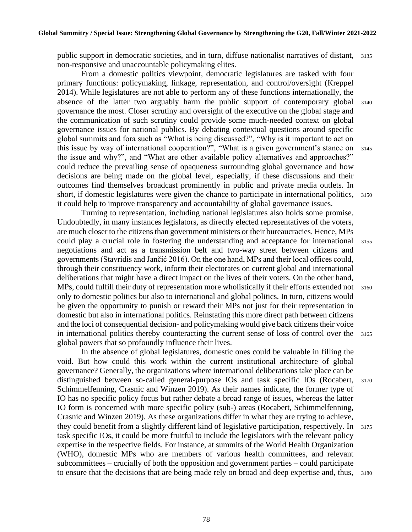public support in democratic societies, and in turn, diffuse nationalist narratives of distant, <sup>3135</sup> non-responsive and unaccountable policymaking elites.

From a domestic politics viewpoint, democratic legislatures are tasked with four primary functions: policymaking, linkage, representation, and control/oversight (Kreppel 2014). While legislatures are not able to perform any of these functions internationally, the absence of the latter two arguably harm the public support of contemporary global <sup>3140</sup> governance the most. Closer scrutiny and oversight of the executive on the global stage and the communication of such scrutiny could provide some much-needed context on global governance issues for national publics. By debating contextual questions around specific global summits and fora such as "What is being discussed?", "Why is it important to act on this issue by way of international cooperation?", "What is a given government's stance on <sup>3145</sup> the issue and why?", and "What are other available policy alternatives and approaches?" could reduce the prevailing sense of opaqueness surrounding global governance and how decisions are being made on the global level, especially, if these discussions and their outcomes find themselves broadcast prominently in public and private media outlets. In short, if domestic legislatures were given the chance to participate in international politics, <sup>3150</sup> it could help to improve transparency and accountability of global governance issues.

Turning to representation, including national legislatures also holds some promise. Undoubtedly, in many instances legislators, as directly elected representatives of the voters, are much closer to the citizens than government ministers or their bureaucracies. Hence, MPs could play a crucial role in fostering the understanding and acceptance for international <sup>3155</sup> negotiations and act as a transmission belt and two-way street between citizens and governments (Stavridis and Jančić 2016). On the one hand, MPs and their local offices could, through their constituency work, inform their electorates on current global and international deliberations that might have a direct impact on the lives of their voters. On the other hand, MPs, could fulfill their duty of representation more wholistically if their efforts extended not  $\frac{3160}{2160}$ only to domestic politics but also to international and global politics. In turn, citizens would be given the opportunity to punish or reward their MPs not just for their representation in domestic but also in international politics. Reinstating this more direct path between citizens and the loci of consequential decision- and policymaking would give back citizens their voice in international politics thereby counteracting the current sense of loss of control over the <sup>3165</sup> global powers that so profoundly influence their lives.

In the absence of global legislatures, domestic ones could be valuable in filling the void. But how could this work within the current institutional architecture of global governance? Generally, the organizations where international deliberations take place can be distinguished between so-called general-purpose IOs and task specific IOs (Rocabert, <sup>3170</sup> Schimmelfenning, Crasnic and Winzen 2019). As their names indicate, the former type of IO has no specific policy focus but rather debate a broad range of issues, whereas the latter IO form is concerned with more specific policy (sub-) areas (Rocabert, Schimmelfenning, Crasnic and Winzen 2019). As these organizations differ in what they are trying to achieve, they could benefit from a slightly different kind of legislative participation, respectively. In 3175 task specific IOs, it could be more fruitful to include the legislators with the relevant policy expertise in the respective fields. For instance, at summits of the World Health Organization (WHO), domestic MPs who are members of various health committees, and relevant subcommittees – crucially of both the opposition and government parties – could participate to ensure that the decisions that are being made rely on broad and deep expertise and, thus, 3180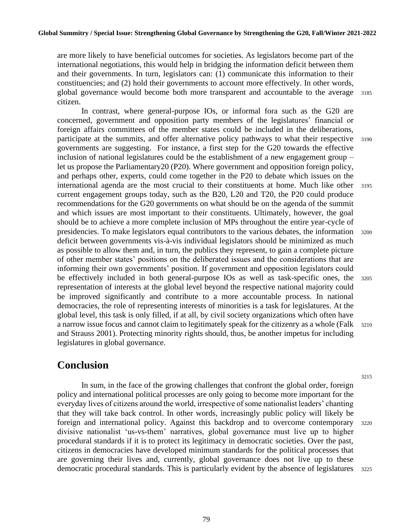are more likely to have beneficial outcomes for societies. As legislators become part of the international negotiations, this would help in bridging the information deficit between them and their governments. In turn, legislators can: (1) communicate this information to their constituencies; and (2) hold their governments to account more effectively. In other words, global governance would become both more transparent and accountable to the average <sup>3185</sup> citizen.

In contrast, where general-purpose IOs, or informal fora such as the G20 are concerned, government and opposition party members of the legislatures' financial or foreign affairs committees of the member states could be included in the deliberations, participate at the summits, and offer alternative policy pathways to what their respective <sup>3190</sup> governments are suggesting. For instance, a first step for the G20 towards the effective inclusion of national legislatures could be the establishment of a new engagement group – let us propose the Parliamentary20 (P20). Where government and opposition foreign policy, and perhaps other, experts, could come together in the P20 to debate which issues on the international agenda are the most crucial to their constituents at home. Much like other <sup>3195</sup> current engagement groups today, such as the B20, L20 and T20, the P20 could produce recommendations for the G20 governments on what should be on the agenda of the summit and which issues are most important to their constituents. Ultimately, however, the goal should be to achieve a more complete inclusion of MPs throughout the entire year-cycle of presidencies. To make legislators equal contributors to the various debates, the information <sup>3200</sup> deficit between governments vis-à-vis individual legislators should be minimized as much as possible to allow them and, in turn, the publics they represent, to gain a complete picture of other member states' positions on the deliberated issues and the considerations that are informing their own governments' position. If government and opposition legislators could be effectively included in both general-purpose IOs as well as task-specific ones, the <sup>3205</sup> representation of interests at the global level beyond the respective national majority could be improved significantly and contribute to a more accountable process. In national democracies, the role of representing interests of minorities is a task for legislatures. At the global level, this task is only filled, if at all, by civil society organizations which often have a narrow issue focus and cannot claim to legitimately speak for the citizenry as a whole (Falk <sup>3210</sup> and Strauss 2001). Protecting minority rights should, thus, be another impetus for including legislatures in global governance.

## **Conclusion**

In sum, in the face of the growing challenges that confront the global order, foreign policy and international political processes are only going to become more important for the everyday lives of citizens around the world, irrespective of some nationalist leaders' chanting that they will take back control. In other words, increasingly public policy will likely be foreign and international policy. Against this backdrop and to overcome contemporary 3220 divisive nationalist 'us-vs-them' narratives, global governance must live up to higher procedural standards if it is to protect its legitimacy in democratic societies. Over the past, citizens in democracies have developed minimum standards for the political processes that are governing their lives and, currently, global governance does not live up to these democratic procedural standards. This is particularly evident by the absence of legislatures 3225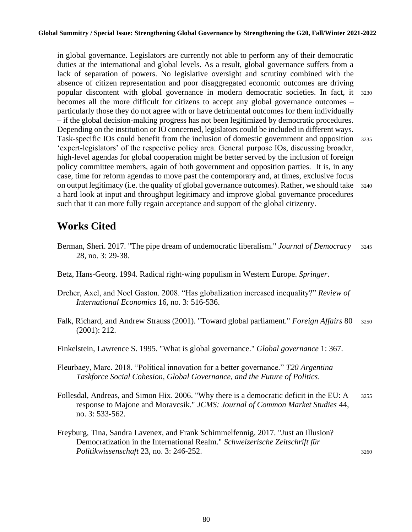in global governance. Legislators are currently not able to perform any of their democratic duties at the international and global levels. As a result, global governance suffers from a lack of separation of powers. No legislative oversight and scrutiny combined with the absence of citizen representation and poor disaggregated economic outcomes are driving popular discontent with global governance in modern democratic societies. In fact, it <sup>3230</sup> becomes all the more difficult for citizens to accept any global governance outcomes – particularly those they do not agree with or have detrimental outcomes for them individually – if the global decision-making progress has not been legitimized by democratic procedures. Depending on the institution or IO concerned, legislators could be included in different ways. Task-specific IOs could benefit from the inclusion of domestic government and opposition <sup>3235</sup> 'expert-legislators' of the respective policy area. General purpose IOs, discussing broader, high-level agendas for global cooperation might be better served by the inclusion of foreign policy committee members, again of both government and opposition parties. It is, in any case, time for reform agendas to move past the contemporary and, at times, exclusive focus on output legitimacy (i.e. the quality of global governance outcomes). Rather, we should take <sup>3240</sup> a hard look at input and throughput legitimacy and improve global governance procedures such that it can more fully regain acceptance and support of the global citizenry.

## **Works Cited**

- Berman, Sheri. 2017. "The pipe dream of undemocratic liberalism." *Journal of Democracy* <sup>3245</sup> 28, no. 3: 29-38.
- Betz, Hans-Georg. 1994. Radical right-wing populism in Western Europe. *Springer*.
- Dreher, Axel, and Noel Gaston. 2008. "Has globalization increased inequality?" *Review of International Economics* 16, no. 3: 516-536.
- Falk, Richard, and Andrew Strauss (2001). "Toward global parliament." *Foreign Affairs* 80 <sup>3250</sup> (2001): 212.
- Finkelstein, Lawrence S. 1995. "What is global governance." *Global governance* 1: 367.
- Fleurbaey, Marc. 2018. "Political innovation for a better governance." *T20 Argentina Taskforce Social Cohesion, Global Governance, and the Future of Politics*.
- Follesdal, Andreas, and Simon Hix. 2006. "Why there is a democratic deficit in the EU: A 3255 response to Majone and Moravcsik." *JCMS: Journal of Common Market Studies* 44, no. 3: 533-562.
- Freyburg, Tina, Sandra Lavenex, and Frank Schimmelfennig. 2017. "Just an Illusion? Democratization in the International Realm." *Schweizerische Zeitschrift für Politikwissenschaft* 23, no. 3: 246-252. 3260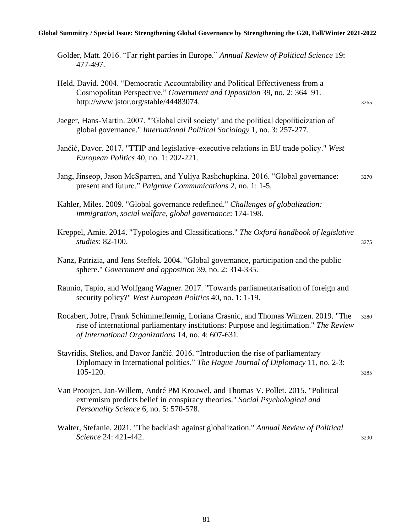#### **Global Summitry / Special Issue: Strengthening Global Governance by Strengthening the G20, Fall/Winter 2021-2022**

| Golder, Matt. 2016. "Far right parties in Europe." Annual Review of Political Science 19: |  |  |  |
|-------------------------------------------------------------------------------------------|--|--|--|
| 477-497.                                                                                  |  |  |  |

Kreppel, Amie. 2014. "Typologies and Classifications." *The Oxford handbook of legislative studies*: 82-100. <sup>3275</sup>

Nanz, Patrizia, and Jens Steffek. 2004. "Global governance, participation and the public sphere." *Government and opposition* 39, no. 2: 314-335.

- Raunio, Tapio, and Wolfgang Wagner. 2017. "Towards parliamentarisation of foreign and security policy?" *West European Politics* 40, no. 1: 1-19.
- Rocabert, Jofre, Frank Schimmelfennig, Loriana Crasnic, and Thomas Winzen. 2019. "The <sup>3280</sup> rise of international parliamentary institutions: Purpose and legitimation." *The Review of International Organizations* 14, no. 4: 607-631.
- Stavridis, Stelios, and Davor Jančić. 2016. "Introduction the rise of parliamentary Diplomacy in International politics." *The Hague Journal of Diplomacy* 11, no. 2-3: 105-120. <sup>3285</sup>
- Van Prooijen, Jan-Willem, André PM Krouwel, and Thomas V. Pollet. 2015. "Political extremism predicts belief in conspiracy theories." *Social Psychological and Personality Science* 6, no. 5: 570-578.
- Walter, Stefanie. 2021. "The backlash against globalization." *Annual Review of Political*  **Science 24: 421-442.** 3290

Held, David. 2004. "Democratic Accountability and Political Effectiveness from a Cosmopolitan Perspective." *Government and Opposition* 39, no. 2: 364–91. http://www.jstor.org/stable/44483074. 3265

Jaeger, Hans-Martin. 2007. "'Global civil society' and the political depoliticization of global governance." *International Political Sociology* 1, no. 3: 257-277.

Jančić, Davor. 2017. "TTIP and legislative‒executive relations in EU trade policy." *West European Politics* 40, no. 1: 202-221.

Jang, Jinseop, Jason McSparren, and Yuliya Rashchupkina. 2016. "Global governance: <sup>3270</sup> present and future." *Palgrave Communications* 2, no. 1: 1-5.

Kahler, Miles. 2009. "Global governance redefined." *Challenges of globalization: immigration, social welfare, global governance*: 174-198.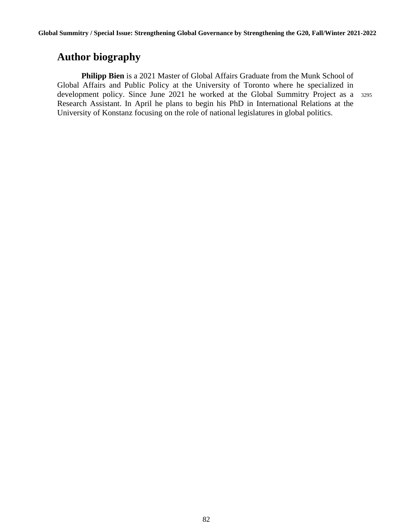## **Author biography**

**Philipp Bien** is a 2021 Master of Global Affairs Graduate from the Munk School of Global Affairs and Public Policy at the University of Toronto where he specialized in development policy. Since June 2021 he worked at the Global Summitry Project as a <sup>3295</sup> Research Assistant. In April he plans to begin his PhD in International Relations at the University of Konstanz focusing on the role of national legislatures in global politics.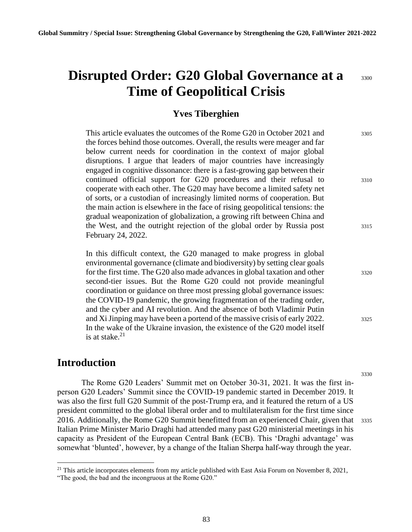# **Disrupted Order: G20 Global Governance at a** 3300 **Time of Geopolitical Crisis**

#### **Yves Tiberghien**

This article evaluates the outcomes of the Rome  $G20$  in October 2021 and  $3305$ the forces behind those outcomes. Overall, the results were meager and far below current needs for coordination in the context of major global disruptions. I argue that leaders of major countries have increasingly engaged in cognitive dissonance: there is a fast-growing gap between their continued official support for G20 procedures and their refusal to <sup>3310</sup> cooperate with each other. The G20 may have become a limited safety net of sorts, or a custodian of increasingly limited norms of cooperation. But the main action is elsewhere in the face of rising geopolitical tensions: the gradual weaponization of globalization, a growing rift between China and the West, and the outright rejection of the global order by Russia post 3315 February 24, 2022.

In this difficult context, the G20 managed to make progress in global environmental governance (climate and biodiversity) by setting clear goals for the first time. The G20 also made advances in global taxation and other <sup>3320</sup> second-tier issues. But the Rome G20 could not provide meaningful coordination or guidance on three most pressing global governance issues: the COVID-19 pandemic, the growing fragmentation of the trading order, and the cyber and AI revolution. And the absence of both Vladimir Putin and Xi Jinping may have been a portend of the massive crisis of early 2022. 3325 In the wake of the Ukraine invasion, the existence of the G20 model itself is at stake. $21$ 

#### **Introduction**

The Rome G20 Leaders' Summit met on October 30-31, 2021. It was the first inperson G20 Leaders' Summit since the COVID-19 pandemic started in December 2019. It was also the first full G20 Summit of the post-Trump era, and it featured the return of a US president committed to the global liberal order and to multilateralism for the first time since 2016. Additionally, the Rome G20 Summit benefitted from an experienced Chair, given that <sup>3335</sup> Italian Prime Minister Mario Draghi had attended many past G20 ministerial meetings in his capacity as President of the European Central Bank (ECB). This 'Draghi advantage' was somewhat 'blunted', however, by a change of the Italian Sherpa half-way through the year.

 $21$  This article incorporates elements from my article published with East Asia Forum on November 8, 2021,

<sup>&</sup>quot;The good, the bad and the incongruous at the Rome G20."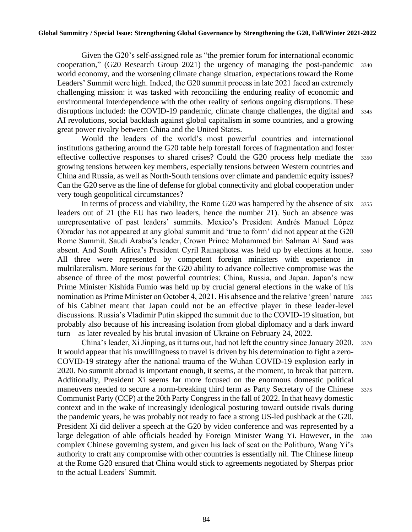Given the G20's self-assigned role as "the premier forum for international economic cooperation," (G20 Research Group 2021) the urgency of managing the post-pandemic <sup>3340</sup> world economy, and the worsening climate change situation, expectations toward the Rome Leaders' Summit were high. Indeed, the G20 summit process in late 2021 faced an extremely challenging mission: it was tasked with reconciling the enduring reality of economic and environmental interdependence with the other reality of serious ongoing disruptions. These disruptions included: the COVID-19 pandemic, climate change challenges, the digital and 3345 AI revolutions, social backlash against global capitalism in some countries, and a growing great power rivalry between China and the United States.

Would the leaders of the world's most powerful countries and international institutions gathering around the G20 table help forestall forces of fragmentation and foster effective collective responses to shared crises? Could the G20 process help mediate the <sup>3350</sup> growing tensions between key members, especially tensions between Western countries and China and Russia, as well as North-South tensions over climate and pandemic equity issues? Can the G20 serve as the line of defense for global connectivity and global cooperation under very tough geopolitical circumstances?

In terms of process and viability, the Rome G20 was hampered by the absence of six  $3355$ leaders out of 21 (the EU has two leaders, hence the number 21). Such an absence was unrepresentative of past leaders' summits. Mexico's President Andrés Manuel López Obrador has not appeared at any global summit and 'true to form' did not appear at the G20 Rome Summit. Saudi Arabia's leader, Crown Prince Mohammed bin Salman Al Saud was absent. And South Africa's President Cyril Ramaphosa was held up by elections at home. <sup>3360</sup> All three were represented by competent foreign ministers with experience in multilateralism. More serious for the G20 ability to advance collective compromise was the absence of three of the most powerful countries: China, Russia, and Japan. Japan's new Prime Minister Kishida Fumio was held up by crucial general elections in the wake of his nomination as Prime Minister on October 4, 2021. His absence and the relative 'green' nature 3365 of his Cabinet meant that Japan could not be an effective player in these leader-level discussions. Russia's Vladimir Putin skipped the summit due to the COVID-19 situation, but probably also because of his increasing isolation from global diplomacy and a dark inward turn – as later revealed by his brutal invasion of Ukraine on February 24, 2022.

China's leader, Xi Jinping, as it turns out, had not left the country since January 2020. <sup>3370</sup> It would appear that his unwillingness to travel is driven by his determination to fight a zero-COVID-19 strategy after the national trauma of the Wuhan COVID-19 explosion early in 2020. No summit abroad is important enough, it seems, at the moment, to break that pattern. Additionally, President Xi seems far more focused on the enormous domestic political maneuvers needed to secure a norm-breaking third term as Party Secretary of the Chinese 3375 Communist Party (CCP) at the 20th Party Congress in the fall of 2022. In that heavy domestic context and in the wake of increasingly ideological posturing toward outside rivals during the pandemic years, he was probably not ready to face a strong US-led pushback at the G20. President Xi did deliver a speech at the G20 by video conference and was represented by a large delegation of able officials headed by Foreign Minister Wang Yi. However, in the 3380 complex Chinese governing system, and given his lack of seat on the Politburo, Wang Yi's authority to craft any compromise with other countries is essentially nil. The Chinese lineup at the Rome G20 ensured that China would stick to agreements negotiated by Sherpas prior to the actual Leaders' Summit.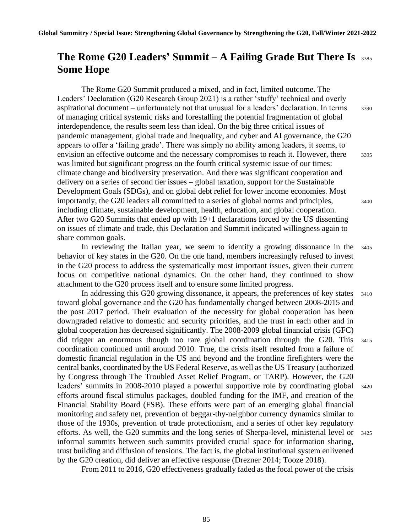## **The Rome G20 Leaders' Summit – A Failing Grade But There Is** <sup>3385</sup> **Some Hope**

The Rome G20 Summit produced a mixed, and in fact, limited outcome. The Leaders' Declaration (G20 Research Group 2021) is a rather 'stuffy' technical and overly aspirational document – unfortunately not that unusual for a leaders' declaration. In terms 3390 of managing critical systemic risks and forestalling the potential fragmentation of global interdependence, the results seem less than ideal. On the big three critical issues of pandemic management, global trade and inequality, and cyber and AI governance, the G20 appears to offer a 'failing grade'. There was simply no ability among leaders, it seems, to envision an effective outcome and the necessary compromises to reach it. However, there 3395 was limited but significant progress on the fourth critical systemic issue of our times: climate change and biodiversity preservation. And there was significant cooperation and delivery on a series of second tier issues – global taxation, support for the Sustainable Development Goals (SDGs), and on global debt relief for lower income economies. Most importantly, the G20 leaders all committed to a series of global norms and principles,  $3400$ including climate, sustainable development, health, education, and global cooperation. After two G20 Summits that ended up with 19+1 declarations forced by the US dissenting on issues of climate and trade, this Declaration and Summit indicated willingness again to share common goals.

In reviewing the Italian year, we seem to identify a growing dissonance in the <sup>3405</sup> behavior of key states in the G20. On the one hand, members increasingly refused to invest in the G20 process to address the systematically most important issues, given their current focus on competitive national dynamics. On the other hand, they continued to show attachment to the G20 process itself and to ensure some limited progress.

In addressing this G20 growing dissonance, it appears, the preferences of key states 3410 toward global governance and the G20 has fundamentally changed between 2008-2015 and the post 2017 period. Their evaluation of the necessity for global cooperation has been downgraded relative to domestic and security priorities, and the trust in each other and in global cooperation has decreased significantly. The 2008-2009 global financial crisis (GFC) did trigger an enormous though too rare global coordination through the G20. This <sup>3415</sup> coordination continued until around 2010. True, the crisis itself resulted from a failure of domestic financial regulation in the US and beyond and the frontline firefighters were the central banks, coordinated by the US Federal Reserve, as well as the US Treasury (authorized by Congress through The Troubled Asset Relief Program, or TARP). However, the G20 leaders' summits in 2008-2010 played a powerful supportive role by coordinating global <sup>3420</sup> efforts around fiscal stimulus packages, doubled funding for the IMF, and creation of the Financial Stability Board (FSB). These efforts were part of an emerging global financial monitoring and safety net, prevention of beggar-thy-neighbor currency dynamics similar to those of the 1930s, prevention of trade protectionism, and a series of other key regulatory efforts. As well, the G20 summits and the long series of Sherpa-level, ministerial level or <sup>3425</sup> informal summits between such summits provided crucial space for information sharing, trust building and diffusion of tensions. The fact is, the global institutional system enlivened by the G20 creation, did deliver an effective response (Drezner 2014; Tooze 2018).

From 2011 to 2016, G20 effectiveness gradually faded as the focal power of the crisis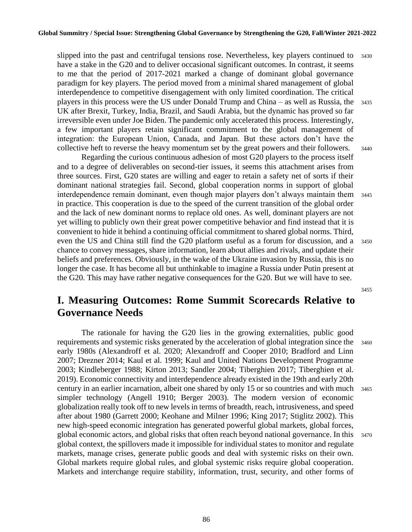slipped into the past and centrifugal tensions rose. Nevertheless, key players continued to 3430 have a stake in the G20 and to deliver occasional significant outcomes. In contrast, it seems to me that the period of 2017-2021 marked a change of dominant global governance paradigm for key players. The period moved from a minimal shared management of global interdependence to competitive disengagement with only limited coordination. The critical players in this process were the US under Donald Trump and China – as well as Russia, the <sup>3435</sup> UK after Brexit, Turkey, India, Brazil, and Saudi Arabia, but the dynamic has proved so far irreversible even under Joe Biden. The pandemic only accelerated this process. Interestingly, a few important players retain significant commitment to the global management of integration: the European Union, Canada, and Japan. But these actors don't have the collective heft to reverse the heavy momentum set by the great powers and their followers. <sup>3440</sup>

Regarding the curious continuous adhesion of most G20 players to the process itself and to a degree of deliverables on second-tier issues, it seems this attachment arises from three sources. First, G20 states are willing and eager to retain a safety net of sorts if their dominant national strategies fail. Second, global cooperation norms in support of global interdependence remain dominant, even though major players don't always maintain them <sup>3445</sup> in practice. This cooperation is due to the speed of the current transition of the global order and the lack of new dominant norms to replace old ones. As well, dominant players are not yet willing to publicly own their great power competitive behavior and find instead that it is convenient to hide it behind a continuing official commitment to shared global norms. Third, even the US and China still find the G20 platform useful as a forum for discussion, and a <sup>3450</sup> chance to convey messages, share information, learn about allies and rivals, and update their beliefs and preferences. Obviously, in the wake of the Ukraine invasion by Russia, this is no longer the case. It has become all but unthinkable to imagine a Russia under Putin present at the G20. This may have rather negative consequences for the G20. But we will have to see.

3455

## **I. Measuring Outcomes: Rome Summit Scorecards Relative to Governance Needs**

The rationale for having the G20 lies in the growing externalities, public good requirements and systemic risks generated by the acceleration of global integration since the <sup>3460</sup> early 1980s (Alexandroff et al. 2020; Alexandroff and Cooper 2010; Bradford and Linn 2007; Drezner 2014; Kaul et al. 1999; Kaul and United Nations Development Programme 2003; Kindleberger 1988; Kirton 2013; Sandler 2004; Tiberghien 2017; Tiberghien et al. 2019). Economic connectivity and interdependence already existed in the 19th and early 20th century in an earlier incarnation, albeit one shared by only 15 or so countries and with much <sup>3465</sup> simpler technology (Angell 1910; Berger 2003). The modern version of economic globalization really took off to new levels in terms of breadth, reach, intrusiveness, and speed after about 1980 (Garrett 2000; Keohane and Milner 1996; King 2017; Stiglitz 2002). This new high-speed economic integration has generated powerful global markets, global forces, global economic actors, and global risks that often reach beyond national governance. In this <sup>3470</sup> global context, the spillovers made it impossible for individual states to monitor and regulate markets, manage crises, generate public goods and deal with systemic risks on their own. Global markets require global rules, and global systemic risks require global cooperation. Markets and interchange require stability, information, trust, security, and other forms of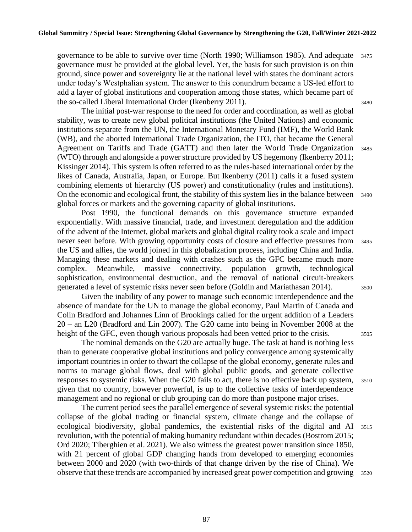governance to be able to survive over time (North 1990; Williamson 1985). And adequate <sup>3475</sup> governance must be provided at the global level. Yet, the basis for such provision is on thin ground, since power and sovereignty lie at the national level with states the dominant actors under today's Westphalian system. The answer to this conundrum became a US-led effort to add a layer of global institutions and cooperation among those states, which became part of the so-called Liberal International Order (Ikenberry 2011). <sup>3480</sup>

The initial post-war response to the need for order and coordination, as well as global stability, was to create new global political institutions (the United Nations) and economic institutions separate from the UN, the International Monetary Fund (IMF), the World Bank (WB), and the aborted International Trade Organization, the ITO, that became the General Agreement on Tariffs and Trade (GATT) and then later the World Trade Organization <sup>3485</sup> (WTO) through and alongside a power structure provided by US hegemony (Ikenberry 2011; Kissinger 2014). This system is often referred to as the rules-based international order by the likes of Canada, Australia, Japan, or Europe. But Ikenberry (2011) calls it a fused system combining elements of hierarchy (US power) and constitutionality (rules and institutions). On the economic and ecological front, the stability of this system lies in the balance between <sup>3490</sup> global forces or markets and the governing capacity of global institutions.

Post 1990, the functional demands on this governance structure expanded exponentially. With massive financial, trade, and investment deregulation and the addition of the advent of the Internet, global markets and global digital reality took a scale and impact never seen before. With growing opportunity costs of closure and effective pressures from <sup>3495</sup> the US and allies, the world joined in this globalization process, including China and India. Managing these markets and dealing with crashes such as the GFC became much more complex. Meanwhile, massive connectivity, population growth, technological sophistication, environmental destruction, and the removal of national circuit-breakers generated a level of systemic risks never seen before (Goldin and Mariathasan 2014). 3500

Given the inability of any power to manage such economic interdependence and the absence of mandate for the UN to manage the global economy, Paul Martin of Canada and Colin Bradford and Johannes Linn of Brookings called for the urgent addition of a Leaders 20 – an L20 (Bradford and Lin 2007). The G20 came into being in November 2008 at the height of the GFC, even though various proposals had been vetted prior to the crisis. 3505

The nominal demands on the G20 are actually huge. The task at hand is nothing less than to generate cooperative global institutions and policy convergence among systemically important countries in order to thwart the collapse of the global economy, generate rules and norms to manage global flows, deal with global public goods, and generate collective responses to systemic risks. When the G20 fails to act, there is no effective back up system, <sup>3510</sup> given that no country, however powerful, is up to the collective tasks of interdependence management and no regional or club grouping can do more than postpone major crises.

The current period sees the parallel emergence of several systemic risks: the potential collapse of the global trading or financial system, climate change and the collapse of ecological biodiversity, global pandemics, the existential risks of the digital and AI <sup>3515</sup> revolution, with the potential of making humanity redundant within decades (Bostrom 2015; Ord 2020; Tiberghien et al. 2021). We also witness the greatest power transition since 1850, with 21 percent of global GDP changing hands from developed to emerging economies between 2000 and 2020 (with two-thirds of that change driven by the rise of China). We observe that these trends are accompanied by increased great power competition and growing 3520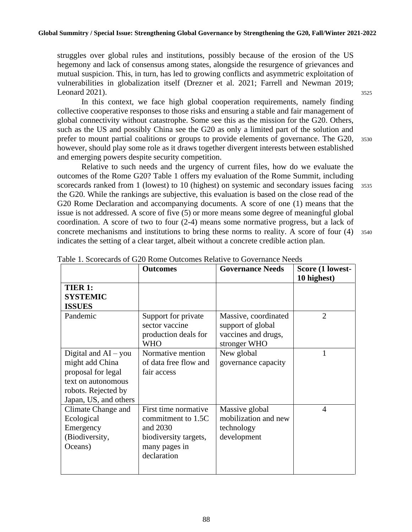struggles over global rules and institutions, possibly because of the erosion of the US hegemony and lack of consensus among states, alongside the resurgence of grievances and mutual suspicion. This, in turn, has led to growing conflicts and asymmetric exploitation of vulnerabilities in globalization itself (Drezner et al. 2021; Farrell and Newman 2019; Leonard 2021).  $3525$ 

In this context, we face high global cooperation requirements, namely finding collective cooperative responses to those risks and ensuring a stable and fair management of global connectivity without catastrophe. Some see this as the mission for the G20. Others, such as the US and possibly China see the G20 as only a limited part of the solution and prefer to mount partial coalitions or groups to provide elements of governance. The G20, <sup>3530</sup> however, should play some role as it draws together divergent interests between established and emerging powers despite security competition.

Relative to such needs and the urgency of current files, how do we evaluate the outcomes of the Rome G20? Table 1 offers my evaluation of the Rome Summit, including scorecards ranked from 1 (lowest) to 10 (highest) on systemic and secondary issues facing 3535 the G20. While the rankings are subjective, this evaluation is based on the close read of the G20 Rome Declaration and accompanying documents. A score of one (1) means that the issue is not addressed. A score of five (5) or more means some degree of meaningful global coordination. A score of two to four (2-4) means some normative progress, but a lack of concrete mechanisms and institutions to bring these norms to reality. A score of four (4) <sup>3540</sup> indicates the setting of a clear target, albeit without a concrete credible action plan.

|                                                                                                                                       | <b>Outcomes</b>                                                                                                 | <b>Governance Needs</b>                                                          | Score (1 lowest-<br>10 highest) |
|---------------------------------------------------------------------------------------------------------------------------------------|-----------------------------------------------------------------------------------------------------------------|----------------------------------------------------------------------------------|---------------------------------|
| TIER 1:<br><b>SYSTEMIC</b><br><b>ISSUES</b>                                                                                           |                                                                                                                 |                                                                                  |                                 |
| Pandemic                                                                                                                              | Support for private<br>sector vaccine<br>production deals for<br><b>WHO</b>                                     | Massive, coordinated<br>support of global<br>vaccines and drugs,<br>stronger WHO | $\overline{2}$                  |
| Digital and $AI - you$<br>might add China<br>proposal for legal<br>text on autonomous<br>robots. Rejected by<br>Japan, US, and others | Normative mention<br>of data free flow and<br>fair access                                                       | New global<br>governance capacity                                                | 1                               |
| Climate Change and<br>Ecological<br>Emergency<br>(Biodiversity,<br>Oceans)                                                            | First time normative<br>commitment to 1.5C<br>and 2030<br>biodiversity targets,<br>many pages in<br>declaration | Massive global<br>mobilization and new<br>technology<br>development              | $\overline{4}$                  |

Table 1. Scorecards of G20 Rome Outcomes Relative to Governance Needs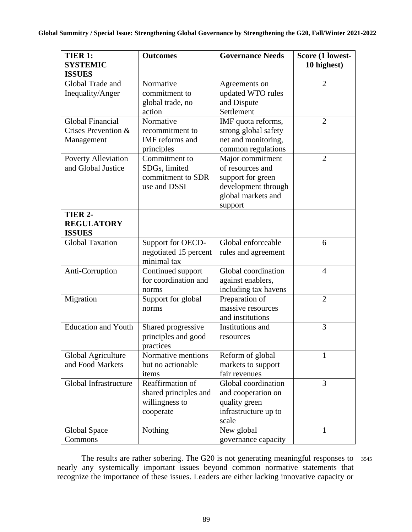| <b>TIER 1:</b><br><b>SYSTEMIC</b><br><b>ISSUES</b>    | <b>Outcomes</b>                                                          | <b>Governance Needs</b>                                                                                           | Score (1 lowest-<br>10 highest) |
|-------------------------------------------------------|--------------------------------------------------------------------------|-------------------------------------------------------------------------------------------------------------------|---------------------------------|
| Global Trade and<br>Inequality/Anger                  | Normative<br>commitment to<br>global trade, no<br>action                 | Agreements on<br>updated WTO rules<br>and Dispute<br>Settlement                                                   | $\overline{2}$                  |
| Global Financial<br>Crises Prevention &<br>Management | Normative<br>recommitment to<br>IMF reforms and<br>principles            | IMF quota reforms,<br>strong global safety<br>net and monitoring,<br>common regulations                           | $\overline{2}$                  |
| <b>Poverty Alleviation</b><br>and Global Justice      | Commitment to<br>SDGs, limited<br>commitment to SDR<br>use and DSSI      | Major commitment<br>of resources and<br>support for green<br>development through<br>global markets and<br>support | $\overline{2}$                  |
| TIER 2-<br><b>REGULATORY</b><br><b>ISSUES</b>         |                                                                          |                                                                                                                   |                                 |
| <b>Global Taxation</b>                                | Support for OECD-<br>negotiated 15 percent<br>minimal tax                | Global enforceable<br>rules and agreement                                                                         | 6                               |
| Anti-Corruption                                       | Continued support<br>for coordination and<br>norms                       | Global coordination<br>against enablers,<br>including tax havens                                                  | $\overline{4}$                  |
| Migration                                             | Support for global<br>norms                                              | Preparation of<br>massive resources<br>and institutions                                                           | $\overline{2}$                  |
| <b>Education and Youth</b>                            | Shared progressive<br>principles and good<br>practices                   | Institutions and<br>resources                                                                                     | 3                               |
| Global Agriculture<br>and Food Markets                | Normative mentions<br>but no actionable<br>items                         | Reform of global<br>markets to support<br>fair revenues                                                           | 1                               |
| Global Infrastructure                                 | Reaffirmation of<br>shared principles and<br>willingness to<br>cooperate | Global coordination<br>and cooperation on<br>quality green<br>infrastructure up to<br>scale                       | 3                               |
| Global Space<br>Commons                               | Nothing                                                                  | New global<br>governance capacity                                                                                 | 1                               |

The results are rather sobering. The G20 is not generating meaningful responses to 3545 nearly any systemically important issues beyond common normative statements that recognize the importance of these issues. Leaders are either lacking innovative capacity or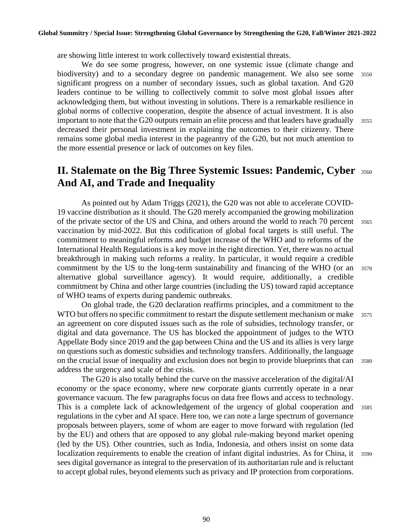are showing little interest to work collectively toward existential threats.

We do see some progress, however, on one systemic issue (climate change and biodiversity) and to a secondary degree on pandemic management. We also see some <sup>3550</sup> significant progress on a number of secondary issues, such as global taxation. And G20 leaders continue to be willing to collectively commit to solve most global issues after acknowledging them, but without investing in solutions. There is a remarkable resilience in global norms of collective cooperation, despite the absence of actual investment. It is also important to note that the G20 outputs remain an elite process and that leaders have gradually  $3555$ decreased their personal investment in explaining the outcomes to their citizenry. There remains some global media interest in the pageantry of the G20, but not much attention to the more essential presence or lack of outcomes on key files.

## **II. Stalemate on the Big Three Systemic Issues: Pandemic, Cyber** <sup>3560</sup> **And AI, and Trade and Inequality**

As pointed out by Adam Triggs (2021), the G20 was not able to accelerate COVID-19 vaccine distribution as it should. The G20 merely accompanied the growing mobilization of the private sector of the US and China, and others around the world to reach 70 percent <sup>3565</sup> vaccination by mid-2022. But this codification of global focal targets is still useful. The commitment to meaningful reforms and budget increase of the WHO and to reforms of the International Health Regulations is a key move in the right direction. Yet, there was no actual breakthrough in making such reforms a reality. In particular, it would require a credible commitment by the US to the long-term sustainability and financing of the WHO (or an <sup>3570</sup> alternative global surveillance agency). It would require, additionally, a credible commitment by China and other large countries (including the US) toward rapid acceptance of WHO teams of experts during pandemic outbreaks.

On global trade, the G20 declaration reaffirms principles, and a commitment to the WTO but offers no specific commitment to restart the dispute settlement mechanism or make 3575 an agreement on core disputed issues such as the role of subsidies, technology transfer, or digital and data governance. The US has blocked the appointment of judges to the WTO Appellate Body since 2019 and the gap between China and the US and its allies is very large on questions such as domestic subsidies and technology transfers. Additionally, the language on the crucial issue of inequality and exclusion does not begin to provide blueprints that can <sup>3580</sup> address the urgency and scale of the crisis.

The G20 is also totally behind the curve on the massive acceleration of the digital/AI economy or the space economy, where new corporate giants currently operate in a near governance vacuum. The few paragraphs focus on data free flows and access to technology. This is a complete lack of acknowledgement of the urgency of global cooperation and <sup>3585</sup> regulations in the cyber and AI space. Here too, we can note a large spectrum of governance proposals between players, some of whom are eager to move forward with regulation (led by the EU) and others that are opposed to any global rule-making beyond market opening (led by the US). Other countries, such as India, Indonesia, and others insist on some data localization requirements to enable the creation of infant digital industries. As for China, it 3590 sees digital governance as integral to the preservation of its authoritarian rule and is reluctant to accept global rules, beyond elements such as privacy and IP protection from corporations.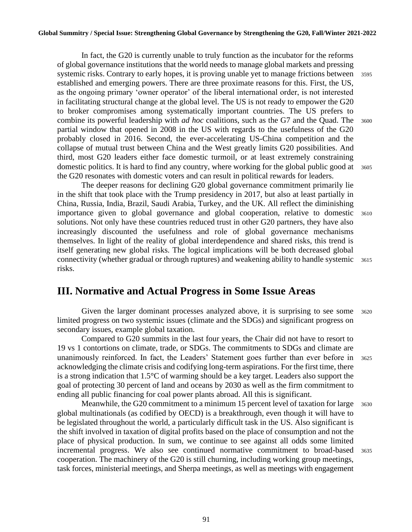In fact, the G20 is currently unable to truly function as the incubator for the reforms of global governance institutions that the world needs to manage global markets and pressing systemic risks. Contrary to early hopes, it is proving unable yet to manage frictions between 3595 established and emerging powers. There are three proximate reasons for this. First, the US, as the ongoing primary 'owner operator' of the liberal international order, is not interested in facilitating structural change at the global level. The US is not ready to empower the G20 to broker compromises among systematically important countries. The US prefers to combine its powerful leadership with *ad hoc* coalitions, such as the G7 and the Quad. The 3600 partial window that opened in 2008 in the US with regards to the usefulness of the G20 probably closed in 2016. Second, the ever-accelerating US-China competition and the collapse of mutual trust between China and the West greatly limits G20 possibilities. And third, most G20 leaders either face domestic turmoil, or at least extremely constraining domestic politics. It is hard to find any country, where working for the global public good at 3605 the G20 resonates with domestic voters and can result in political rewards for leaders.

The deeper reasons for declining G20 global governance commitment primarily lie in the shift that took place with the Trump presidency in 2017, but also at least partially in China, Russia, India, Brazil, Saudi Arabia, Turkey, and the UK. All reflect the diminishing importance given to global governance and global cooperation, relative to domestic <sup>3610</sup> solutions. Not only have these countries reduced trust in other G20 partners, they have also increasingly discounted the usefulness and role of global governance mechanisms themselves. In light of the reality of global interdependence and shared risks, this trend is itself generating new global risks. The logical implications will be both decreased global connectivity (whether gradual or through ruptures) and weakening ability to handle systemic 3615 risks.

## **III. Normative and Actual Progress in Some Issue Areas**

Given the larger dominant processes analyzed above, it is surprising to see some  $3620$ limited progress on two systemic issues (climate and the SDGs) and significant progress on secondary issues, example global taxation.

Compared to G20 summits in the last four years, the Chair did not have to resort to 19 vs 1 contortions on climate, trade, or SDGs. The commitments to SDGs and climate are unanimously reinforced. In fact, the Leaders' Statement goes further than ever before in <sup>3625</sup> acknowledging the climate crisis and codifying long-term aspirations. For the first time, there is a strong indication that 1.5°C of warming should be a key target. Leaders also support the goal of protecting 30 percent of land and oceans by 2030 as well as the firm commitment to ending all public financing for coal power plants abroad. All this is significant.

Meanwhile, the G20 commitment to a minimum 15 percent level of taxation for large 3630 global multinationals (as codified by OECD) is a breakthrough, even though it will have to be legislated throughout the world, a particularly difficult task in the US. Also significant is the shift involved in taxation of digital profits based on the place of consumption and not the place of physical production. In sum, we continue to see against all odds some limited incremental progress. We also see continued normative commitment to broad-based <sup>3635</sup> cooperation. The machinery of the G20 is still churning, including working group meetings, task forces, ministerial meetings, and Sherpa meetings, as well as meetings with engagement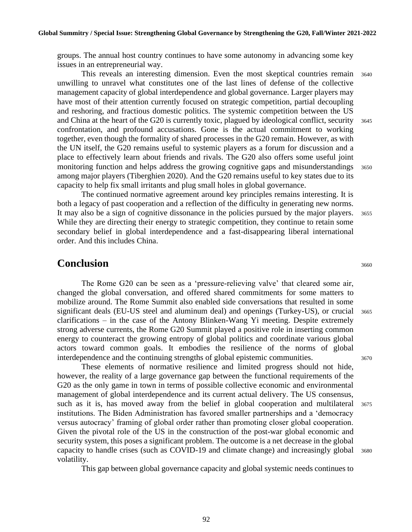groups. The annual host country continues to have some autonomy in advancing some key issues in an entrepreneurial way.

This reveals an interesting dimension. Even the most skeptical countries remain <sup>3640</sup> unwilling to unravel what constitutes one of the last lines of defense of the collective management capacity of global interdependence and global governance. Larger players may have most of their attention currently focused on strategic competition, partial decoupling and reshoring, and fractious domestic politics. The systemic competition between the US and China at the heart of the G20 is currently toxic, plagued by ideological conflict, security 3645 confrontation, and profound accusations. Gone is the actual commitment to working together, even though the formality of shared processes in the G20 remain. However, as with the UN itself, the G20 remains useful to systemic players as a forum for discussion and a place to effectively learn about friends and rivals. The G20 also offers some useful joint monitoring function and helps address the growing cognitive gaps and misunderstandings <sup>3650</sup> among major players (Tiberghien 2020). And the G20 remains useful to key states due to its capacity to help fix small irritants and plug small holes in global governance.

The continued normative agreement around key principles remains interesting. It is both a legacy of past cooperation and a reflection of the difficulty in generating new norms. It may also be a sign of cognitive dissonance in the policies pursued by the major players. 3655 While they are directing their energy to strategic competition, they continue to retain some secondary belief in global interdependence and a fast-disappearing liberal international order. And this includes China.

#### **Conclusion** 3660

The Rome G20 can be seen as a 'pressure-relieving valve' that cleared some air, changed the global conversation, and offered shared commitments for some matters to mobilize around. The Rome Summit also enabled side conversations that resulted in some significant deals (EU-US steel and aluminum deal) and openings (Turkey-US), or crucial 3665 clarifications – in the case of the Antony Blinken-Wang Yi meeting. Despite extremely strong adverse currents, the Rome G20 Summit played a positive role in inserting common energy to counteract the growing entropy of global politics and coordinate various global actors toward common goals. It embodies the resilience of the norms of global interdependence and the continuing strengths of global epistemic communities.  $3670$ 

These elements of normative resilience and limited progress should not hide, however, the reality of a large governance gap between the functional requirements of the G20 as the only game in town in terms of possible collective economic and environmental management of global interdependence and its current actual delivery. The US consensus, such as it is, has moved away from the belief in global cooperation and multilateral <sup>3675</sup> institutions. The Biden Administration has favored smaller partnerships and a 'democracy versus autocracy' framing of global order rather than promoting closer global cooperation. Given the pivotal role of the US in the construction of the post-war global economic and security system, this poses a significant problem. The outcome is a net decrease in the global capacity to handle crises (such as COVID-19 and climate change) and increasingly global <sup>3680</sup> volatility.

This gap between global governance capacity and global systemic needs continues to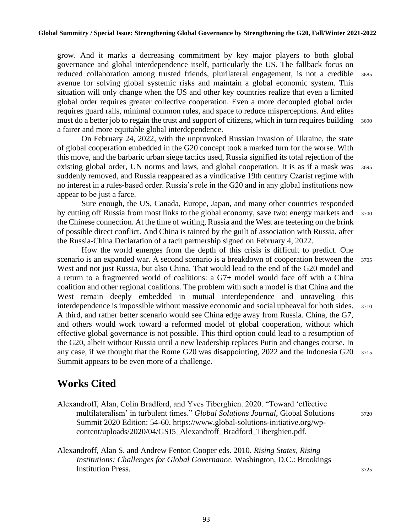grow. And it marks a decreasing commitment by key major players to both global governance and global interdependence itself, particularly the US. The fallback focus on reduced collaboration among trusted friends, plurilateral engagement, is not a credible <sup>3685</sup> avenue for solving global systemic risks and maintain a global economic system. This situation will only change when the US and other key countries realize that even a limited global order requires greater collective cooperation. Even a more decoupled global order requires guard rails, minimal common rules, and space to reduce misperceptions. And elites must do a better job to regain the trust and support of citizens, which in turn requires building 3690 a fairer and more equitable global interdependence.

On February 24, 2022, with the unprovoked Russian invasion of Ukraine, the state of global cooperation embedded in the G20 concept took a marked turn for the worse. With this move, and the barbaric urban siege tactics used, Russia signified its total rejection of the existing global order, UN norms and laws, and global cooperation. It is as if a mask was 3695 suddenly removed, and Russia reappeared as a vindicative 19th century Czarist regime with no interest in a rules-based order. Russia's role in the G20 and in any global institutions now appear to be just a farce.

Sure enough, the US, Canada, Europe, Japan, and many other countries responded by cutting off Russia from most links to the global economy, save two: energy markets and 3700 the Chinese connection. At the time of writing, Russia and the West are teetering on the brink of possible direct conflict. And China is tainted by the guilt of association with Russia, after the Russia-China Declaration of a tacit partnership signed on February 4, 2022.

How the world emerges from the depth of this crisis is difficult to predict. One scenario is an expanded war. A second scenario is a breakdown of cooperation between the 3705 West and not just Russia, but also China. That would lead to the end of the G20 model and a return to a fragmented world of coalitions: a G7+ model would face off with a China coalition and other regional coalitions. The problem with such a model is that China and the West remain deeply embedded in mutual interdependence and unraveling this interdependence is impossible without massive economic and social upheaval for both sides. <sup>3710</sup> A third, and rather better scenario would see China edge away from Russia. China, the G7, and others would work toward a reformed model of global cooperation, without which effective global governance is not possible. This third option could lead to a resumption of the G20, albeit without Russia until a new leadership replaces Putin and changes course. In any case, if we thought that the Rome G20 was disappointing, 2022 and the Indonesia G20 <sup>3715</sup> Summit appears to be even more of a challenge.

## **Works Cited**

- Alexandroff, Alan, Colin Bradford, and Yves Tiberghien. 2020. "Toward 'effective multilateralism' in turbulent times." *Global Solutions Journal*, Global Solutions <sup>3720</sup> Summit 2020 Edition: 54-60. https://www.global-solutions-initiative.org/wpcontent/uploads/2020/04/GSJ5\_Alexandroff\_Bradford\_Tiberghien.pdf.
- Alexandroff, Alan S. and Andrew Fenton Cooper eds. 2010. *Rising States, Rising Institutions: Challenges for Global Governance*. Washington, D.C.: Brookings Institution Press. <sup>3725</sup>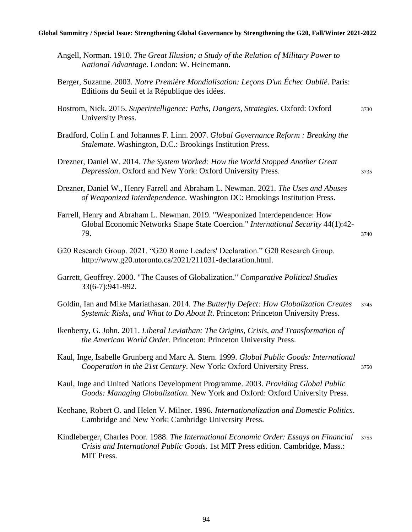#### **Global Summitry / Special Issue: Strengthening Global Governance by Strengthening the G20, Fall/Winter 2021-2022**

| Angell, Norman. 1910. The Great Illusion; a Study of the Relation of Military Power to<br>National Advantage. London: W. Heinemann.                                                      |      |
|------------------------------------------------------------------------------------------------------------------------------------------------------------------------------------------|------|
| Berger, Suzanne. 2003. Notre Première Mondialisation: Leçons D'un Échec Oublié. Paris:<br>Editions du Seuil et la République des idées.                                                  |      |
| Bostrom, Nick. 2015. Superintelligence: Paths, Dangers, Strategies. Oxford: Oxford<br>University Press.                                                                                  | 3730 |
| Bradford, Colin I. and Johannes F. Linn. 2007. Global Governance Reform: Breaking the<br>Stalemate. Washington, D.C.: Brookings Institution Press.                                       |      |
| Drezner, Daniel W. 2014. The System Worked: How the World Stopped Another Great<br>Depression. Oxford and New York: Oxford University Press.                                             | 3735 |
| Drezner, Daniel W., Henry Farrell and Abraham L. Newman. 2021. The Uses and Abuses<br>of Weaponized Interdependence. Washington DC: Brookings Institution Press.                         |      |
| Farrell, Henry and Abraham L. Newman. 2019. "Weaponized Interdependence: How<br>Global Economic Networks Shape State Coercion." International Security 44(1):42-<br>79.                  | 3740 |
| G20 Research Group. 2021. "G20 Rome Leaders' Declaration." G20 Research Group.<br>http://www.g20.utoronto.ca/2021/211031-declaration.html.                                               |      |
| Garrett, Geoffrey. 2000. "The Causes of Globalization." Comparative Political Studies<br>33(6-7):941-992.                                                                                |      |
| Goldin, Ian and Mike Mariathasan. 2014. The Butterfly Defect: How Globalization Creates<br>Systemic Risks, and What to Do About It. Princeton: Princeton University Press.               | 3745 |
| Ikenberry, G. John. 2011. Liberal Leviathan: The Origins, Crisis, and Transformation of<br>the American World Order. Princeton: Princeton University Press.                              |      |
| Kaul, Inge, Isabelle Grunberg and Marc A. Stern. 1999. Global Public Goods: International<br>Cooperation in the 21st Century. New York: Oxford University Press.                         | 3750 |
| Kaul, Inge and United Nations Development Programme. 2003. Providing Global Public<br>Goods: Managing Globalization. New York and Oxford: Oxford University Press.                       |      |
| Keohane, Robert O. and Helen V. Milner. 1996. Internationalization and Domestic Politics.<br>Cambridge and New York: Cambridge University Press.                                         |      |
| Kindleberger, Charles Poor. 1988. The International Economic Order: Essays on Financial<br>Crisis and International Public Goods. 1st MIT Press edition. Cambridge, Mass.:<br>MIT Press. | 3755 |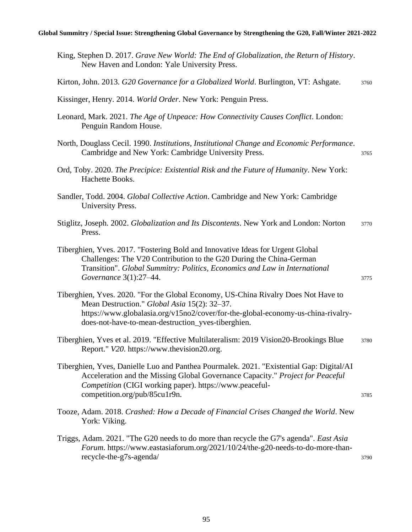| King, Stephen D. 2017. Grave New World: The End of Globalization, the Return of History.<br>New Haven and London: Yale University Press.                                                                                                                                     |      |
|------------------------------------------------------------------------------------------------------------------------------------------------------------------------------------------------------------------------------------------------------------------------------|------|
| Kirton, John. 2013. G20 Governance for a Globalized World. Burlington, VT: Ashgate.                                                                                                                                                                                          | 3760 |
| Kissinger, Henry. 2014. World Order. New York: Penguin Press.                                                                                                                                                                                                                |      |
| Leonard, Mark. 2021. The Age of Unpeace: How Connectivity Causes Conflict. London:<br>Penguin Random House.                                                                                                                                                                  |      |
| North, Douglass Cecil. 1990. Institutions, Institutional Change and Economic Performance.<br>Cambridge and New York: Cambridge University Press.                                                                                                                             | 3765 |
| Ord, Toby. 2020. The Precipice: Existential Risk and the Future of Humanity. New York:<br>Hachette Books.                                                                                                                                                                    |      |
| Sandler, Todd. 2004. Global Collective Action. Cambridge and New York: Cambridge<br>University Press.                                                                                                                                                                        |      |
| Stiglitz, Joseph. 2002. Globalization and Its Discontents. New York and London: Norton<br>Press.                                                                                                                                                                             | 3770 |
| Tiberghien, Yves. 2017. "Fostering Bold and Innovative Ideas for Urgent Global<br>Challenges: The V20 Contribution to the G20 During the China-German<br>Transition". Global Summitry: Politics, Economics and Law in International<br>Governance 3(1):27-44.                | 3775 |
| Tiberghien, Yves. 2020. "For the Global Economy, US-China Rivalry Does Not Have to<br>Mean Destruction." Global Asia 15(2): 32-37.<br>https://www.globalasia.org/v15no2/cover/for-the-global-economy-us-china-rivalry-<br>does-not-have-to-mean-destruction_yves-tiberghien. |      |
| Tiberghien, Yves et al. 2019. "Effective Multilateralism: 2019 Vision20-Brookings Blue<br>Report." V20. https://www.thevision20.org.                                                                                                                                         | 3780 |
| Tiberghien, Yves, Danielle Luo and Panthea Pourmalek. 2021. "Existential Gap: Digital/AI<br>Acceleration and the Missing Global Governance Capacity." Project for Peaceful<br>Competition (CIGI working paper). https://www.peaceful-<br>competition.org/pub/85cu1r9n.       | 3785 |
| Tooze, Adam. 2018. Crashed: How a Decade of Financial Crises Changed the World. New<br>York: Viking.                                                                                                                                                                         |      |
| Triggs, Adam. 2021. "The G20 needs to do more than recycle the G7's agenda". East Asia<br>Forum. https://www.eastasiaforum.org/2021/10/24/the-g20-needs-to-do-more-than-<br>recycle-the-g7s-agenda/                                                                          | 3790 |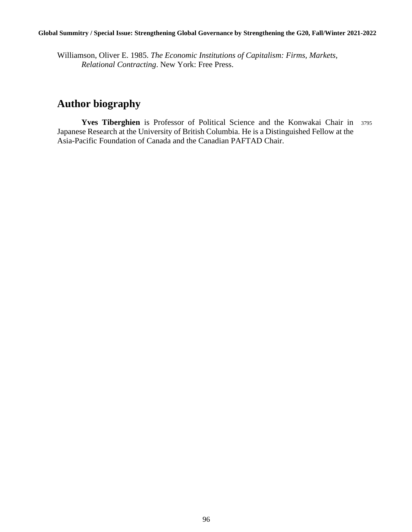Williamson, Oliver E. 1985. *The Economic Institutions of Capitalism: Firms, Markets, Relational Contracting*. New York: Free Press.

# **Author biography**

**Yves Tiberghien** is Professor of Political Science and the Konwakai Chair in <sup>3795</sup> Japanese Research at the University of British Columbia. He is a Distinguished Fellow at the Asia-Pacific Foundation of Canada and the Canadian PAFTAD Chair.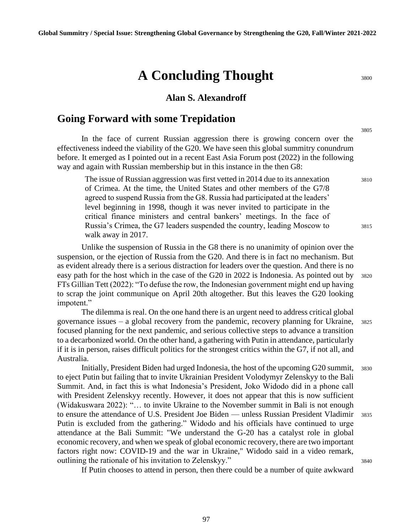# **A Concluding Thought** 3800

#### **Alan S. Alexandroff**

### **Going Forward with some Trepidation**

In the face of current Russian aggression there is growing concern over the effectiveness indeed the viability of the G20. We have seen this global summitry conundrum before. It emerged as I pointed out in a recent East Asia Forum post (2022) in the following way and again with Russian membership but in this instance in the then G8:

The issue of Russian aggression was first vetted in 2014 due to its annexation  $3810$ of Crimea. At the time, the United States and other members of the G7/8 agreed to suspend Russia from the G8. Russia had participated at the leaders' level beginning in 1998, though it was never invited to participate in the critical finance ministers and central bankers' meetings. In the face of Russia's Crimea, the G7 leaders suspended the country, leading Moscow to 3815 walk away in 2017.

Unlike the suspension of Russia in the G8 there is no unanimity of opinion over the suspension, or the ejection of Russia from the G20. And there is in fact no mechanism. But as evident already there is a serious distraction for leaders over the question. And there is no easy path for the host which in the case of the G20 in 2022 is Indonesia. As pointed out by 3820 FTs Gillian Tett (2022): "To defuse the row, the Indonesian government might end up having to scrap the joint communique on April 20th altogether. But this leaves the G20 looking impotent."

The dilemma is real. On the one hand there is an urgent need to address critical global governance issues – a global recovery from the pandemic, recovery planning for Ukraine, <sup>3825</sup> focused planning for the next pandemic, and serious collective steps to advance a transition to a decarbonized world. On the other hand, a gathering with Putin in attendance, particularly if it is in person, raises difficult politics for the strongest critics within the G7, if not all, and Australia.

Initially, President Biden had urged Indonesia, the host of the upcoming G20 summit, <sup>3830</sup> to eject Putin but failing that to invite Ukrainian President Volodymyr Zelenskyy to the Bali Summit. And, in fact this is what Indonesia's President, Joko Widodo did in a phone call with President Zelenskyy recently. However, it does not appear that this is now sufficient (Widakuswara 2022): "… to invite Ukraine to the November summit in Bali is not enough to ensure the attendance of U.S. President Joe Biden — unless Russian President Vladimir 3835 Putin is excluded from the gathering." Widodo and his officials have continued to urge attendance at the Bali Summit: "We understand the G-20 has a catalyst role in global economic recovery, and when we speak of global economic recovery, there are two important factors right now: COVID-19 and the war in Ukraine," Widodo said in a video remark, outlining the rationale of his invitation to Zelenskyy." 3840

If Putin chooses to attend in person, then there could be a number of quite awkward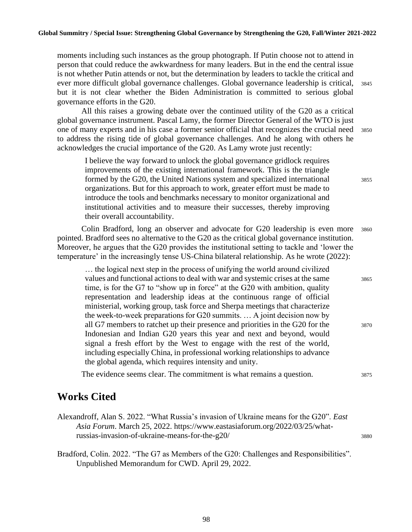moments including such instances as the group photograph. If Putin choose not to attend in person that could reduce the awkwardness for many leaders. But in the end the central issue is not whether Putin attends or not, but the determination by leaders to tackle the critical and ever more difficult global governance challenges. Global governance leadership is critical, <sup>3845</sup> but it is not clear whether the Biden Administration is committed to serious global governance efforts in the G20.

All this raises a growing debate over the continued utility of the G20 as a critical global governance instrument. Pascal Lamy, the former Director General of the WTO is just one of many experts and in his case a former senior official that recognizes the crucial need <sup>3850</sup> to address the rising tide of global governance challenges. And he along with others he acknowledges the crucial importance of the G20. As Lamy wrote just recently:

I believe the way forward to unlock the global governance gridlock requires improvements of the existing international framework. This is the triangle formed by the G20, the United Nations system and specialized international 3855 organizations. But for this approach to work, greater effort must be made to introduce the tools and benchmarks necessary to monitor organizational and institutional activities and to measure their successes, thereby improving their overall accountability.

Colin Bradford, long an observer and advocate for G20 leadership is even more <sup>3860</sup> pointed. Bradford sees no alternative to the G20 as the critical global governance institution. Moreover, he argues that the G20 provides the institutional setting to tackle and 'lower the temperature' in the increasingly tense US-China bilateral relationship. As he wrote (2022):

… the logical next step in the process of unifying the world around civilized values and functional actions to deal with war and systemic crises at the same 3865 time, is for the G7 to "show up in force" at the G20 with ambition, quality representation and leadership ideas at the continuous range of official ministerial, working group, task force and Sherpa meetings that characterize the week-to-week preparations for G20 summits. … A joint decision now by all G7 members to ratchet up their presence and priorities in the G20 for the 3870 Indonesian and Indian G20 years this year and next and beyond, would signal a fresh effort by the West to engage with the rest of the world, including especially China, in professional working relationships to advance the global agenda, which requires intensity and unity.

The evidence seems clear. The commitment is what remains a question. 3875

## **Works Cited**

- Alexandroff, Alan S. 2022. "What Russia's invasion of Ukraine means for the G20". *East Asia Forum*. March 25, 2022. https://www.eastasiaforum.org/2022/03/25/whatrussias-invasion-of-ukraine-means-for-the-g20/ <sup>3880</sup>
- Bradford, Colin. 2022. "The G7 as Members of the G20: Challenges and Responsibilities". Unpublished Memorandum for CWD. April 29, 2022.